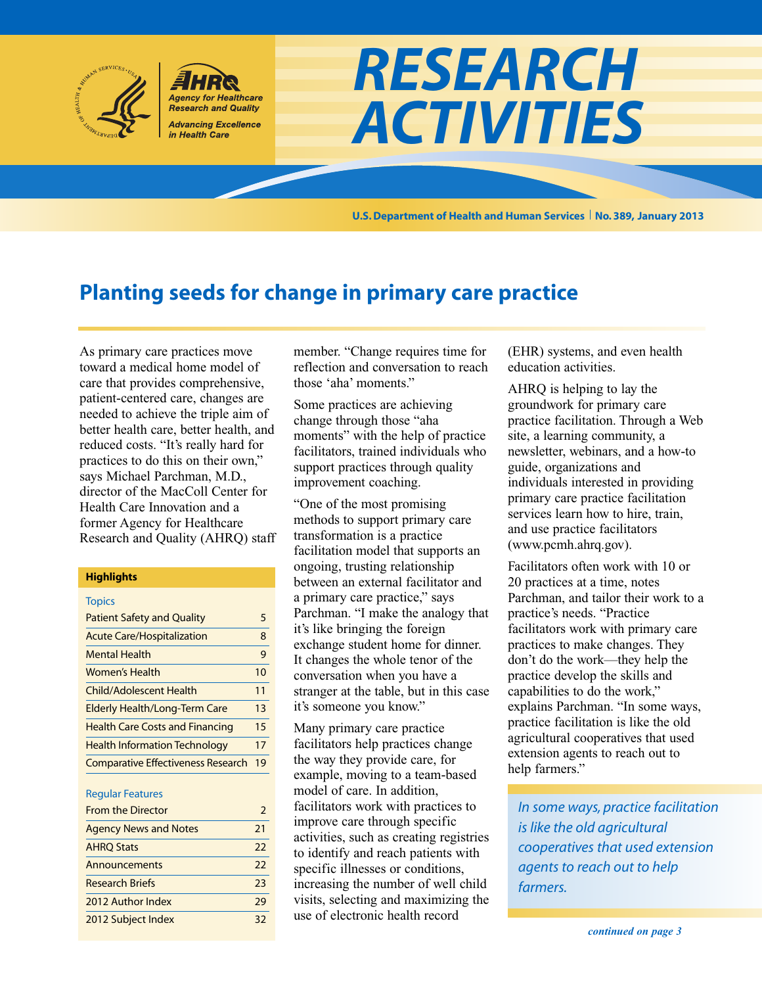

**U.S.Department of Health and Human Services No. 389, January 2013**

# **Planting seeds for change in primary care practice**

As primary care practices move toward a medical home model of care that provides comprehensive, patient-centered care, changes are needed to achieve the triple aim of better health care, better health, and reduced costs. "It's really hard for practices to do this on their own," says Michael Parchman, M.D., director of the MacColl Center for Health Care Innovation and a former Agency for Healthcare Research and Quality (AHRQ) staff

#### **Highlights**

| <b>Topics</b>                             |    |
|-------------------------------------------|----|
| <b>Patient Safety and Quality</b>         | 5  |
| <b>Acute Care/Hospitalization</b>         | 8  |
| <b>Mental Health</b>                      | 9  |
| Women's Health                            | 10 |
| <b>Child/Adolescent Health</b>            | 11 |
| <b>Elderly Health/Long-Term Care</b>      | 13 |
| <b>Health Care Costs and Financing</b>    | 15 |
| <b>Health Information Technology</b>      | 17 |
| <b>Comparative Effectiveness Research</b> | 19 |

#### Regular Features

| <b>From the Director</b>     | 2  |
|------------------------------|----|
| <b>Agency News and Notes</b> | 21 |
| <b>AHRQ Stats</b>            | 22 |
| Announcements                | 22 |
| <b>Research Briefs</b>       | 23 |
| 2012 Author Index            | 79 |
| 2012 Subject Index           | 32 |

member. "Change requires time for reflection and conversation to reach those 'aha' moments."

Some practices are achieving change through those "aha moments" with the help of practice facilitators, trained individuals who support practices through quality improvement coaching.

"One of the most promising methods to support primary care transformation is a practice facilitation model that supports an ongoing, trusting relationship between an external facilitator and a primary care practice," says Parchman. "I make the analogy that it's like bringing the foreign exchange student home for dinner. It changes the whole tenor of the conversation when you have a stranger at the table, but in this case it's someone you know."

Many primary care practice facilitators help practices change the way they provide care, for example, moving to a team-based model of care. In addition, facilitators work with practices to improve care through specific activities, such as creating registries to identify and reach patients with specific illnesses or conditions, increasing the number of well child visits, selecting and maximizing the use of electronic health record

(EHR) systems, and even health education activities.

AHRQ is helping to lay the groundwork for primary care practice facilitation. Through a Web site, a learning community, a newsletter, webinars, and a how-to guide, organizations and individuals interested in providing primary care practice facilitation services learn how to hire, train, and use practice facilitators (www.pcmh.ahrq.gov).

Facilitators often work with 10 or 20 practices at a time, notes Parchman, and tailor their work to a practice's needs. "Practice facilitators work with primary care practices to make changes. They don't do the work—they help the practice develop the skills and capabilities to do the work," explains Parchman. "In some ways, practice facilitation is like the old agricultural cooperatives that used extension agents to reach out to help farmers."

*In some ways, practice facilitation is like the old agricultural cooperatives that used extension agents to reach out to help farmers.*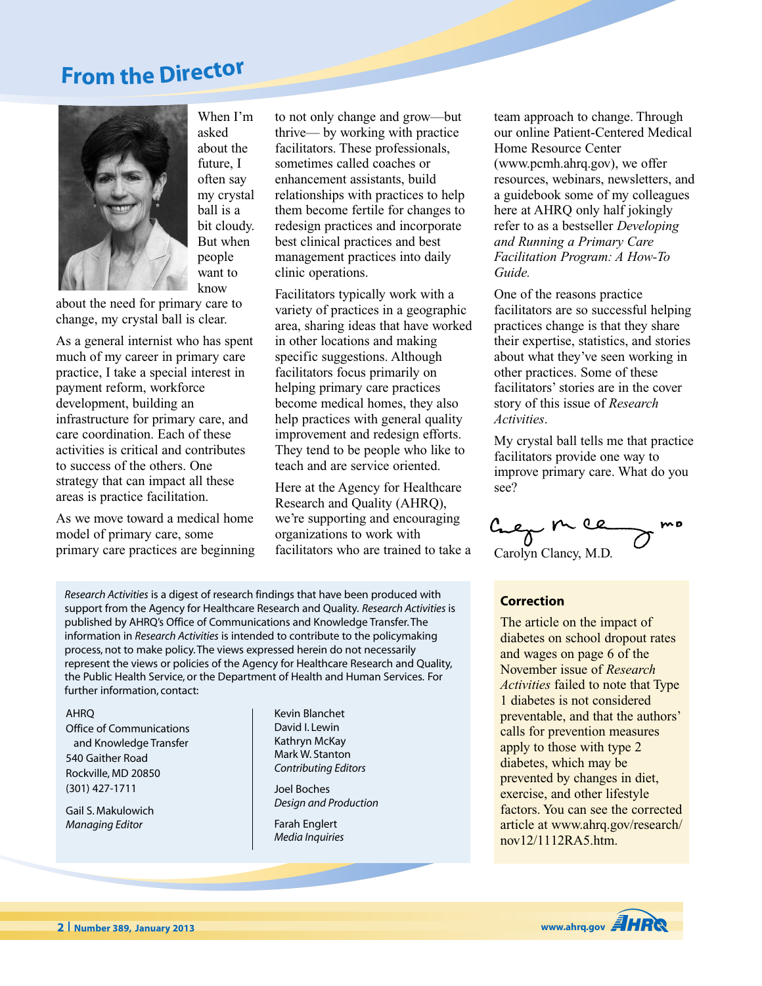# **Fro<sup>m</sup> <sup>t</sup>h<sup>e</sup> Directo<sup>r</sup>**



When I'm asked about the future, I often say my crystal ball is a bit cloudy. But when people want to know

about the need for primary care to change, my crystal ball is clear.

As a general internist who has spent much of my career in primary care practice, I take a special interest in payment reform, workforce development, building an infrastructure for primary care, and care coordination. Each of these activities is critical and contributes to success of the others. One strategy that can impact all these areas is practice facilitation.

As we move toward a medical home model of primary care, some primary care practices are beginning to not only change and grow—but thrive— by working with practice facilitators. These professionals, sometimes called coaches or enhancement assistants, build relationships with practices to help them become fertile for changes to redesign practices and incorporate best clinical practices and best management practices into daily clinic operations.

Facilitators typically work with a variety of practices in a geographic area, sharing ideas that have worked in other locations and making specific suggestions. Although facilitators focus primarily on helping primary care practices become medical homes, they also help practices with general quality improvement and redesign efforts. They tend to be people who like to teach and are service oriented.

Here at the Agency for Healthcare Research and Quality (AHRQ), we're supporting and encouraging organizations to work with facilitators who are trained to take a

*Research Activities* is a digest of research findings that have been produced with support from the Agency for Healthcare Research and Quality. *Research Activities* is published by AHRQ's Office of Communications and Knowledge Transfer.The information in *Research Activities* is intended to contribute to the policymaking process, not to make policy.The views expressed herein do not necessarily represent the views or policies of the Agency for Healthcare Research and Quality, the Public Health Service, or the Department of Health and Human Services. For further information, contact:

#### AHRQ

Office of Communications and Knowledge Transfer 540 Gaither Road Rockville, MD 20850 (301) 427-1711

Gail S. Makulowich *Managing Editor*

Kevin Blanchet David I. Lewin Kathryn McKay Mark W. Stanton *Contributing Editors*

Joel Boches *Design and Production*

Farah Englert *Media Inquiries* team approach to change. Through our online Patient-Centered Medical Home Resource Center (www.pcmh.ahrq.gov), we offer resources, webinars, newsletters, and a guidebook some of my colleagues here at AHRQ only half jokingly refer to as a bestseller *Developing and Running a Primary Care Facilitation Program: A How-To Guide.*

One of the reasons practice facilitators are so successful helping practices change is that they share their expertise, statistics, and stories about what they've seen working in other practices. Some of these facilitators'stories are in the cover story of this issue of *Research Activities*.

My crystal ball tells me that practice facilitators provide one way to improve primary care. What do you see?

Crep m ce Carolyn Clancy, M.D.

#### **Correction**

The article on the impact of diabetes on school dropout rates and wages on page 6 of the November issue of *Research Activities* failed to note that Type 1 diabetes is not considered preventable, and that the authors' calls for prevention measures apply to those with type 2 diabetes, which may be prevented by changes in diet, exercise, and other lifestyle factors. You can see the corrected article at www.ahrq.gov/research/ nov12/1112RA5.htm.

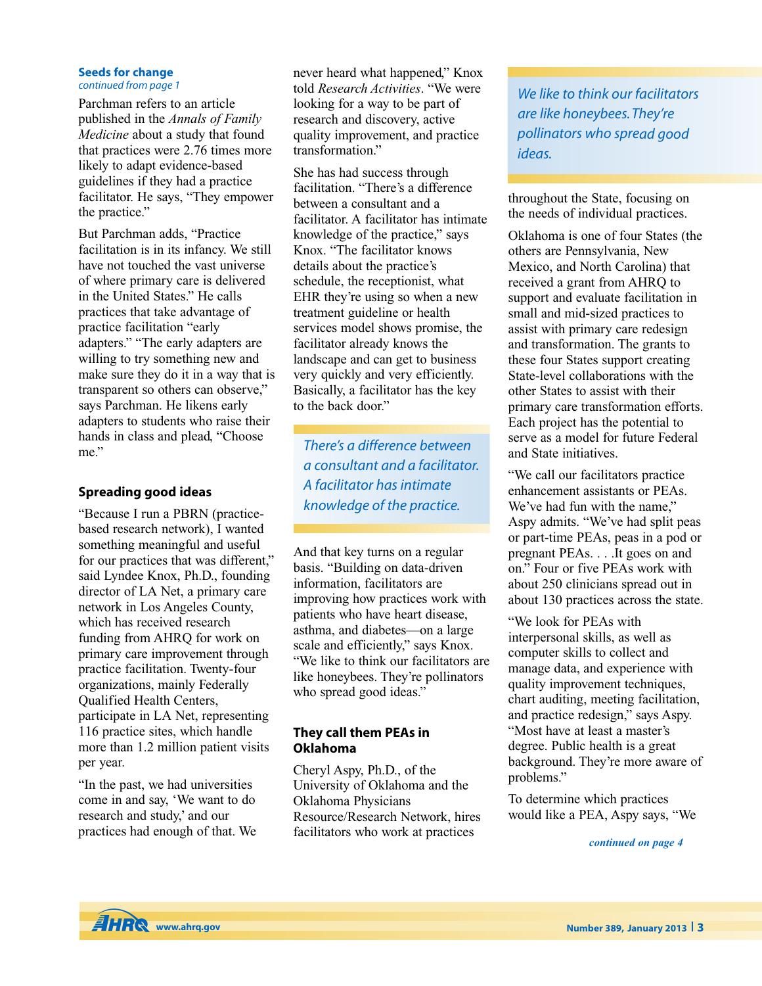### **Seeds for change**

### *continued from page 1*

Parchman refers to an article published in the *Annals of Family Medicine* about a study that found that practices were 2.76 times more likely to adapt evidence-based guidelines if they had a practice facilitator. He says, "They empower the practice."

But Parchman adds, "Practice facilitation is in its infancy. We still have not touched the vast universe of where primary care is delivered in the United States." He calls practices that take advantage of practice facilitation "early adapters." "The early adapters are willing to try something new and make sure they do it in a way that is transparent so others can observe," says Parchman. He likens early adapters to students who raise their hands in class and plead, "Choose me."

### **Spreading good ideas**

"Because I run a PBRN (practicebased research network), I wanted something meaningful and useful for our practices that was different," said Lyndee Knox, Ph.D., founding director of LA Net, a primary care network in Los Angeles County, which has received research funding from AHRQ for work on primary care improvement through practice facilitation. Twenty-four organizations, mainly Federally Qualified Health Centers, participate in LA Net, representing 116 practice sites, which handle more than 1.2 million patient visits per year.

"In the past, we had universities come in and say, 'We want to do research and study,' and our practices had enough of that. We

never heard what happened," Knox told *Research Activities*. "We were looking for a way to be part of research and discovery, active quality improvement, and practice transformation."

She has had success through facilitation. "There's a difference between a consultant and a facilitator. A facilitator has intimate knowledge of the practice," says Knox. "The facilitator knows details about the practice's schedule, the receptionist, what EHR they're using so when a new treatment guideline or health services model shows promise, the facilitator already knows the landscape and can get to business very quickly and very efficiently. Basically, a facilitator has the key to the back door."

*There's <sup>a</sup> difference between <sup>a</sup> consultant and <sup>a</sup> facilitator. A facilitator has intimate knowledge of the practice.*

And that key turns on a regular basis. "Building on data-driven information, facilitators are improving how practices work with patients who have heart disease, asthma, and diabetes—on a large scale and efficiently," says Knox. "We like to think our facilitators are like honeybees. They're pollinators who spread good ideas."

### **They call them PEAs in Oklahoma**

Cheryl Aspy, Ph.D., of the University of Oklahoma and the Oklahoma Physicians Resource/Research Network, hires facilitators who work at practices

*We like to think our facilitators are like honeybees.They're pollinators who spread good ideas.*

throughout the State, focusing on the needs of individual practices.

Oklahoma is one of four States (the others are Pennsylvania, New Mexico, and North Carolina) that received a grant from AHRQ to support and evaluate facilitation in small and mid-sized practices to assist with primary care redesign and transformation. The grants to these four States support creating State-level collaborations with the other States to assist with their primary care transformation efforts. Each project has the potential to serve as a model for future Federal and State initiatives.

"We call our facilitators practice enhancement assistants or PEAs. We've had fun with the name." Aspy admits. "We've had split peas or part-time PEAs, peas in a pod or pregnant PEAs. . . .It goes on and on." Four or five PEAs work with about 250 clinicians spread out in about 130 practices across the state.

"We look for PEAs with interpersonal skills, as well as computer skills to collect and manage data, and experience with quality improvement techniques, chart auditing, meeting facilitation, and practice redesign," says Aspy. "Most have at least a master's degree. Public health is a great background. They're more aware of problems."

To determine which practices would like a PEA, Aspy says, "We

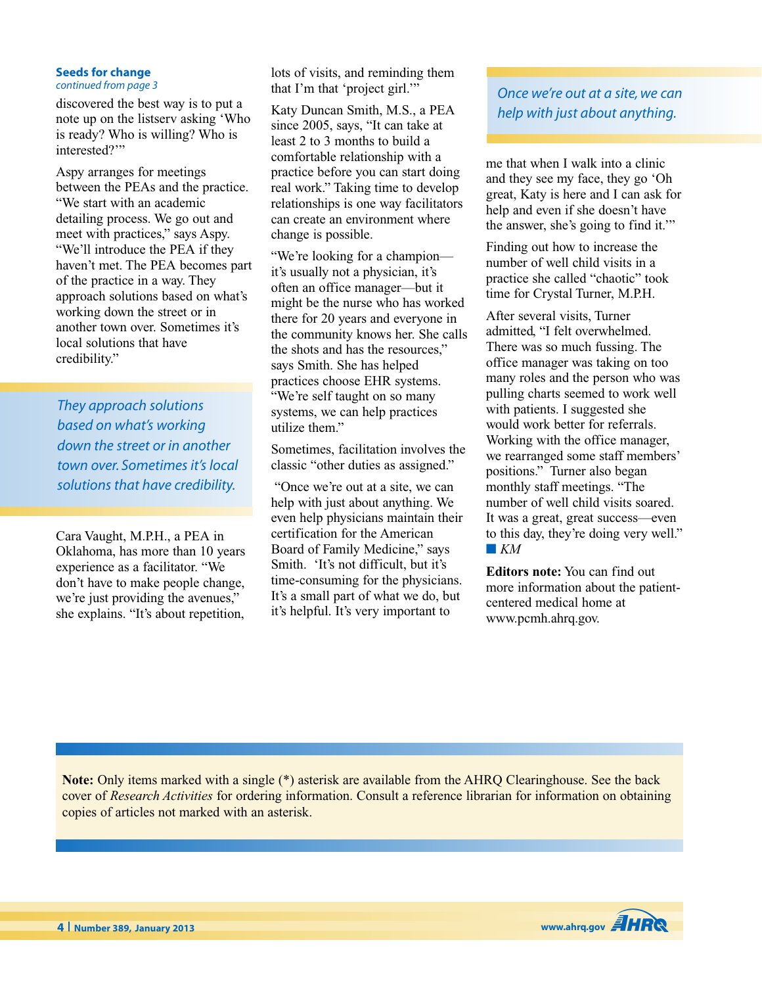#### **Seeds for change** *continued from page 3*

discovered the best way is to put a note up on the listserv asking 'Who is ready? Who is willing? Who is interested?"

Aspy arranges for meetings between the PEAs and the practice. "We start with an academic detailing process. We go out and meet with practices," says Aspy. "We'll introduce the PEA if they haven't met. The PEA becomes part of the practice in a way. They approach solutions based on what's working down the street or in another town over. Sometimes it's local solutions that have credibility."

*They approach solutions based on what's working down the street or in another town over. Sometimes it's local solutions that have credibility.*

Cara Vaught, M.P.H., a PEA in Oklahoma, has more than 10 years experience as a facilitator. "We don't have to make people change, we're just providing the avenues," she explains. "It's about repetition, lots of visits, and reminding them that I'm that 'project girl.'"

Katy Duncan Smith, M.S., a PEA since 2005, says, "It can take at least 2 to 3 months to build a comfortable relationship with a practice before you can start doing real work." Taking time to develop relationships is one way facilitators can create an environment where change is possible.

"We're looking for a champion it's usually not a physician, it's often an office manager—but it might be the nurse who has worked there for 20 years and everyone in the community knows her. She calls the shots and has the resources," says Smith. She has helped practices choose EHR systems. "We're self taught on so many systems, we can help practices utilize them."

Sometimes, facilitation involves the classic "other duties as assigned."

"Once we're out at a site, we can help with just about anything. We even help physicians maintain their certification for the American Board of Family Medicine," says Smith. 'It's not difficult, but it's time-consuming for the physicians. It's a small part of what we do, but it's helpful. It's very important to

*Once we're out at a site, we can help with just about anything.*

me that when I walk into a clinic and they see my face, they go 'Oh great, Katy is here and I can ask for help and even if she doesn't have the answer, she's going to find it.'"

Finding out how to increase the number of well child visits in a practice she called "chaotic" took time for Crystal Turner, M.P.H.

After several visits, Turner admitted, "I felt overwhelmed. There was so much fussing. The office manager was taking on too many roles and the person who was pulling charts seemed to work well with patients. I suggested she would work better for referrals. Working with the office manager, we rearranged some staff members' positions." Turner also began monthly staff meetings. "The number of well child visits soared. It was a great, great success—even to this day, they're doing very well." **■** *KM*

**Editors note:** You can find out more information about the patientcentered medical home at www.pcmh.ahrq.gov.

**Note:** Only items marked with a single (\*) asterisk are available from the AHRQ Clearinghouse. See the back cover of *Research Activities* for ordering information. Consult a reference librarian for information on obtaining copies of articles not marked with an asterisk.

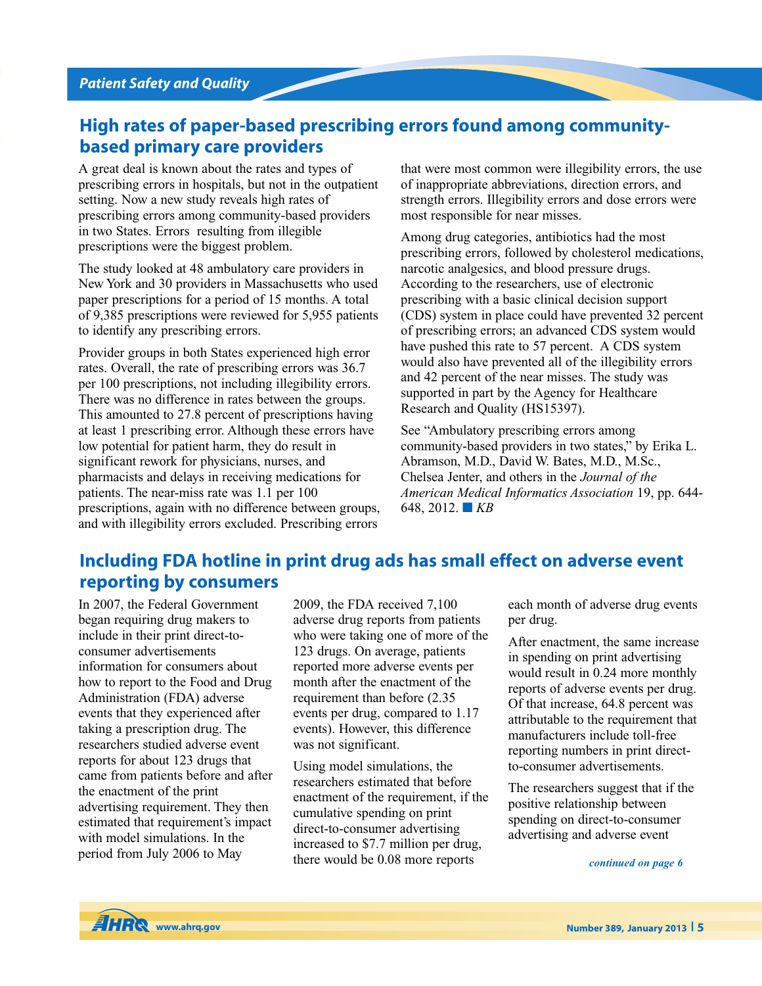## **High rates of paper-based prescribing errors found among communitybased primary care providers**

A great deal is known about the rates and types of prescribing errors in hospitals, but not in the outpatient setting. Now a new study reveals high rates of prescribing errors among community-based providers in two States. Errors resulting from illegible prescriptions were the biggest problem.

The study looked at 48 ambulatory care providers in New York and 30 providers in Massachusetts who used paper prescriptions for a period of 15 months. A total of 9,385 prescriptions were reviewed for 5,955 patients to identify any prescribing errors.

Provider groups in both States experienced high error rates. Overall, the rate of prescribing errors was 36.7 per 100 prescriptions, not including illegibility errors. There was no difference in rates between the groups. This amounted to 27.8 percent of prescriptions having at least 1 prescribing error. Although these errors have low potential for patient harm, they do result in significant rework for physicians, nurses, and pharmacists and delays in receiving medications for patients. The near-miss rate was 1.1 per 100 prescriptions, again with no difference between groups, and with illegibility errors excluded. Prescribing errors

that were most common were illegibility errors, the use of inappropriate abbreviations, direction errors, and strength errors. Illegibility errors and dose errors were most responsible for near misses.

Among drug categories, antibiotics had the most prescribing errors, followed by cholesterol medications, narcotic analgesics, and blood pressure drugs. According to the researchers, use of electronic prescribing with a basic clinical decision support (CDS) system in place could have prevented 32 percent of prescribing errors; an advanced CDS system would have pushed this rate to 57 percent. A CDS system would also have prevented all of the illegibility errors and 42 percent of the near misses. The study was supported in part by the Agency for Healthcare Research and Quality (HS15397).

See "Ambulatory prescribing errors among community-based providers in two states," by Erika L. Abramson, M.D., David W. Bates, M.D., M.Sc., Chelsea Jenter, and others in the *Journal of the American Medical Informatics Association* 19, pp. 644- 648, 2012. **■** *KB*

# **Including FDA hotline in print drug ads has small effect on adverse event reporting by consumers**

In 2007, the Federal Government began requiring drug makers to include in their print direct-toconsumer advertisements information for consumers about how to report to the Food and Drug Administration (FDA) adverse events that they experienced after taking a prescription drug. The researchers studied adverse event reports for about 123 drugs that came from patients before and after the enactment of the print advertising requirement. They then estimated that requirement's impact with model simulations. In the period from July 2006 to May

2009, the FDA received 7,100 adverse drug reports from patients who were taking one of more of the 123 drugs. On average, patients reported more adverse events per month after the enactment of the requirement than before (2.35 events per drug, compared to 1.17 events). However, this difference was not significant.

Using model simulations, the researchers estimated that before enactment of the requirement, if the cumulative spending on print direct-to-consumer advertising increased to \$7.7 million per drug, there would be 0.08 more reports

each month of adverse drug events per drug.

After enactment, the same increase in spending on print advertising would result in 0.24 more monthly reports of adverse events per drug. Of that increase, 64.8 percent was attributable to the requirement that manufacturers include toll-free reporting numbers in print directto-consumer advertisements.

The researchers suggest that if the positive relationship between spending on direct-to-consumer advertising and adverse event

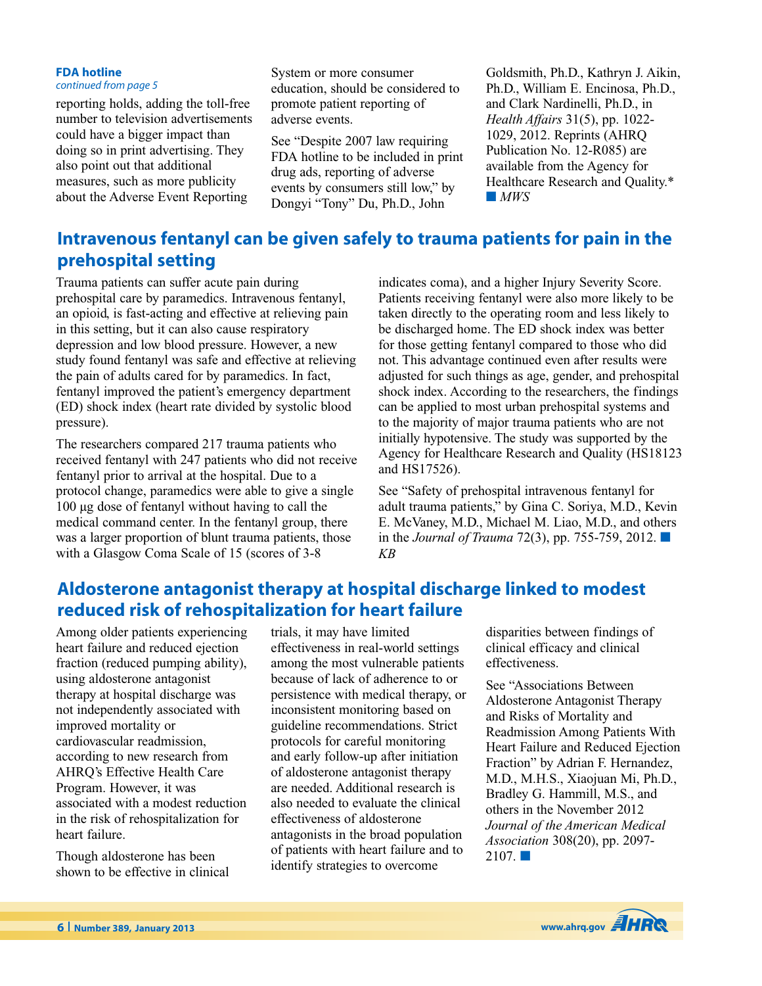#### **FDA hotline** *continued from page 5*

reporting holds, adding the toll-free number to television advertisements could have a bigger impact than doing so in print advertising. They also point out that additional measures, such as more publicity about the Adverse Event Reporting

System or more consumer education, should be considered to promote patient reporting of adverse events.

See "Despite 2007 law requiring FDA hotline to be included in print drug ads, reporting of adverse events by consumers still low," by Dongyi "Tony" Du, Ph.D., John

Goldsmith, Ph.D., Kathryn J. Aikin, Ph.D., William E. Encinosa, Ph.D., and Clark Nardinelli, Ph.D., in *Health Affairs* 31(5), pp. 1022- 1029, 2012. Reprints (AHRQ Publication No. 12-R085) are available from the Agency for Healthcare Research and Quality.\* **■** *MWS*

# **Intravenous fentanyl can be given safely to trauma patients for pain in the prehospital setting**

Trauma patients can suffer acute pain during prehospital care by paramedics. Intravenous fentanyl, an opioid, is fast-acting and effective at relieving pain in this setting, but it can also cause respiratory depression and low blood pressure. However, a new study found fentanyl was safe and effective at relieving the pain of adults cared for by paramedics. In fact, fentanyl improved the patient's emergency department (ED) shock index (heart rate divided by systolic blood pressure).

The researchers compared 217 trauma patients who received fentanyl with 247 patients who did not receive fentanyl prior to arrival at the hospital. Due to a protocol change, paramedics were able to give a single 100 µg dose of fentanyl without having to call the medical command center. In the fentanyl group, there was a larger proportion of blunt trauma patients, those with a Glasgow Coma Scale of 15 (scores of 3-8

indicates coma), and a higher Injury Severity Score. Patients receiving fentanyl were also more likely to be taken directly to the operating room and less likely to be discharged home. The ED shock index was better for those getting fentanyl compared to those who did not. This advantage continued even after results were adjusted for such things as age, gender, and prehospital shock index. According to the researchers, the findings can be applied to most urban prehospital systems and to the majority of major trauma patients who are not initially hypotensive. The study was supported by the Agency for Healthcare Research and Quality (HS18123 and HS17526).

See "Safety of prehospital intravenous fentanyl for adult trauma patients," by Gina C. Soriya, M.D., Kevin E. McVaney, M.D., Michael M. Liao, M.D., and others in the *Journal of Trauma* 72(3), pp. 755-759, 2012. **■** *KB*

# **Aldosterone antagonist therapy at hospital discharge linked to modest reduced risk of rehospitalization for heart failure**

Among older patients experiencing heart failure and reduced ejection fraction (reduced pumping ability), using aldosterone antagonist therapy at hospital discharge was not independently associated with improved mortality or cardiovascular readmission, according to new research from AHRQ's Effective Health Care Program. However, it was associated with a modest reduction in the risk of rehospitalization for heart failure.

Though aldosterone has been shown to be effective in clinical

trials, it may have limited effectiveness in real-world settings among the most vulnerable patients because of lack of adherence to or persistence with medical therapy, or inconsistent monitoring based on guideline recommendations. Strict protocols for careful monitoring and early follow-up after initiation of aldosterone antagonist therapy are needed. Additional research is also needed to evaluate the clinical effectiveness of aldosterone antagonists in the broad population of patients with heart failure and to identify strategies to overcome

disparities between findings of clinical efficacy and clinical effectiveness.

See "Associations Between Aldosterone Antagonist Therapy and Risks of Mortality and Readmission Among Patients With Heart Failure and Reduced Ejection Fraction" by Adrian F. Hernandez, M.D., M.H.S., Xiaojuan Mi, Ph.D., Bradley G. Hammill, M.S., and others in the November 2012 *Journal of the American Medical Association* 308(20), pp. 2097- 2107. **■**

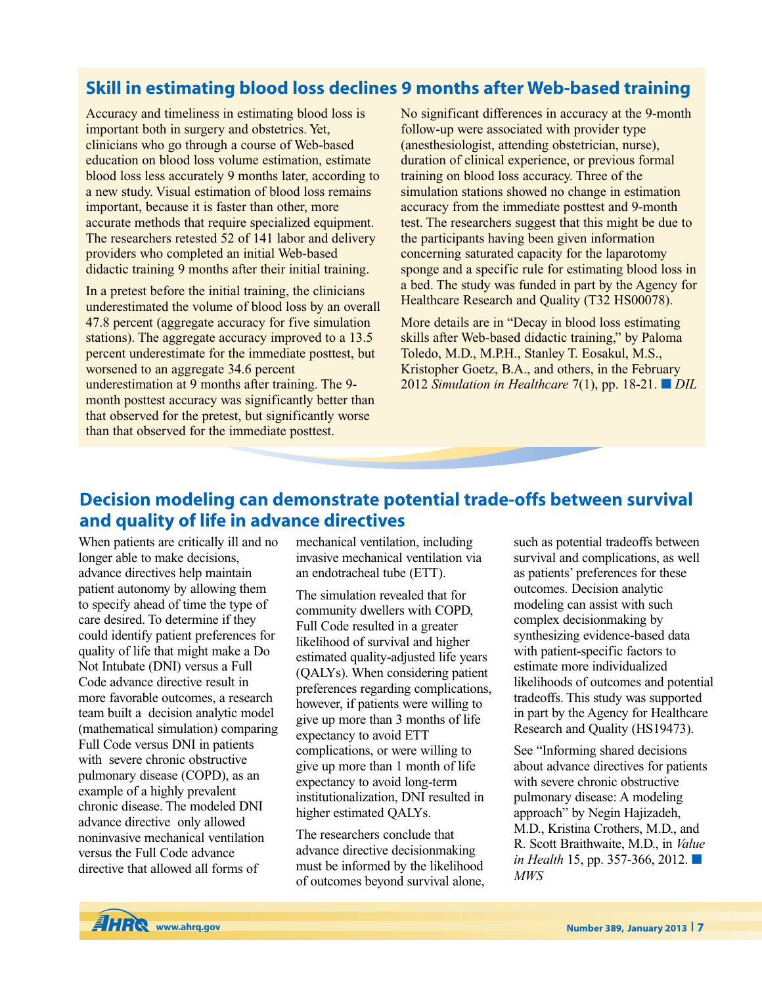# **Skill in estimating blood loss declines 9 months after Web-based training**

Accuracy and timeliness in estimating blood loss is important both in surgery and obstetrics. Yet, clinicians who go through a course of Web-based education on blood loss volume estimation, estimate blood loss less accurately 9 months later, according to a new study. Visual estimation of blood loss remains important, because it is faster than other, more accurate methods that require specialized equipment. The researchers retested 52 of 141 labor and delivery providers who completed an initial Web-based didactic training 9 months after their initial training.

In a pretest before the initial training, the clinicians underestimated the volume of blood loss by an overall 47.8 percent (aggregate accuracy for five simulation stations). The aggregate accuracy improved to a 13.5 percent underestimate for the immediate posttest, but worsened to an aggregate 34.6 percent underestimation at 9 months after training. The 9 month posttest accuracy was significantly better than that observed for the pretest, but significantly worse than that observed for the immediate posttest.

No significant differences in accuracy at the 9-month follow-up were associated with provider type (anesthesiologist, attending obstetrician, nurse), duration of clinical experience, or previous formal training on blood loss accuracy. Three of the simulation stations showed no change in estimation accuracy from the immediate posttest and 9-month test. The researchers suggest that this might be due to the participants having been given information concerning saturated capacity for the laparotomy sponge and a specific rule for estimating blood loss in a bed. The study was funded in part by the Agency for Healthcare Research and Quality (T32 HS00078).

More details are in "Decay in blood loss estimating skills after Web-based didactic training," by Paloma Toledo, M.D., M.P.H., Stanley T. Eosakul, M.S., Kristopher Goetz, B.A., and others, in the February 2012 *Simulation in Healthcare* 7(1), pp. 18-21. **■** *DIL*

## **Decision modeling can demonstrate potential trade-offs between survival and quality of life in advance directives**

When patients are critically ill and no longer able to make decisions, advance directives help maintain patient autonomy by allowing them to specify ahead of time the type of care desired. To determine if they could identify patient preferences for quality of life that might make a Do Not Intubate (DNI) versus a Full Code advance directive result in more favorable outcomes, a research team built a decision analytic model (mathematical simulation) comparing Full Code versus DNI in patients with severe chronic obstructive pulmonary disease (COPD), as an example of a highly prevalent chronic disease. The modeled DNI advance directive only allowed noninvasive mechanical ventilation versus the Full Code advance directive that allowed all forms of

mechanical ventilation, including invasive mechanical ventilation via an endotracheal tube (ETT).

The simulation revealed that for community dwellers with COPD, Full Code resulted in a greater likelihood of survival and higher estimated quality-adjusted life years (QALYs). When considering patient preferences regarding complications, however, if patients were willing to give up more than 3 months of life expectancy to avoid ETT complications, or were willing to give up more than 1 month of life expectancy to avoid long-term institutionalization, DNI resulted in higher estimated QALYs.

The researchers conclude that advance directive decisionmaking must be informed by the likelihood of outcomes beyond survival alone,

such as potential tradeoffs between survival and complications, as well as patients' preferences for these outcomes. Decision analytic modeling can assist with such complex decisionmaking by synthesizing evidence-based data with patient-specific factors to estimate more individualized likelihoods of outcomes and potential tradeoffs. This study was supported in part by the Agency for Healthcare Research and Quality (HS19473).

See "Informing shared decisions about advance directives for patients with severe chronic obstructive pulmonary disease: A modeling approach" by Negin Hajizadeh, M.D., Kristina Crothers, M.D., and R. Scott Braithwaite, M.D., in *Value in Health* 15, pp. 357-366, 2012. **■** *MWS*

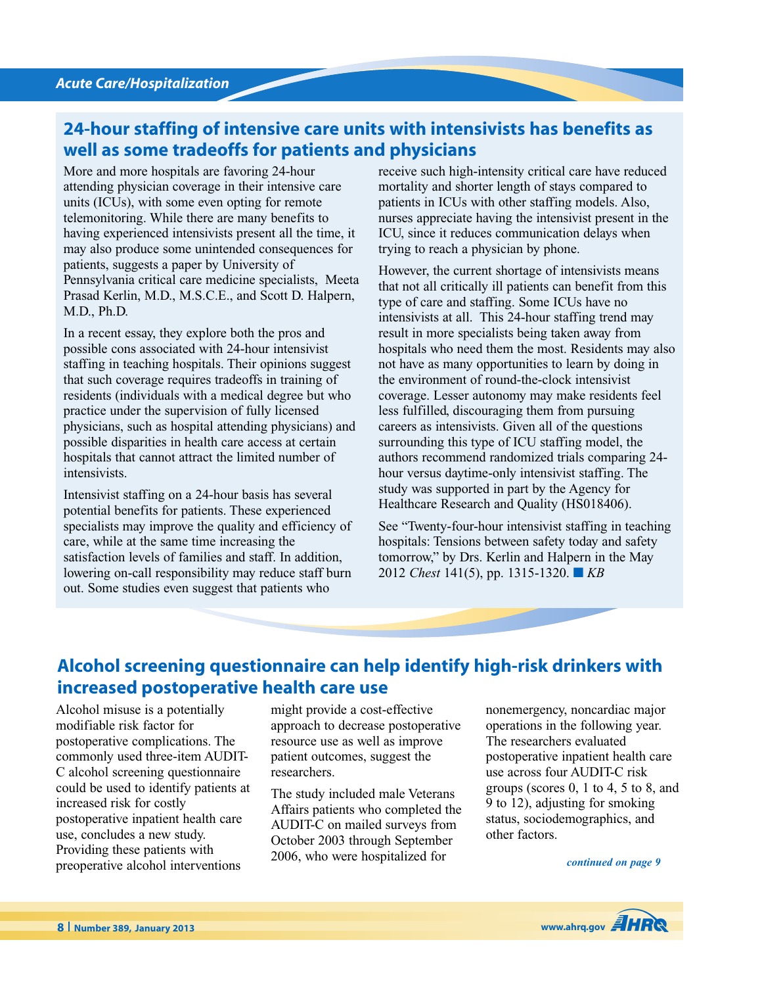# **24-hour staffing of intensive care units with intensivists has benefits as well as some tradeoffs for patients and physicians**

More and more hospitals are favoring 24-hour attending physician coverage in their intensive care units (ICUs), with some even opting for remote telemonitoring. While there are many benefits to having experienced intensivists present all the time, it may also produce some unintended consequences for patients, suggests a paper by University of Pennsylvania critical care medicine specialists, Meeta Prasad Kerlin, M.D., M.S.C.E., and Scott D. Halpern, M.D., Ph.D.

In a recent essay, they explore both the pros and possible cons associated with 24-hour intensivist staffing in teaching hospitals. Their opinions suggest that such coverage requires tradeoffs in training of residents (individuals with a medical degree but who practice under the supervision of fully licensed physicians, such as hospital attending physicians) and possible disparities in health care access at certain hospitals that cannot attract the limited number of intensivists.

Intensivist staffing on a 24-hour basis has several potential benefits for patients. These experienced specialists may improve the quality and efficiency of care, while at the same time increasing the satisfaction levels of families and staff. In addition, lowering on-call responsibility may reduce staff burn out. Some studies even suggest that patients who

receive such high-intensity critical care have reduced mortality and shorter length of stays compared to patients in ICUs with other staffing models. Also, nurses appreciate having the intensivist present in the ICU, since it reduces communication delays when trying to reach a physician by phone.

However, the current shortage of intensivists means that not all critically ill patients can benefit from this type of care and staffing. Some ICUs have no intensivists at all. This 24-hour staffing trend may result in more specialists being taken away from hospitals who need them the most. Residents may also not have as many opportunities to learn by doing in the environment of round-the-clock intensivist coverage. Lesser autonomy may make residents feel less fulfilled, discouraging them from pursuing careers as intensivists. Given all of the questions surrounding this type of ICU staffing model, the authors recommend randomized trials comparing 24 hour versus daytime-only intensivist staffing. The study was supported in part by the Agency for Healthcare Research and Quality (HS018406).

See "Twenty-four-hour intensivist staffing in teaching hospitals: Tensions between safety today and safety tomorrow," by Drs. Kerlin and Halpern in the May 2012 *Chest* 141(5), pp. 1315-1320. **■** *KB*

## **Alcohol screening questionnaire can help identify high-risk drinkers with increased postoperative health care use**

Alcohol misuse is a potentially modifiable risk factor for postoperative complications. The commonly used three-item AUDIT-C alcohol screening questionnaire could be used to identify patients at increased risk for costly postoperative inpatient health care use, concludes a new study. Providing these patients with preoperative alcohol interventions

might provide a cost-effective approach to decrease postoperative resource use as well as improve patient outcomes, suggest the researchers.

The study included male Veterans Affairs patients who completed the AUDIT-C on mailed surveys from October 2003 through September 2006, who were hospitalized for

nonemergency, noncardiac major operations in the following year. The researchers evaluated postoperative inpatient health care use across four AUDIT-C risk groups (scores 0, 1 to 4, 5 to 8, and 9 to 12), adjusting for smoking status, sociodemographics, and other factors.

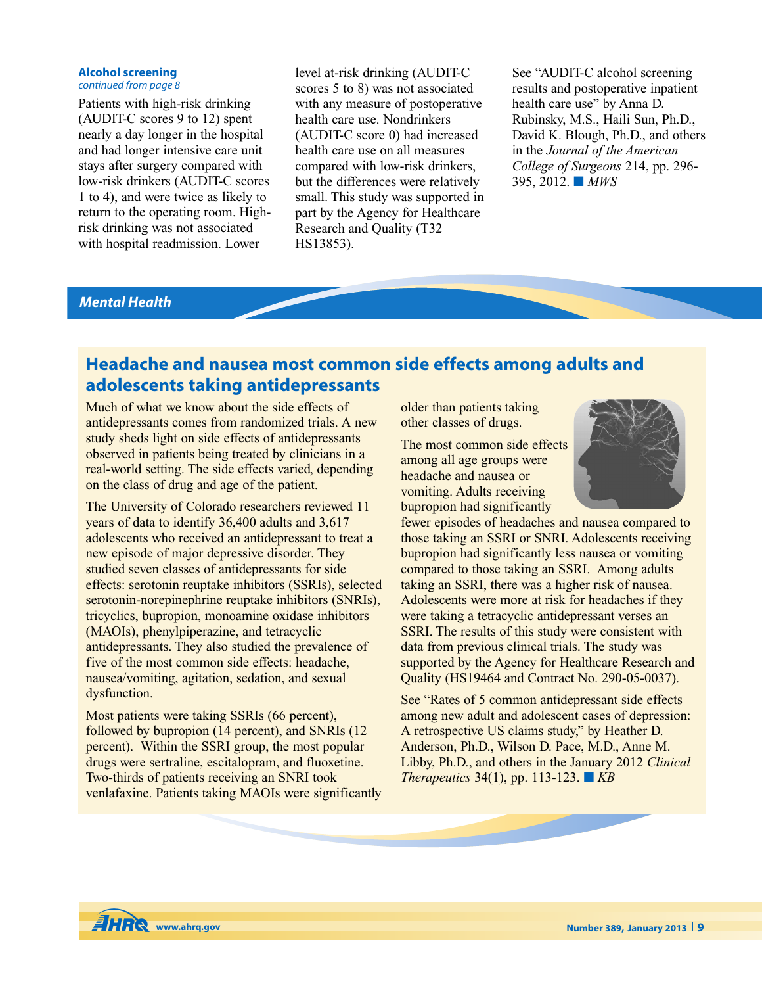### **Alcohol screening**

### *continued from page 8*

Patients with high-risk drinking (AUDIT-C scores 9 to 12) spent nearly a day longer in the hospital and had longer intensive care unit stays after surgery compared with low-risk drinkers (AUDIT-C scores 1 to 4), and were twice as likely to return to the operating room. Highrisk drinking was not associated with hospital readmission. Lower

level at-risk drinking (AUDIT-C scores 5 to 8) was not associated with any measure of postoperative health care use. Nondrinkers (AUDIT-C score 0) had increased health care use on all measures compared with low-risk drinkers, but the differences were relatively small. This study was supported in part by the Agency for Healthcare Research and Quality (T32 HS13853).

See "AUDIT-C alcohol screening results and postoperative inpatient health care use" by Anna D. Rubinsky, M.S., Haili Sun, Ph.D., David K. Blough, Ph.D., and others in the *Journal of the American College of Surgeons* 214, pp. 296- 395, 2012. **■** *MWS*

## *Mental Health*

# **Headache and nausea most common side effects among adults and adolescents taking antidepressants**

Much of what we know about the side effects of antidepressants comes from randomized trials. A new study sheds light on side effects of antidepressants observed in patients being treated by clinicians in a real-world setting. The side effects varied, depending on the class of drug and age of the patient.

The University of Colorado researchers reviewed 11 years of data to identify 36,400 adults and 3,617 adolescents who received an antidepressant to treat a new episode of major depressive disorder. They studied seven classes of antidepressants for side effects: serotonin reuptake inhibitors (SSRIs), selected serotonin-norepinephrine reuptake inhibitors (SNRIs), tricyclics, bupropion, monoamine oxidase inhibitors (MAOIs), phenylpiperazine, and tetracyclic antidepressants. They also studied the prevalence of five of the most common side effects: headache, nausea/vomiting, agitation, sedation, and sexual dysfunction.

Most patients were taking SSRIs (66 percent), followed by bupropion (14 percent), and SNRIs (12 percent). Within the SSRI group, the most popular drugs were sertraline, escitalopram, and fluoxetine. Two-thirds of patients receiving an SNRI took venlafaxine. Patients taking MAOIs were significantly

older than patients taking other classes of drugs.

The most common side effects among all age groups were headache and nausea or vomiting. Adults receiving bupropion had significantly



fewer episodes of headaches and nausea compared to those taking an SSRI or SNRI. Adolescents receiving bupropion had significantly less nausea or vomiting compared to those taking an SSRI. Among adults taking an SSRI, there was a higher risk of nausea. Adolescents were more at risk for headaches if they were taking a tetracyclic antidepressant verses an SSRI. The results of this study were consistent with data from previous clinical trials. The study was supported by the Agency for Healthcare Research and Quality (HS19464 and Contract No. 290-05-0037).

See "Rates of 5 common antidepressant side effects among new adult and adolescent cases of depression: A retrospective US claims study," by Heather D. Anderson, Ph.D., Wilson D. Pace, M.D., Anne M. Libby, Ph.D., and others in the January 2012 *Clinical Therapeutics* 34(1), pp. 113-123. **■** *KB*

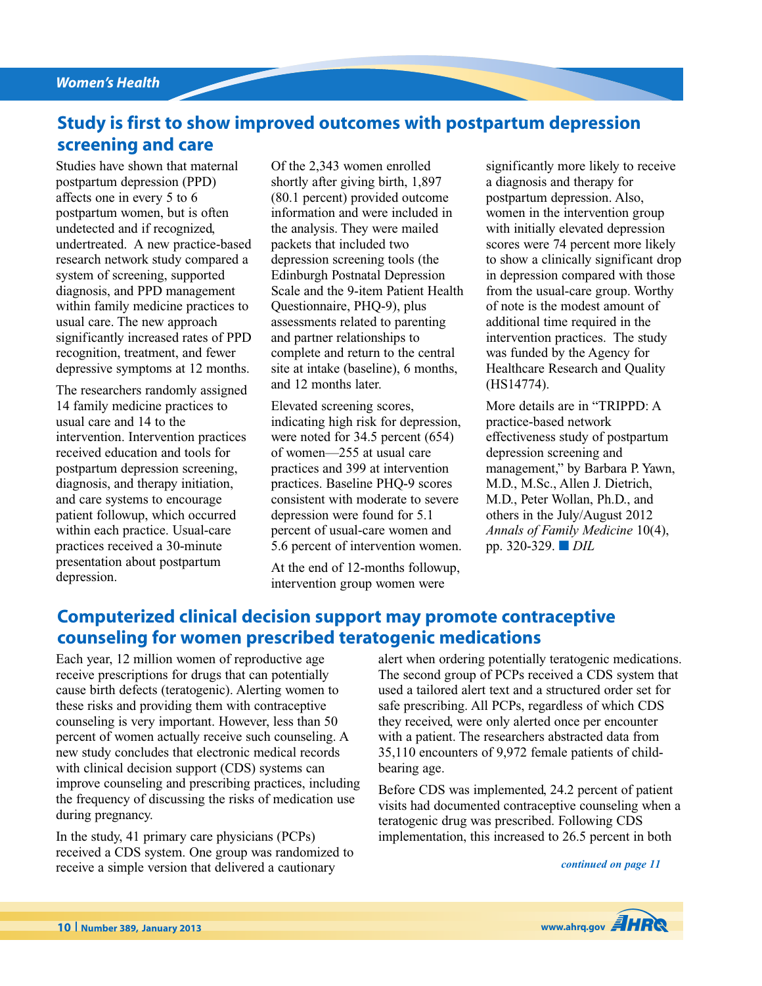## **Study is first to show improved outcomes with postpartum depression screening and care**

Studies have shown that maternal postpartum depression (PPD) affects one in every 5 to 6 postpartum women, but is often undetected and if recognized, undertreated. A new practice-based research network study compared a system of screening, supported diagnosis, and PPD management within family medicine practices to usual care. The new approach significantly increased rates of PPD recognition, treatment, and fewer depressive symptoms at 12 months.

The researchers randomly assigned 14 family medicine practices to usual care and 14 to the intervention. Intervention practices received education and tools for postpartum depression screening, diagnosis, and therapy initiation, and care systems to encourage patient followup, which occurred within each practice. Usual-care practices received a 30-minute presentation about postpartum depression.

Of the 2,343 women enrolled shortly after giving birth, 1,897 (80.1 percent) provided outcome information and were included in the analysis. They were mailed packets that included two depression screening tools (the Edinburgh Postnatal Depression Scale and the 9-item Patient Health Questionnaire, PHQ-9), plus assessments related to parenting and partner relationships to complete and return to the central site at intake (baseline), 6 months, and 12 months later.

Elevated screening scores, indicating high risk for depression, were noted for 34.5 percent (654) of women—255 at usual care practices and 399 at intervention practices. Baseline PHQ-9 scores consistent with moderate to severe depression were found for 5.1 percent of usual-care women and 5.6 percent of intervention women.

At the end of 12-months followup, intervention group women were

significantly more likely to receive a diagnosis and therapy for postpartum depression. Also, women in the intervention group with initially elevated depression scores were 74 percent more likely to show a clinically significant drop in depression compared with those from the usual-care group. Worthy of note is the modest amount of additional time required in the intervention practices. The study was funded by the Agency for Healthcare Research and Quality (HS14774).

More details are in "TRIPPD: A practice-based network effectiveness study of postpartum depression screening and management," by Barbara P. Yawn, M.D., M.Sc., Allen J. Dietrich, M.D., Peter Wollan, Ph.D., and others in the July/August 2012 *Annals of Family Medicine* 10(4), pp. 320-329. **■** *DIL*

## **Computerized clinical decision support may promote contraceptive counseling for women prescribed teratogenic medications**

Each year, 12 million women of reproductive age receive prescriptions for drugs that can potentially cause birth defects (teratogenic). Alerting women to these risks and providing them with contraceptive counseling is very important. However, less than 50 percent of women actually receive such counseling. A new study concludes that electronic medical records with clinical decision support (CDS) systems can improve counseling and prescribing practices, including the frequency of discussing the risks of medication use during pregnancy.

In the study, 41 primary care physicians (PCPs) received a CDS system. One group was randomized to receive a simple version that delivered a cautionary

alert when ordering potentially teratogenic medications. The second group of PCPs received a CDS system that used a tailored alert text and a structured order set for safe prescribing. All PCPs, regardless of which CDS they received, were only alerted once per encounter with a patient. The researchers abstracted data from 35,110 encounters of 9,972 female patients of childbearing age.

Before CDS was implemented, 24.2 percent of patient visits had documented contraceptive counseling when a teratogenic drug was prescribed. Following CDS implementation, this increased to 26.5 percent in both

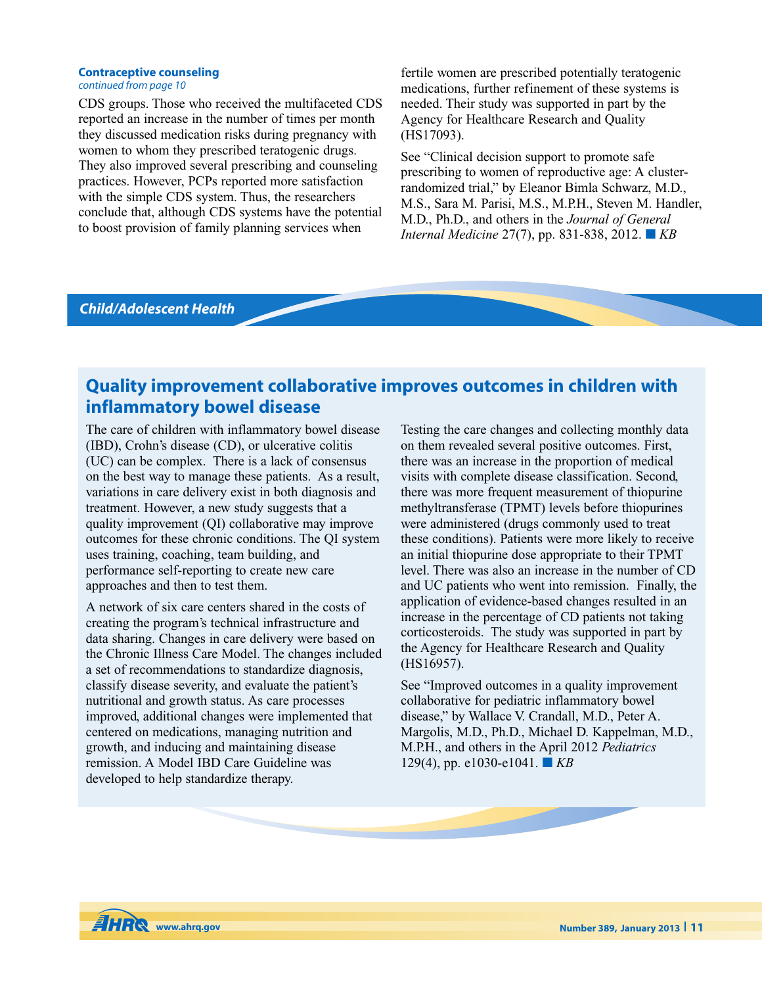#### **Contraceptive counseling** *continued from page 10*

CDS groups. Those who received the multifaceted CDS reported an increase in the number of times per month they discussed medication risks during pregnancy with women to whom they prescribed teratogenic drugs. They also improved several prescribing and counseling practices. However, PCPs reported more satisfaction with the simple CDS system. Thus, the researchers conclude that, although CDS systems have the potential to boost provision of family planning services when

fertile women are prescribed potentially teratogenic medications, further refinement of these systems is needed. Their study was supported in part by the Agency for Healthcare Research and Quality (HS17093).

See "Clinical decision support to promote safe prescribing to women of reproductive age: A clusterrandomized trial," by Eleanor Bimla Schwarz, M.D., M.S., Sara M. Parisi, M.S., M.P.H., Steven M. Handler, M.D., Ph.D., and others in the *Journal of General Internal Medicine* 27(7), pp. 831-838, 2012. **■** *KB*

### *Child/Adolescent Health*

## **Quality improvement collaborative improves outcomes in children with inflammatory bowel disease**

The care of children with inflammatory bowel disease (IBD), Crohn's disease (CD), or ulcerative colitis (UC) can be complex. There is a lack of consensus on the best way to manage these patients. As a result, variations in care delivery exist in both diagnosis and treatment. However, a new study suggests that a quality improvement (QI) collaborative may improve outcomes for these chronic conditions. The QI system uses training, coaching, team building, and performance self-reporting to create new care approaches and then to test them.

A network of six care centers shared in the costs of creating the program's technical infrastructure and data sharing. Changes in care delivery were based on the Chronic Illness Care Model. The changes included a set of recommendations to standardize diagnosis, classify disease severity, and evaluate the patient's nutritional and growth status. As care processes improved, additional changes were implemented that centered on medications, managing nutrition and growth, and inducing and maintaining disease remission. A Model IBD Care Guideline was developed to help standardize therapy.

Testing the care changes and collecting monthly data on them revealed several positive outcomes. First, there was an increase in the proportion of medical visits with complete disease classification. Second, there was more frequent measurement of thiopurine methyltransferase (TPMT) levels before thiopurines were administered (drugs commonly used to treat these conditions). Patients were more likely to receive an initial thiopurine dose appropriate to their TPMT level. There was also an increase in the number of CD and UC patients who went into remission. Finally, the application of evidence-based changes resulted in an increase in the percentage of CD patients not taking corticosteroids. The study was supported in part by the Agency for Healthcare Research and Quality (HS16957).

See "Improved outcomes in a quality improvement collaborative for pediatric inflammatory bowel disease," by Wallace V. Crandall, M.D., Peter A. Margolis, M.D., Ph.D., Michael D. Kappelman, M.D., M.P.H., and others in the April 2012 *Pediatrics* 129(4), pp. e1030-e1041. **■** *KB*

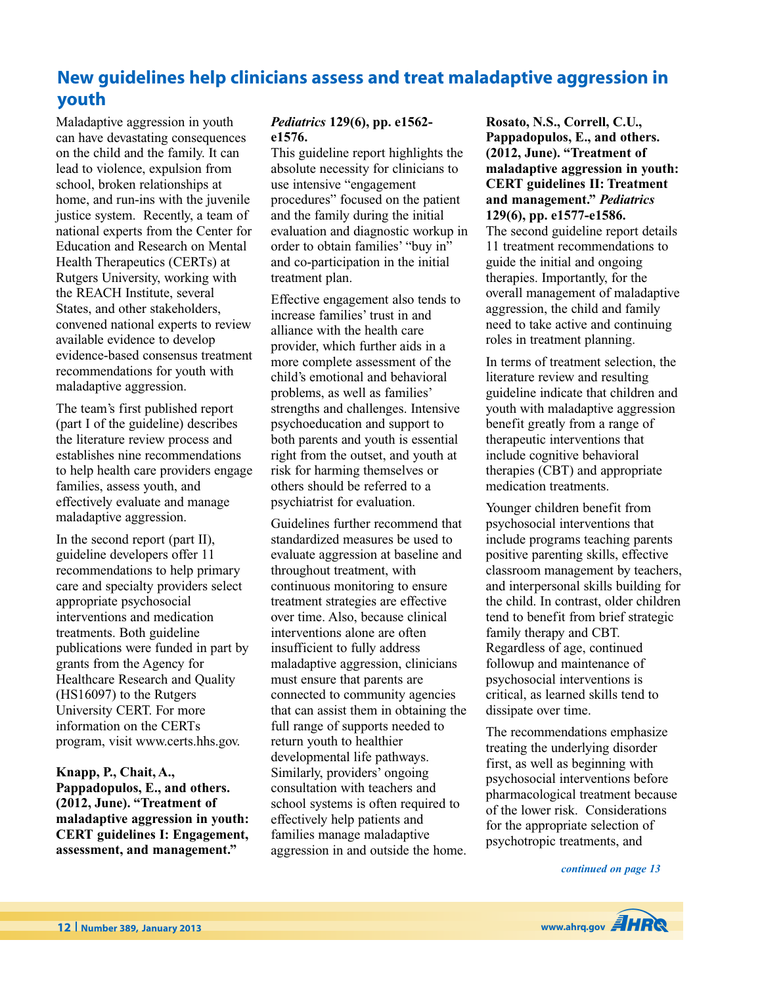# **New guidelines help clinicians assess and treat maladaptive aggression in youth**

Maladaptive aggression in youth can have devastating consequences on the child and the family. It can lead to violence, expulsion from school, broken relationships at home, and run-ins with the juvenile justice system. Recently, a team of national experts from the Center for Education and Research on Mental Health Therapeutics (CERTs) at Rutgers University, working with the REACH Institute, several States, and other stakeholders, convened national experts to review available evidence to develop evidence-based consensus treatment recommendations for youth with maladaptive aggression.

The team's first published report (part I of the guideline) describes the literature review process and establishes nine recommendations to help health care providers engage families, assess youth, and effectively evaluate and manage maladaptive aggression.

In the second report (part II), guideline developers offer 11 recommendations to help primary care and specialty providers select appropriate psychosocial interventions and medication treatments. Both guideline publications were funded in part by grants from the Agency for Healthcare Research and Quality (HS16097) to the Rutgers University CERT. For more information on the CERTs program, visit www.certs.hhs.gov.

**Knapp, P., Chait, A., Pappadopulos, E., and others. (2012, June). "Treatment of maladaptive aggression in youth: CERT guidelines I: Engagement, assessment, and management."**

### *Pediatrics* **129(6), pp. e1562 e1576.**

This guideline report highlights the absolute necessity for clinicians to use intensive "engagement procedures" focused on the patient and the family during the initial evaluation and diagnostic workup in order to obtain families' "buy in" and co-participation in the initial treatment plan.

Effective engagement also tends to increase families' trust in and alliance with the health care provider, which further aids in a more complete assessment of the child's emotional and behavioral problems, as well as families' strengths and challenges. Intensive psychoeducation and support to both parents and youth is essential right from the outset, and youth at risk for harming themselves or others should be referred to a psychiatrist for evaluation.

Guidelines further recommend that standardized measures be used to evaluate aggression at baseline and throughout treatment, with continuous monitoring to ensure treatment strategies are effective over time. Also, because clinical interventions alone are often insufficient to fully address maladaptive aggression, clinicians must ensure that parents are connected to community agencies that can assist them in obtaining the full range of supports needed to return youth to healthier developmental life pathways. Similarly, providers' ongoing consultation with teachers and school systems is often required to effectively help patients and families manage maladaptive aggression in and outside the home.

**Rosato, N.S., Correll, C.U., Pappadopulos, E., and others. (2012, June). "Treatment of maladaptive aggression in youth: CERT guidelines II: Treatment and management."** *Pediatrics* **129(6), pp. e1577-e1586.** The second guideline report details 11 treatment recommendations to guide the initial and ongoing therapies. Importantly, for the overall management of maladaptive aggression, the child and family need to take active and continuing roles in treatment planning.

In terms of treatment selection, the literature review and resulting guideline indicate that children and youth with maladaptive aggression benefit greatly from a range of therapeutic interventions that include cognitive behavioral therapies (CBT) and appropriate medication treatments.

Younger children benefit from psychosocial interventions that include programs teaching parents positive parenting skills, effective classroom management by teachers, and interpersonal skills building for the child. In contrast, older children tend to benefit from brief strategic family therapy and CBT. Regardless of age, continued followup and maintenance of psychosocial interventions is critical, as learned skills tend to dissipate over time.

The recommendations emphasize treating the underlying disorder first, as well as beginning with psychosocial interventions before pharmacological treatment because of the lower risk. Considerations for the appropriate selection of psychotropic treatments, and

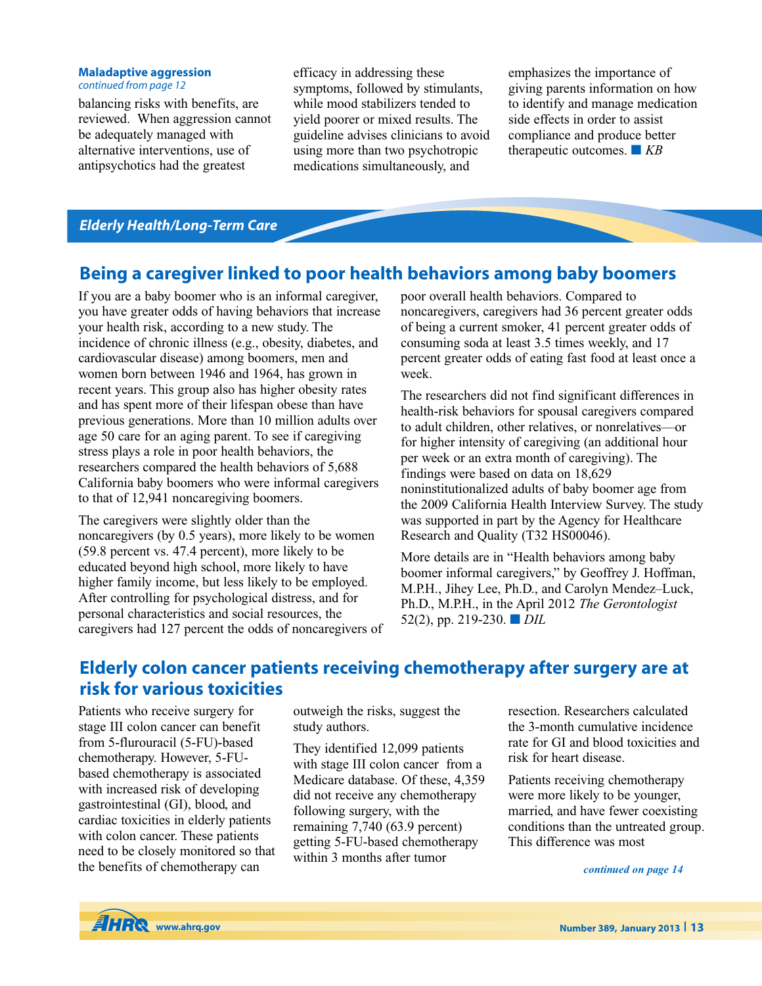#### **Maladaptive aggression** *continued from page 12*

balancing risks with benefits, are reviewed. When aggression cannot be adequately managed with alternative interventions, use of antipsychotics had the greatest

efficacy in addressing these symptoms, followed by stimulants, while mood stabilizers tended to yield poorer or mixed results. The guideline advises clinicians to avoid using more than two psychotropic medications simultaneously, and

emphasizes the importance of giving parents information on how to identify and manage medication side effects in order to assist compliance and produce better therapeutic outcomes. **■** *KB*

## *Elderly Health/Long-Term Care*

## **Being a caregiver linked to poor health behaviors among baby boomers**

If you are a baby boomer who is an informal caregiver, you have greater odds of having behaviors that increase your health risk, according to a new study. The incidence of chronic illness (e.g., obesity, diabetes, and cardiovascular disease) among boomers, men and women born between 1946 and 1964, has grown in recent years. This group also has higher obesity rates and has spent more of their lifespan obese than have previous generations. More than 10 million adults over age 50 care for an aging parent. To see if caregiving stress plays a role in poor health behaviors, the researchers compared the health behaviors of 5,688 California baby boomers who were informal caregivers to that of 12,941 noncaregiving boomers.

The caregivers were slightly older than the noncaregivers (by 0.5 years), more likely to be women (59.8 percent vs. 47.4 percent), more likely to be educated beyond high school, more likely to have higher family income, but less likely to be employed. After controlling for psychological distress, and for personal characteristics and social resources, the caregivers had 127 percent the odds of noncaregivers of

poor overall health behaviors. Compared to noncaregivers, caregivers had 36 percent greater odds of being a current smoker, 41 percent greater odds of consuming soda at least 3.5 times weekly, and 17 percent greater odds of eating fast food at least once a week.

The researchers did not find significant differences in health-risk behaviors for spousal caregivers compared to adult children, other relatives, or nonrelatives—or for higher intensity of caregiving (an additional hour per week or an extra month of caregiving). The findings were based on data on 18,629 noninstitutionalized adults of baby boomer age from the 2009 California Health Interview Survey. The study was supported in part by the Agency for Healthcare Research and Quality (T32 HS00046).

More details are in "Health behaviors among baby boomer informal caregivers," by Geoffrey J. Hoffman, M.P.H., Jihey Lee, Ph.D., and Carolyn Mendez–Luck, Ph.D., M.P.H., in the April 2012 *The Gerontologist* 52(2), pp. 219-230. **■** *DIL*

# **Elderly colon cancer patients receiving chemotherapy after surgery are at risk for various toxicities**

Patients who receive surgery for stage III colon cancer can benefit from 5-flurouracil (5-FU)-based chemotherapy. However, 5-FUbased chemotherapy is associated with increased risk of developing gastrointestinal (GI), blood, and cardiac toxicities in elderly patients with colon cancer. These patients need to be closely monitored so that the benefits of chemotherapy can

outweigh the risks, suggest the study authors.

They identified 12,099 patients with stage III colon cancer from a Medicare database. Of these, 4,359 did not receive any chemotherapy following surgery, with the remaining 7,740 (63.9 percent) getting 5-FU-based chemotherapy within 3 months after tumor

resection. Researchers calculated the 3-month cumulative incidence rate for GI and blood toxicities and risk for heart disease.

Patients receiving chemotherapy were more likely to be younger, married, and have fewer coexisting conditions than the untreated group. This difference was most

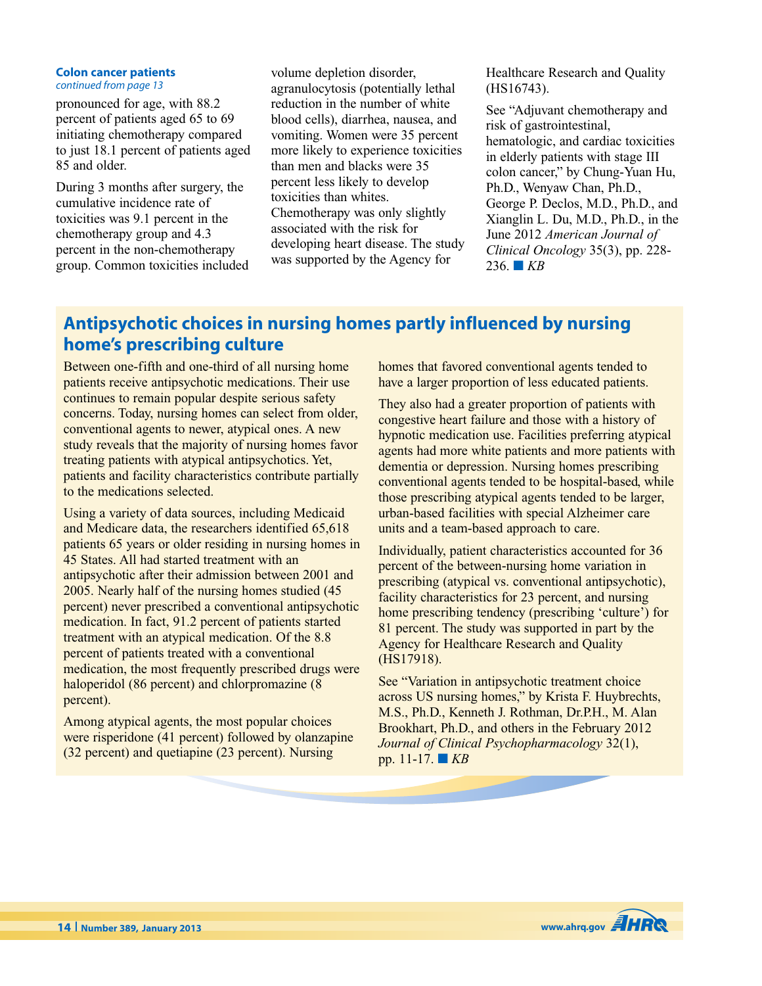#### **Colon cancer patients** *continued from page 13*

pronounced for age, with 88.2 percent of patients aged 65 to 69 initiating chemotherapy compared to just 18.1 percent of patients aged 85 and older.

During 3 months after surgery, the cumulative incidence rate of toxicities was 9.1 percent in the chemotherapy group and 4.3 percent in the non-chemotherapy group. Common toxicities included volume depletion disorder, agranulocytosis (potentially lethal reduction in the number of white blood cells), diarrhea, nausea, and vomiting. Women were 35 percent more likely to experience toxicities than men and blacks were 35 percent less likely to develop toxicities than whites. Chemotherapy was only slightly associated with the risk for developing heart disease. The study was supported by the Agency for

Healthcare Research and Quality (HS16743).

See "Adjuvant chemotherapy and risk of gastrointestinal, hematologic, and cardiac toxicities in elderly patients with stage III colon cancer," by Chung-Yuan Hu, Ph.D., Wenyaw Chan, Ph.D., George P. Declos, M.D., Ph.D., and Xianglin L. Du, M.D., Ph.D., in the June 2012 *American Journal of Clinical Oncology* 35(3), pp. 228-  $236.$  **KB** 

# **Antipsychotic choices in nursing homes partly influenced by nursing home's prescribing culture**

Between one-fifth and one-third of all nursing home patients receive antipsychotic medications. Their use continues to remain popular despite serious safety concerns. Today, nursing homes can select from older, conventional agents to newer, atypical ones. A new study reveals that the majority of nursing homes favor treating patients with atypical antipsychotics. Yet, patients and facility characteristics contribute partially to the medications selected.

Using a variety of data sources, including Medicaid and Medicare data, the researchers identified 65,618 patients 65 years or older residing in nursing homes in 45 States. All had started treatment with an antipsychotic after their admission between 2001 and 2005. Nearly half of the nursing homes studied (45 percent) never prescribed a conventional antipsychotic medication. In fact, 91.2 percent of patients started treatment with an atypical medication. Of the 8.8 percent of patients treated with a conventional medication, the most frequently prescribed drugs were haloperidol (86 percent) and chlorpromazine (8 percent).

Among atypical agents, the most popular choices were risperidone (41 percent) followed by olanzapine (32 percent) and quetiapine (23 percent). Nursing

homes that favored conventional agents tended to have a larger proportion of less educated patients.

They also had a greater proportion of patients with congestive heart failure and those with a history of hypnotic medication use. Facilities preferring atypical agents had more white patients and more patients with dementia or depression. Nursing homes prescribing conventional agents tended to be hospital-based, while those prescribing atypical agents tended to be larger, urban-based facilities with special Alzheimer care units and a team-based approach to care.

Individually, patient characteristics accounted for 36 percent of the between-nursing home variation in prescribing (atypical vs. conventional antipsychotic), facility characteristics for 23 percent, and nursing home prescribing tendency (prescribing 'culture') for 81 percent. The study was supported in part by the Agency for Healthcare Research and Quality (HS17918).

See "Variation in antipsychotic treatment choice across US nursing homes," by Krista F. Huybrechts, M.S., Ph.D., Kenneth J. Rothman, Dr.P.H., M. Alan Brookhart, Ph.D., and others in the February 2012 *Journal of Clinical Psychopharmacology* 32(1), pp. 11-17. **■** *KB*

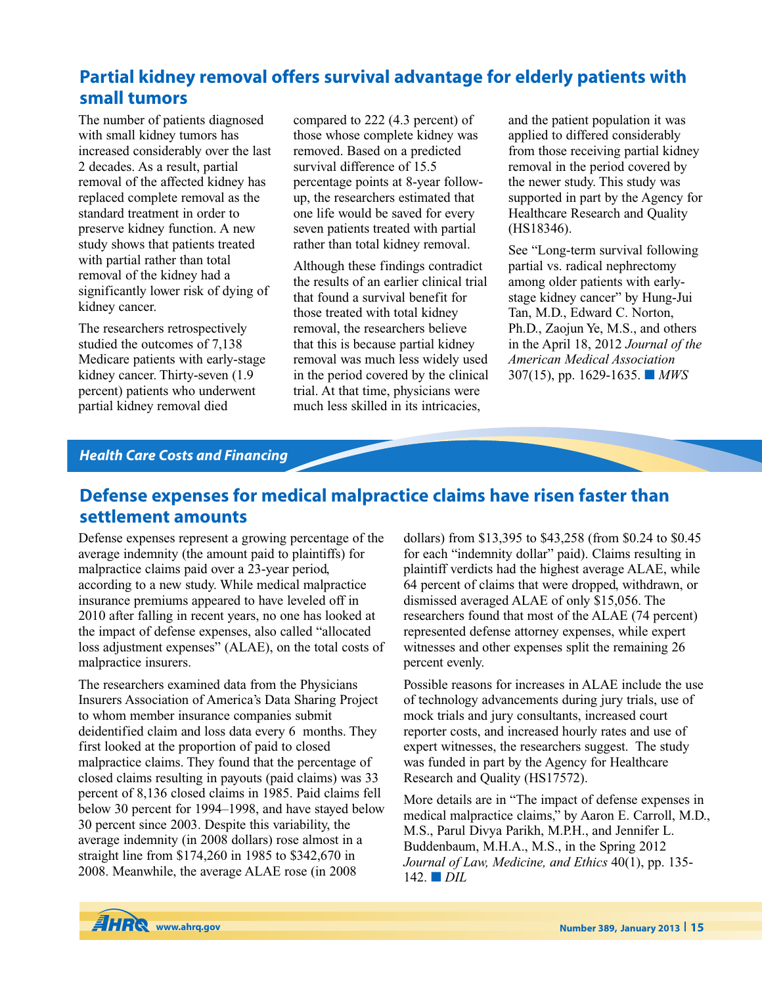# **Partial kidney removal offers survival advantage for elderly patients with small tumors**

The number of patients diagnosed with small kidney tumors has increased considerably over the last 2 decades. As a result, partial removal of the affected kidney has replaced complete removal as the standard treatment in order to preserve kidney function. A new study shows that patients treated with partial rather than total removal of the kidney had a significantly lower risk of dying of kidney cancer.

The researchers retrospectively studied the outcomes of 7,138 Medicare patients with early-stage kidney cancer. Thirty-seven (1.9 percent) patients who underwent partial kidney removal died

compared to 222 (4.3 percent) of those whose complete kidney was removed. Based on a predicted survival difference of 15.5 percentage points at 8-year followup, the researchers estimated that one life would be saved for every seven patients treated with partial rather than total kidney removal.

Although these findings contradict the results of an earlier clinical trial that found a survival benefit for those treated with total kidney removal, the researchers believe that this is because partial kidney removal was much less widely used in the period covered by the clinical trial. At that time, physicians were much less skilled in its intricacies,

and the patient population it was applied to differed considerably from those receiving partial kidney removal in the period covered by the newer study. This study was supported in part by the Agency for Healthcare Research and Quality (HS18346).

See "Long-term survival following partial vs. radical nephrectomy among older patients with earlystage kidney cancer" by Hung-Jui Tan, M.D., Edward C. Norton, Ph.D., Zaojun Ye, M.S., and others in the April 18, 2012 *Journal of the American Medical Association* 307(15), pp. 1629-1635. **■** *MWS*

## *Health Care Costs and Financing*

## **Defense expenses for medical malpractice claims have risen faster than settlement amounts**

Defense expenses represent a growing percentage of the average indemnity (the amount paid to plaintiffs) for malpractice claims paid over a 23-year period, according to a new study. While medical malpractice insurance premiums appeared to have leveled off in 2010 after falling in recent years, no one has looked at the impact of defense expenses, also called "allocated loss adjustment expenses" (ALAE), on the total costs of malpractice insurers.

The researchers examined data from the Physicians Insurers Association of America's Data Sharing Project to whom member insurance companies submit deidentified claim and loss data every 6 months. They first looked at the proportion of paid to closed malpractice claims. They found that the percentage of closed claims resulting in payouts (paid claims) was 33 percent of 8,136 closed claims in 1985. Paid claims fell below 30 percent for 1994–1998, and have stayed below 30 percent since 2003. Despite this variability, the average indemnity (in 2008 dollars) rose almost in a straight line from \$174,260 in 1985 to \$342,670 in 2008. Meanwhile, the average ALAE rose (in 2008

dollars) from \$13,395 to \$43,258 (from \$0.24 to \$0.45 for each "indemnity dollar" paid). Claims resulting in plaintiff verdicts had the highest average ALAE, while 64 percent of claims that were dropped, withdrawn, or dismissed averaged ALAE of only \$15,056. The researchers found that most of the ALAE (74 percent) represented defense attorney expenses, while expert witnesses and other expenses split the remaining 26 percent evenly.

Possible reasons for increases in ALAE include the use of technology advancements during jury trials, use of mock trials and jury consultants, increased court reporter costs, and increased hourly rates and use of expert witnesses, the researchers suggest. The study was funded in part by the Agency for Healthcare Research and Quality (HS17572).

More details are in "The impact of defense expenses in medical malpractice claims," by Aaron E. Carroll, M.D., M.S., Parul Divya Parikh, M.P.H., and Jennifer L. Buddenbaum, M.H.A., M.S., in the Spring 2012 *Journal of Law, Medicine, and Ethics* 40(1), pp. 135- 142. **■** *DIL*

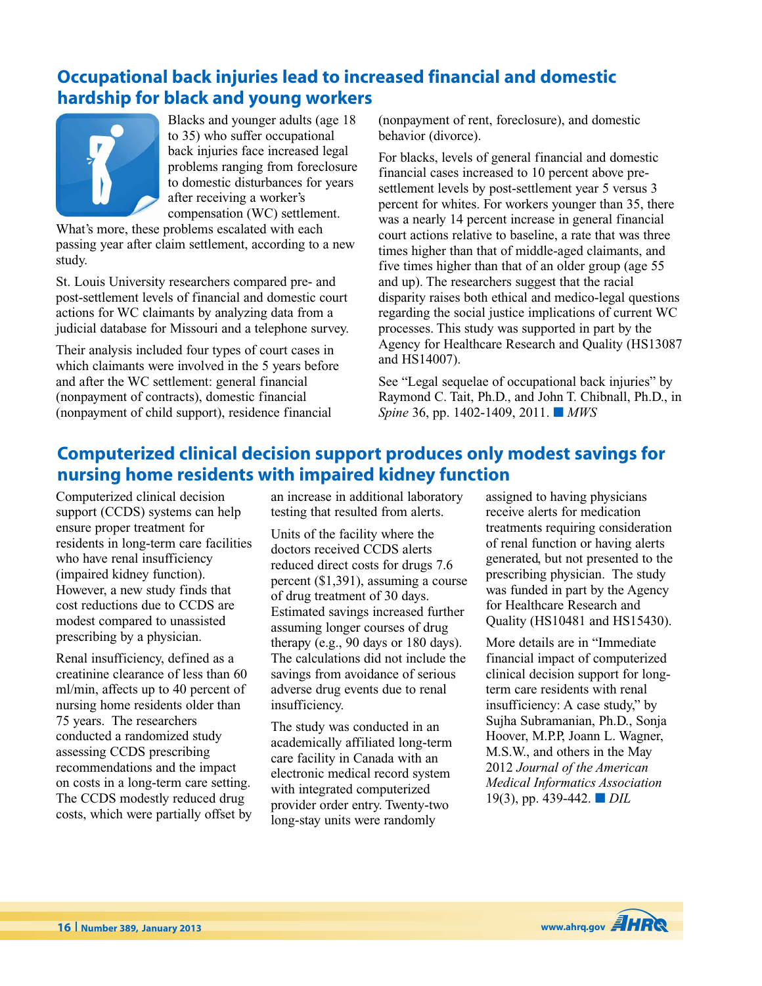# **Occupational back injuries lead to increased financial and domestic hardship for black and young workers**



Blacks and younger adults (age 18 to 35) who suffer occupational back injuries face increased legal problems ranging from foreclosure to domestic disturbances for years after receiving a worker's compensation (WC) settlement.

What's more, these problems escalated with each passing year after claim settlement, according to a new study.

St. Louis University researchers compared pre- and post-settlement levels of financial and domestic court actions for WC claimants by analyzing data from a judicial database for Missouri and a telephone survey.

Their analysis included four types of court cases in which claimants were involved in the 5 years before and after the WC settlement: general financial (nonpayment of contracts), domestic financial (nonpayment of child support), residence financial

(nonpayment of rent, foreclosure), and domestic behavior (divorce).

For blacks, levels of general financial and domestic financial cases increased to 10 percent above presettlement levels by post-settlement year 5 versus 3 percent for whites. For workers younger than 35, there was a nearly 14 percent increase in general financial court actions relative to baseline, a rate that was three times higher than that of middle-aged claimants, and five times higher than that of an older group (age 55 and up). The researchers suggest that the racial disparity raises both ethical and medico-legal questions regarding the social justice implications of current WC processes. This study was supported in part by the Agency for Healthcare Research and Quality (HS13087 and HS14007).

See "Legal sequelae of occupational back injuries" by Raymond C. Tait, Ph.D., and John T. Chibnall, Ph.D., in *Spine* 36, pp. 1402-1409, 2011. **■** *MWS*

# **Computerized clinical decision support produces only modest savings for nursing home residents with impaired kidney function**

Computerized clinical decision support (CCDS) systems can help ensure proper treatment for residents in long-term care facilities who have renal insufficiency (impaired kidney function). However, a new study finds that cost reductions due to CCDS are modest compared to unassisted prescribing by a physician.

Renal insufficiency, defined as a creatinine clearance of less than 60 ml/min, affects up to 40 percent of nursing home residents older than 75 years. The researchers conducted a randomized study assessing CCDS prescribing recommendations and the impact on costs in a long-term care setting. The CCDS modestly reduced drug costs, which were partially offset by an increase in additional laboratory testing that resulted from alerts.

Units of the facility where the doctors received CCDS alerts reduced direct costs for drugs 7.6 percent (\$1,391), assuming a course of drug treatment of 30 days. Estimated savings increased further assuming longer courses of drug therapy (e.g., 90 days or 180 days). The calculations did not include the savings from avoidance of serious adverse drug events due to renal insufficiency.

The study was conducted in an academically affiliated long-term care facility in Canada with an electronic medical record system with integrated computerized provider order entry. Twenty-two long-stay units were randomly

assigned to having physicians receive alerts for medication treatments requiring consideration of renal function or having alerts generated, but not presented to the prescribing physician. The study was funded in part by the Agency for Healthcare Research and Quality (HS10481 and HS15430).

More details are in "Immediate financial impact of computerized clinical decision support for longterm care residents with renal insufficiency: A case study," by Sujha Subramanian, Ph.D., Sonja Hoover, M.P.P, Joann L. Wagner, M.S.W., and others in the May 2012 *Journal of the American Medical Informatics Association* 19(3), pp. 439-442. **■** *DIL*

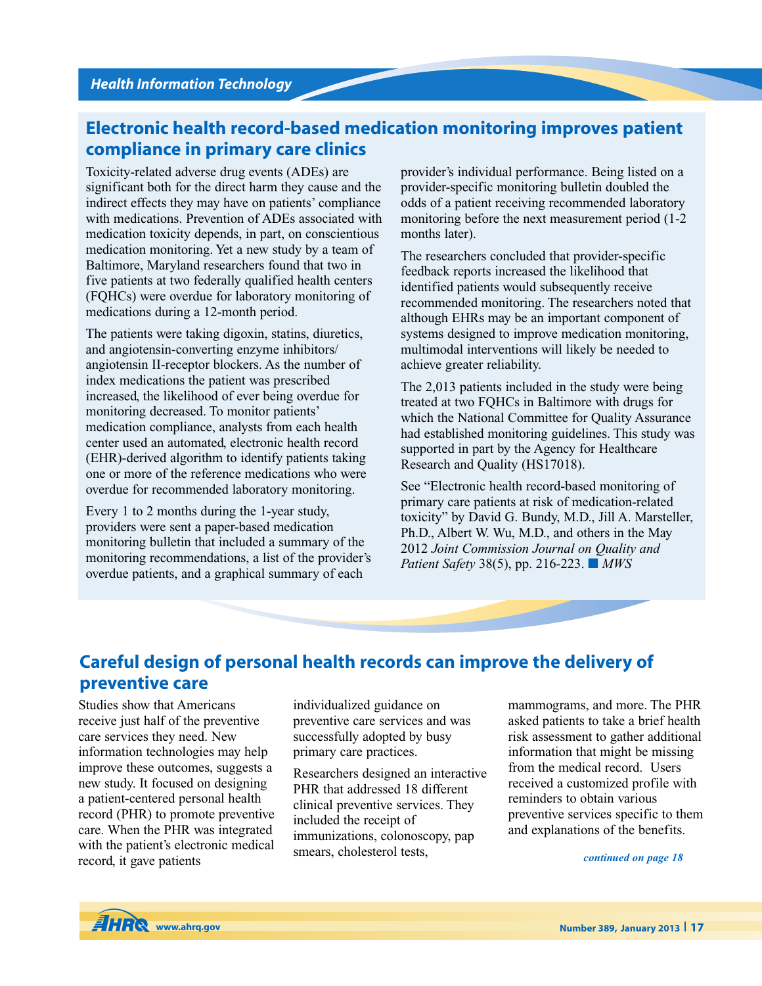## **Electronic health record-based medication monitoring improves patient compliance in primary care clinics**

Toxicity-related adverse drug events (ADEs) are significant both for the direct harm they cause and the indirect effects they may have on patients' compliance with medications. Prevention of ADEs associated with medication toxicity depends, in part, on conscientious medication monitoring. Yet a new study by a team of Baltimore, Maryland researchers found that two in five patients at two federally qualified health centers (FQHCs) were overdue for laboratory monitoring of medications during a 12-month period.

The patients were taking digoxin, statins, diuretics, and angiotensin-converting enzyme inhibitors/ angiotensin II-receptor blockers. As the number of index medications the patient was prescribed increased, the likelihood of ever being overdue for monitoring decreased. To monitor patients' medication compliance, analysts from each health center used an automated, electronic health record (EHR)-derived algorithm to identify patients taking one or more of the reference medications who were overdue for recommended laboratory monitoring.

Every 1 to 2 months during the 1-year study, providers were sent a paper-based medication monitoring bulletin that included a summary of the monitoring recommendations, a list of the provider's overdue patients, and a graphical summary of each

provider's individual performance. Being listed on a provider-specific monitoring bulletin doubled the odds of a patient receiving recommended laboratory monitoring before the next measurement period (1-2 months later).

The researchers concluded that provider-specific feedback reports increased the likelihood that identified patients would subsequently receive recommended monitoring. The researchers noted that although EHRs may be an important component of systems designed to improve medication monitoring, multimodal interventions will likely be needed to achieve greater reliability.

The 2,013 patients included in the study were being treated at two FQHCs in Baltimore with drugs for which the National Committee for Quality Assurance had established monitoring guidelines. This study was supported in part by the Agency for Healthcare Research and Quality (HS17018).

See "Electronic health record-based monitoring of primary care patients at risk of medication-related toxicity" by David G. Bundy, M.D., Jill A. Marsteller, Ph.D., Albert W. Wu, M.D., and others in the May 2012 *Joint Commission Journal on Quality and Patient Safety* 38(5), pp. 216-223. **■** *MWS*

## **Careful design of personal health records can improve the delivery of preventive care**

Studies show that Americans receive just half of the preventive care services they need. New information technologies may help improve these outcomes, suggests a new study. It focused on designing a patient-centered personal health record (PHR) to promote preventive care. When the PHR was integrated with the patient's electronic medical record, it gave patients

individualized guidance on preventive care services and was successfully adopted by busy primary care practices.

Researchers designed an interactive PHR that addressed 18 different clinical preventive services. They included the receipt of immunizations, colonoscopy, pap smears, cholesterol tests,

mammograms, and more. The PHR asked patients to take a brief health risk assessment to gather additional information that might be missing from the medical record. Users received a customized profile with reminders to obtain various preventive services specific to them and explanations of the benefits.

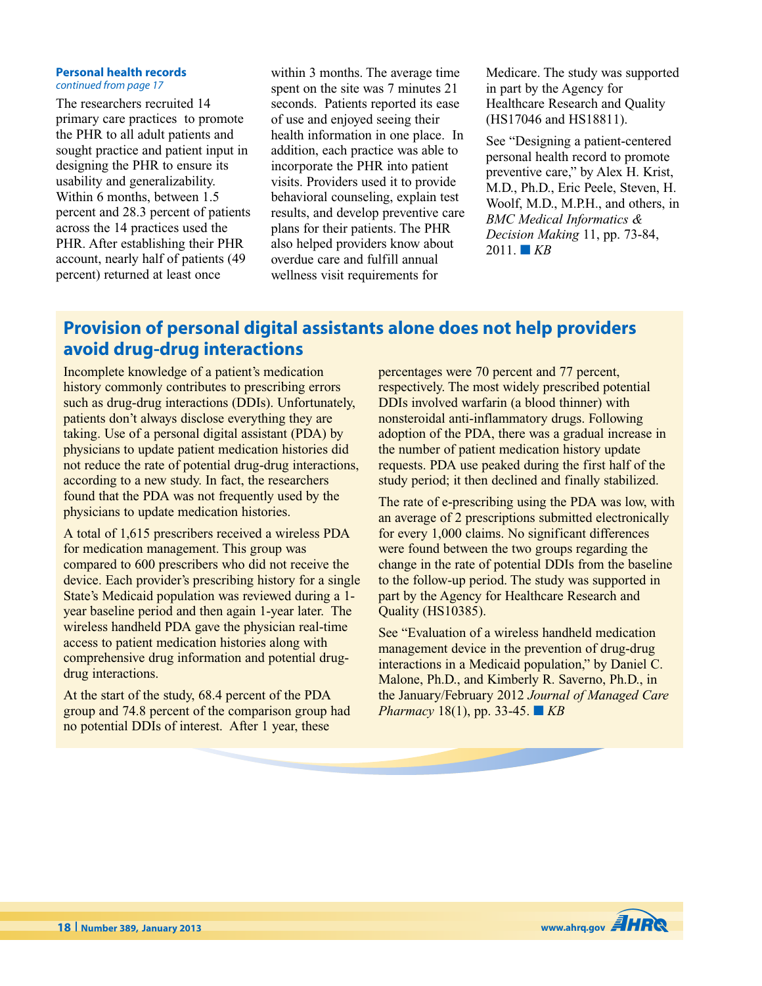#### **Personal health records** *continued from page 17*

The researchers recruited 14 primary care practices to promote the PHR to all adult patients and sought practice and patient input in designing the PHR to ensure its usability and generalizability. Within 6 months, between 1.5 percent and 28.3 percent of patients across the 14 practices used the PHR. After establishing their PHR account, nearly half of patients (49 percent) returned at least once

within 3 months. The average time spent on the site was 7 minutes 21 seconds. Patients reported its ease of use and enjoyed seeing their health information in one place. In addition, each practice was able to incorporate the PHR into patient visits. Providers used it to provide behavioral counseling, explain test results, and develop preventive care plans for their patients. The PHR also helped providers know about overdue care and fulfill annual wellness visit requirements for

Medicare. The study was supported in part by the Agency for Healthcare Research and Quality (HS17046 and HS18811).

See "Designing a patient-centered personal health record to promote preventive care," by Alex H. Krist, M.D., Ph.D., Eric Peele, Steven, H. Woolf, M.D., M.P.H., and others, in *BMC Medical Informatics & Decision Making* 11, pp. 73-84,  $2011.$  **KB** 

## **Provision of personal digital assistants alone does not help providers avoid drug-drug interactions**

Incomplete knowledge of a patient's medication history commonly contributes to prescribing errors such as drug-drug interactions (DDIs). Unfortunately, patients don't always disclose everything they are taking. Use of a personal digital assistant (PDA) by physicians to update patient medication histories did not reduce the rate of potential drug-drug interactions, according to a new study. In fact, the researchers found that the PDA was not frequently used by the physicians to update medication histories.

A total of 1,615 prescribers received a wireless PDA for medication management. This group was compared to 600 prescribers who did not receive the device. Each provider's prescribing history for a single State's Medicaid population was reviewed during a 1 year baseline period and then again 1-year later. The wireless handheld PDA gave the physician real-time access to patient medication histories along with comprehensive drug information and potential drugdrug interactions.

At the start of the study, 68.4 percent of the PDA group and 74.8 percent of the comparison group had no potential DDIs of interest. After 1 year, these

percentages were 70 percent and 77 percent, respectively. The most widely prescribed potential DDIs involved warfarin (a blood thinner) with nonsteroidal anti-inflammatory drugs. Following adoption of the PDA, there was a gradual increase in the number of patient medication history update requests. PDA use peaked during the first half of the study period; it then declined and finally stabilized.

The rate of e-prescribing using the PDA was low, with an average of 2 prescriptions submitted electronically for every 1,000 claims. No significant differences were found between the two groups regarding the change in the rate of potential DDIs from the baseline to the follow-up period. The study was supported in part by the Agency for Healthcare Research and Quality (HS10385).

See "Evaluation of a wireless handheld medication management device in the prevention of drug-drug interactions in a Medicaid population," by Daniel C. Malone, Ph.D., and Kimberly R. Saverno, Ph.D., in the January/February 2012 *Journal of Managed Care Pharmacy* 18(1), pp. 33-45. **■** *KB*

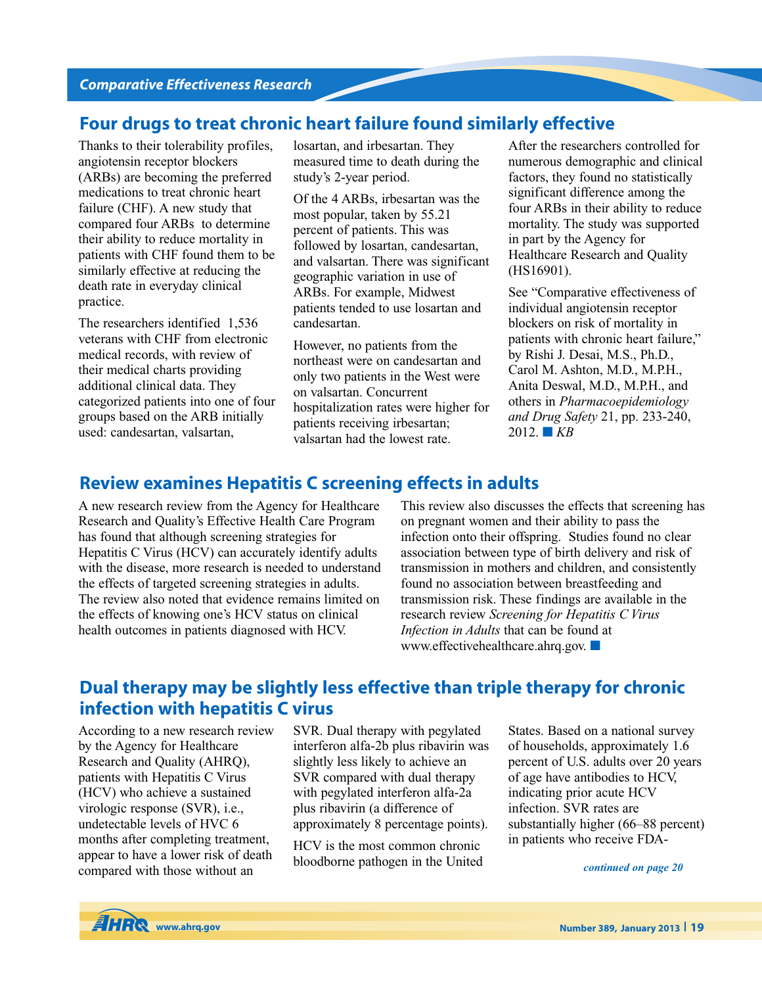# **Four drugs to treat chronic heart failure found similarly effective**

Thanks to their tolerability profiles, angiotensin receptor blockers (ARBs) are becoming the preferred medications to treat chronic heart failure (CHF). A new study that compared four ARBs to determine their ability to reduce mortality in patients with CHF found them to be similarly effective at reducing the death rate in everyday clinical practice.

The researchers identified 1,536 veterans with CHF from electronic medical records, with review of their medical charts providing additional clinical data. They categorized patients into one of four groups based on the ARB initially used: candesartan, valsartan,

losartan, and irbesartan. They measured time to death during the study's 2-year period.

Of the 4 ARBs, irbesartan was the most popular, taken by 55.21 percent of patients. This was followed by losartan, candesartan, and valsartan. There was significant geographic variation in use of ARBs. For example, Midwest patients tended to use losartan and candesartan.

However, no patients from the northeast were on candesartan and only two patients in the West were on valsartan. Concurrent hospitalization rates were higher for patients receiving irbesartan; valsartan had the lowest rate.

After the researchers controlled for numerous demographic and clinical factors, they found no statistically significant difference among the four ARBs in their ability to reduce mortality. The study was supported in part by the Agency for Healthcare Research and Quality (HS16901).

See "Comparative effectiveness of individual angiotensin receptor blockers on risk of mortality in patients with chronic heart failure," by Rishi J. Desai, M.S., Ph.D., Carol M. Ashton, M.D., M.P.H., Anita Deswal, M.D., M.P.H., and others in *Pharmacoepidemiology and Drug Safety* 21, pp. 233-240, 2012. **■** *KB*

## **Review examines Hepatitis C screening effects in adults**

A new research review from the Agency for Healthcare Research and Quality's Effective Health Care Program has found that although screening strategies for Hepatitis C Virus (HCV) can accurately identify adults with the disease, more research is needed to understand the effects of targeted screening strategies in adults. The review also noted that evidence remains limited on the effects of knowing one's HCV status on clinical health outcomes in patients diagnosed with HCV.

This review also discusses the effects that screening has on pregnant women and their ability to pass the infection onto their offspring. Studies found no clear association between type of birth delivery and risk of transmission in mothers and children, and consistently found no association between breastfeeding and transmission risk. These findings are available in the research review *Screening for Hepatitis C Virus Infection in Adults* that can be found at www.effectivehealthcare.ahrq.gov. **■**

## **Dual therapy may be slightly less effective than triple therapy for chronic infection with hepatitis C virus**

According to a new research review by the Agency for Healthcare Research and Quality (AHRQ), patients with Hepatitis C Virus (HCV) who achieve a sustained virologic response (SVR), i.e., undetectable levels of HVC 6 months after completing treatment, appear to have a lower risk of death compared with those without an

SVR. Dual therapy with pegylated interferon alfa-2b plus ribavirin was slightly less likely to achieve an SVR compared with dual therapy with pegylated interferon alfa-2a plus ribavirin (a difference of approximately 8 percentage points).

HCV is the most common chronic bloodborne pathogen in the United States. Based on a national survey of households, approximately 1.6 percent of U.S. adults over 20 years of age have antibodies to HCV, indicating prior acute HCV infection. SVR rates are substantially higher (66–88 percent) in patients who receive FDA-

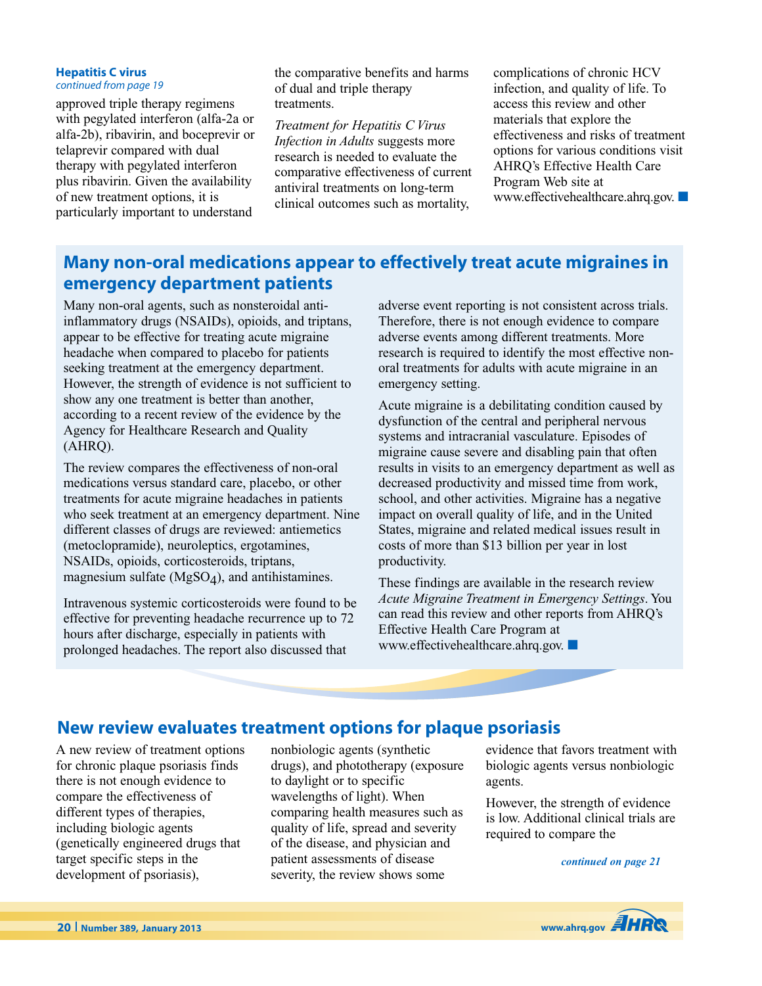#### **Hepatitis C virus** *continued from page 19*

approved triple therapy regimens with pegylated interferon (alfa-2a or alfa-2b), ribavirin, and boceprevir or telaprevir compared with dual therapy with pegylated interferon plus ribavirin. Given the availability of new treatment options, it is particularly important to understand

the comparative benefits and harms of dual and triple therapy treatments.

*Treatment for Hepatitis C Virus Infection in Adults* suggests more research is needed to evaluate the comparative effectiveness of current antiviral treatments on long-term clinical outcomes such as mortality,

complications of chronic HCV infection, and quality of life. To access this review and other materials that explore the effectiveness and risks of treatment options for various conditions visit AHRQ's Effective Health Care Program Web site at www.effectivehealthcare.ahrq.gov. **■**

# **Many non-oral medications appear to effectively treat acute migraines in emergency department patients**

Many non-oral agents, such as nonsteroidal antiinflammatory drugs (NSAIDs), opioids, and triptans, appear to be effective for treating acute migraine headache when compared to placebo for patients seeking treatment at the emergency department. However, the strength of evidence is not sufficient to show any one treatment is better than another, according to a recent review of the evidence by the Agency for Healthcare Research and Quality (AHRQ).

The review compares the effectiveness of non-oral medications versus standard care, placebo, or other treatments for acute migraine headaches in patients who seek treatment at an emergency department. Nine different classes of drugs are reviewed: antiemetics (metoclopramide), neuroleptics, ergotamines, NSAIDs, opioids, corticosteroids, triptans, magnesium sulfate  $(MgSO<sub>4</sub>)$ , and antihistamines.

Intravenous systemic corticosteroids were found to be effective for preventing headache recurrence up to 72 hours after discharge, especially in patients with prolonged headaches. The report also discussed that

adverse event reporting is not consistent across trials. Therefore, there is not enough evidence to compare adverse events among different treatments. More research is required to identify the most effective nonoral treatments for adults with acute migraine in an emergency setting.

Acute migraine is a debilitating condition caused by dysfunction of the central and peripheral nervous systems and intracranial vasculature. Episodes of migraine cause severe and disabling pain that often results in visits to an emergency department as well as decreased productivity and missed time from work, school, and other activities. Migraine has a negative impact on overall quality of life, and in the United States, migraine and related medical issues result in costs of more than \$13 billion per year in lost productivity.

These findings are available in the research review *Acute Migraine Treatment in Emergency Settings*. You can read this review and other reports from AHRQ's Effective Health Care Program at www.effectivehealthcare.ahrq.gov. **■**

## **New review evaluates treatment options for plaque psoriasis**

A new review of treatment options for chronic plaque psoriasis finds there is not enough evidence to compare the effectiveness of different types of therapies, including biologic agents (genetically engineered drugs that target specific steps in the development of psoriasis),

nonbiologic agents (synthetic drugs), and phototherapy (exposure to daylight or to specific wavelengths of light). When comparing health measures such as quality of life, spread and severity of the disease, and physician and patient assessments of disease severity, the review shows some

evidence that favors treatment with biologic agents versus nonbiologic agents.

However, the strength of evidence is low. Additional clinical trials are required to compare the

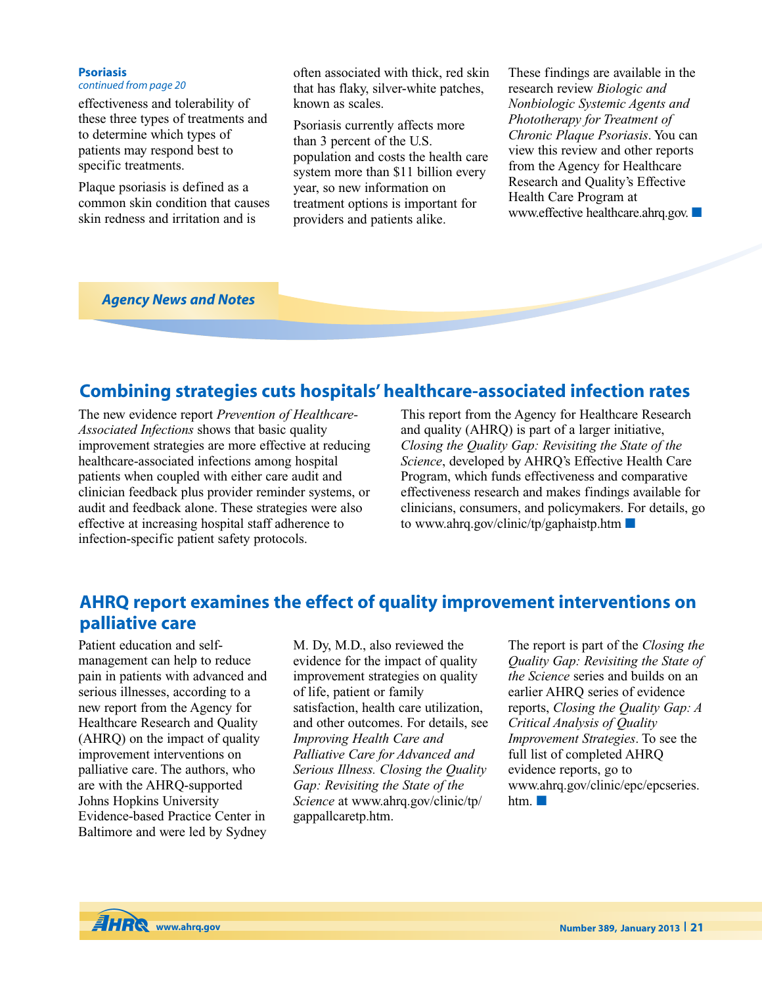#### **Psoriasis**

#### *continued from page 20*

effectiveness and tolerability of these three types of treatments and to determine which types of patients may respond best to specific treatments.

Plaque psoriasis is defined as a common skin condition that causes skin redness and irritation and is

often associated with thick, red skin that has flaky, silver-white patches, known as scales.

Psoriasis currently affects more than 3 percent of the U.S. population and costs the health care system more than \$11 billion every year, so new information on treatment options is important for providers and patients alike.

These findings are available in the research review *Biologic and Nonbiologic Systemic Agents and Phototherapy for Treatment of Chronic Plaque Psoriasis*. You can view this review and other reports from the Agency for Healthcare Research and Quality's Effective Health Care Program at www.effective healthcare.ahrq.gov. **■**

*Agency News and Notes*

## **Combining strategies cuts hospitals' healthcare-associated infection rates**

The new evidence report *Prevention of Healthcare-Associated Infections* shows that basic quality improvement strategies are more effective at reducing healthcare-associated infections among hospital patients when coupled with either care audit and clinician feedback plus provider reminder systems, or audit and feedback alone. These strategies were also effective at increasing hospital staff adherence to infection-specific patient safety protocols.

This report from the Agency for Healthcare Research and quality (AHRQ) is part of a larger initiative, *Closing the Quality Gap: Revisiting the State of the Science*, developed by AHRQ's Effective Health Care Program, which funds effectiveness and comparative effectiveness research and makes findings available for clinicians, consumers, and policymakers. For details, go to www.ahrq.gov/clinic/tp/gaphaistp.htm **■**

## **AHRQ report examines the effect of quality improvement interventions on palliative care**

Patient education and selfmanagement can help to reduce pain in patients with advanced and serious illnesses, according to a new report from the Agency for Healthcare Research and Quality (AHRQ) on the impact of quality improvement interventions on palliative care. The authors, who are with the AHRQ-supported Johns Hopkins University Evidence-based Practice Center in Baltimore and were led by Sydney

M. Dy, M.D., also reviewed the evidence for the impact of quality improvement strategies on quality of life, patient or family satisfaction, health care utilization, and other outcomes. For details, see *Improving Health Care and Palliative Care for Advanced and Serious Illness. Closing the Quality Gap: Revisiting the State of the Science* at www.ahrq.gov/clinic/tp/ gappallcaretp.htm.

The report is part of the *Closing the Quality Gap: Revisiting the State of the Science* series and builds on an earlier AHRQ series of evidence reports, *Closing the Quality Gap: A Critical Analysis of Quality Improvement Strategies*. To see the full list of completed AHRQ evidence reports, go to www.ahrq.gov/clinic/epc/epcseries. htm. **■**

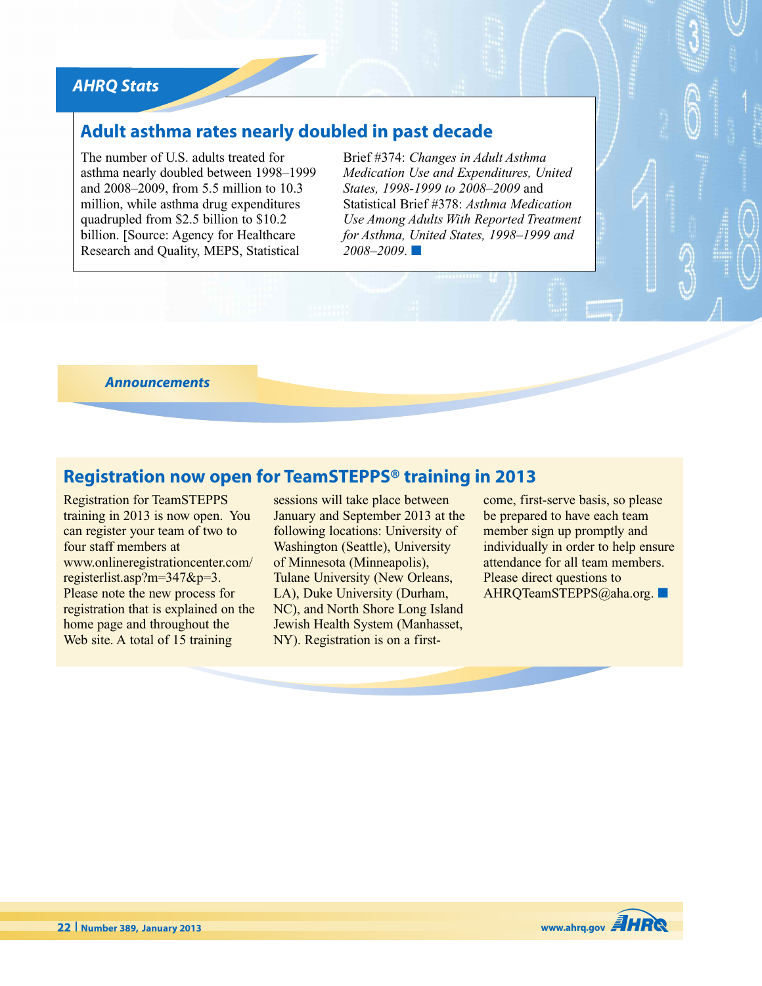## *AHRQ Stats*

## **Adult asthma rates nearly doubled in past decade**

The number of U.S. adults treated for asthma nearly doubled between 1998–1999 and 2008–2009, from 5.5 million to 10.3 million, while asthma drug expenditures quadrupled from \$2.5 billion to \$10.2 billion. [Source: Agency for Healthcare Research and Quality, MEPS, Statistical

Brief #374: *Changes in Adult Asthma Medication Use and Expenditures, United States, 1998-1999 to 2008–2009* and Statistical Brief #378: *Asthma Medication Use Among Adults With Reported Treatment for Asthma, United States, 1998–1999 and 2008–2009*. **■**

*Announcements*

## **Registration now open for TeamSTEPPS® training in 2013**

Registration for TeamSTEPPS training in 2013 is now open. You can register your team of two to four staff members at www.onlineregistrationcenter.com/ registerlist.asp?m=347&p=3. Please note the new process for registration that is explained on the home page and throughout the Web site. A total of 15 training

sessions will take place between January and September 2013 at the following locations: University of Washington (Seattle), University of Minnesota (Minneapolis), Tulane University (New Orleans, LA), Duke University (Durham, NC), and North Shore Long Island Jewish Health System (Manhasset, NY). Registration is on a firstcome, first-serve basis, so please be prepared to have each team member sign up promptly and individually in order to help ensure attendance for all team members. Please direct questions to AHRQTeamSTEPPS@aha.org. **■**

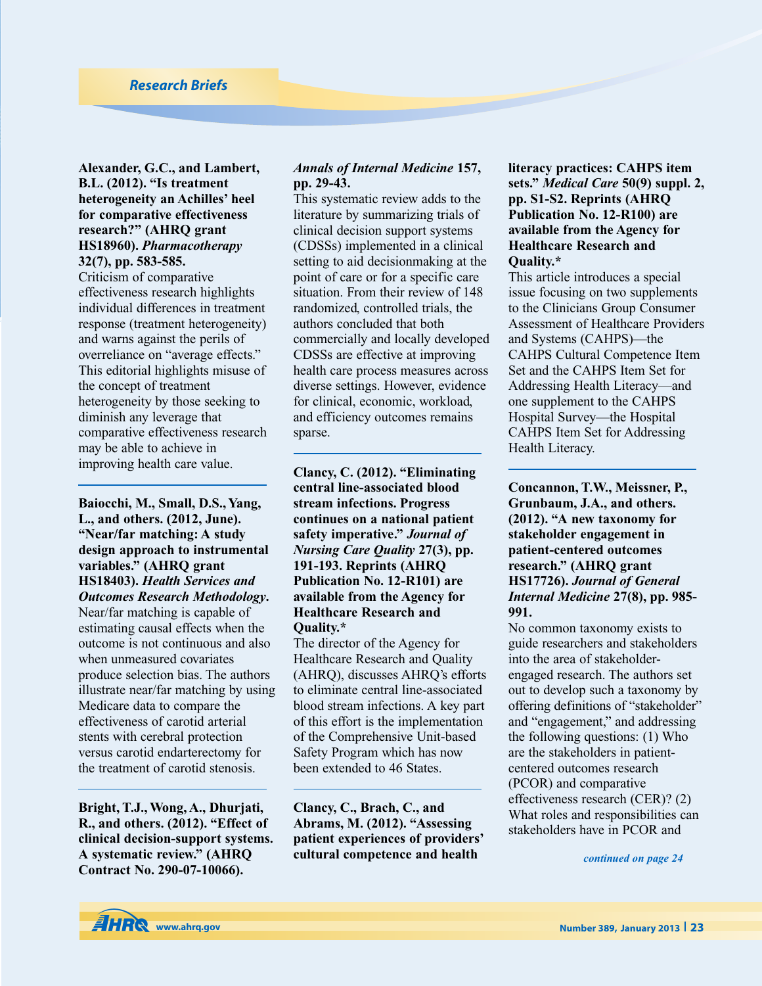### *Research Briefs*

**Alexander, G.C., and Lambert, B.L. (2012). "Is treatment heterogeneity an Achilles' heel for comparative effectiveness research?" (AHRQ grant HS18960).** *Pharmacotherapy* **32(7), pp. 583-585.**

Criticism of comparative effectiveness research highlights individual differences in treatment response (treatment heterogeneity) and warns against the perils of overreliance on "average effects." This editorial highlights misuse of the concept of treatment heterogeneity by those seeking to diminish any leverage that comparative effectiveness research may be able to achieve in improving health care value.

**Baiocchi, M., Small, D.S., Yang, L., and others. (2012, June). "Near/far matching: A study design approach to instrumental variables." (AHRQ grant HS18403).** *Health Services and Outcomes Research Methodology***.**

Near/far matching is capable of estimating causal effects when the outcome is not continuous and also when unmeasured covariates produce selection bias. The authors illustrate near/far matching by using Medicare data to compare the effectiveness of carotid arterial stents with cerebral protection versus carotid endarterectomy for the treatment of carotid stenosis.

**Bright, T.J., Wong, A., Dhurjati, R., and others. (2012). "Effect of clinical decision-support systems. A systematic review." (AHRQ Contract No. 290-07-10066).**

### *Annals of Internal Medicine* **157, pp. 29-43.**

This systematic review adds to the literature by summarizing trials of clinical decision support systems (CDSSs) implemented in a clinical setting to aid decisionmaking at the point of care or for a specific care situation. From their review of 148 randomized, controlled trials, the authors concluded that both commercially and locally developed CDSSs are effective at improving health care process measures across diverse settings. However, evidence for clinical, economic, workload, and efficiency outcomes remains sparse.

**Clancy, C. (2012). "Eliminating central line-associated blood stream infections. Progress continues on a national patient safety imperative."** *Journal of Nursing Care Quality* **27(3), pp. 191-193. Reprints (AHRQ Publication No. 12-R101) are available from the Agency for Healthcare Research and Quality.\***

The director of the Agency for Healthcare Research and Quality (AHRQ), discusses AHRQ's efforts to eliminate central line-associated blood stream infections. A key part of this effort is the implementation of the Comprehensive Unit-based Safety Program which has now been extended to 46 States.

**Clancy, C., Brach, C., and Abrams, M. (2012). "Assessing patient experiences of providers' cultural competence and health**

**literacy practices: CAHPS item sets."** *Medical Care* **50(9) suppl. 2, pp. S1-S2. Reprints (AHRQ Publication No. 12-R100) are available from the Agency for Healthcare Research and Quality.\***

This article introduces a special issue focusing on two supplements to the Clinicians Group Consumer Assessment of Healthcare Providers and Systems (CAHPS)—the CAHPS Cultural Competence Item Set and the CAHPS Item Set for Addressing Health Literacy—and one supplement to the CAHPS Hospital Survey—the Hospital CAHPS Item Set for Addressing Health Literacy.

**Concannon, T.W., Meissner, P., Grunbaum, J.A., and others. (2012). "A new taxonomy for stakeholder engagement in patient-centered outcomes research." (AHRQ grant HS17726).** *Journal of General Internal Medicine* **27(8), pp. 985- 991.**

No common taxonomy exists to guide researchers and stakeholders into the area of stakeholderengaged research. The authors set out to develop such a taxonomy by offering definitions of "stakeholder" and "engagement," and addressing the following questions: (1) Who are the stakeholders in patientcentered outcomes research (PCOR) and comparative effectiveness research (CER)? (2) What roles and responsibilities can stakeholders have in PCOR and

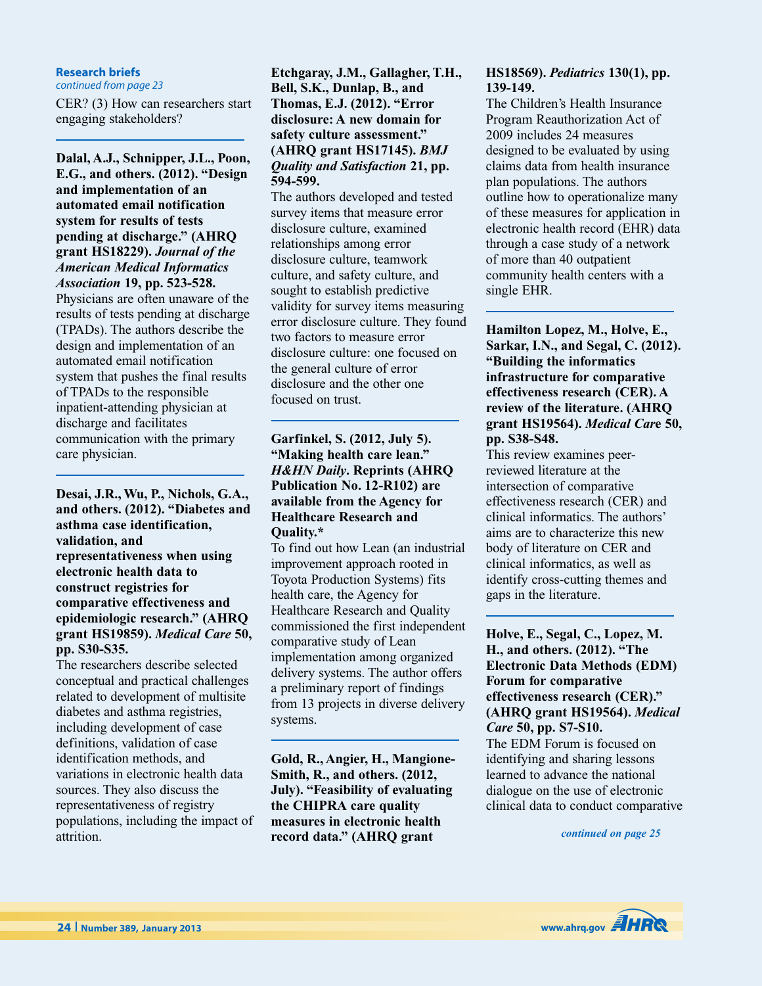### **Research briefs**

*continued from page 23*

CER? (3) How can researchers start engaging stakeholders?

**Dalal, A.J., Schnipper, J.L., Poon, E.G., and others. (2012). "Design and implementation of an automated email notification system for results of tests pending at discharge." (AHRQ grant HS18229).** *Journal of the American Medical Informatics Association* **19, pp. 523-528.** Physicians are often unaware of the

results of tests pending at discharge (TPADs). The authors describe the design and implementation of an automated email notification system that pushes the final results of TPADs to the responsible inpatient-attending physician at discharge and facilitates communication with the primary care physician.

**Desai, J.R., Wu, P., Nichols, G.A., and others. (2012). "Diabetes and asthma case identification, validation, and representativeness when using electronic health data to construct registries for comparative effectiveness and epidemiologic research." (AHRQ grant HS19859).** *Medical Care* **50, pp. S30-S35.**

The researchers describe selected conceptual and practical challenges related to development of multisite diabetes and asthma registries, including development of case definitions, validation of case identification methods, and variations in electronic health data sources. They also discuss the representativeness of registry populations, including the impact of attrition.

### **Etchgaray, J.M., Gallagher, T.H., Bell, S.K., Dunlap, B., and Thomas, E.J. (2012). "Error disclosure: A new domain for safety culture assessment." (AHRQ grant HS17145).** *BMJ Quality and Satisfaction* **21, pp. 594-599.**

The authors developed and tested survey items that measure error disclosure culture, examined relationships among error disclosure culture, teamwork culture, and safety culture, and sought to establish predictive validity for survey items measuring error disclosure culture. They found two factors to measure error disclosure culture: one focused on the general culture of error disclosure and the other one focused on trust.

### **Garfinkel, S. (2012, July 5). "Making health care lean."** *H&HN Daily***. Reprints (AHRQ Publication No. 12-R102) are available from the Agency for Healthcare Research and Quality.\***

To find out how Lean (an industrial improvement approach rooted in Toyota Production Systems) fits health care, the Agency for Healthcare Research and Quality commissioned the first independent comparative study of Lean implementation among organized delivery systems. The author offers a preliminary report of findings from 13 projects in diverse delivery systems.

**Gold, R., Angier, H., Mangione-Smith, R., and others. (2012, July). "Feasibility of evaluating the CHIPRA care quality measures in electronic health record data." (AHRQ grant**

### **HS18569).** *Pediatrics* **130(1), pp. 139-149.**

The Children's Health Insurance Program Reauthorization Act of 2009 includes 24 measures designed to be evaluated by using claims data from health insurance plan populations. The authors outline how to operationalize many of these measures for application in electronic health record (EHR) data through a case study of a network of more than 40 outpatient community health centers with a single EHR.

### **Hamilton Lopez, M., Holve, E., Sarkar, I.N., and Segal, C. (2012). "Building the informatics infrastructure for comparative effectiveness research (CER). A review of the literature. (AHRQ grant HS19564).** *Medical Car***e 50, pp. S38-S48.**

This review examines peerreviewed literature at the intersection of comparative effectiveness research (CER) and clinical informatics. The authors' aims are to characterize this new body of literature on CER and clinical informatics, as well as identify cross-cutting themes and gaps in the literature.

### **Holve, E., Segal, C., Lopez, M. H., and others. (2012). "The Electronic Data Methods (EDM) Forum for comparative effectiveness research (CER)." (AHRQ grant HS19564).** *Medical Care* **50, pp. S7-S10.**

The EDM Forum is focused on identifying and sharing lessons learned to advance the national dialogue on the use of electronic clinical data to conduct comparative

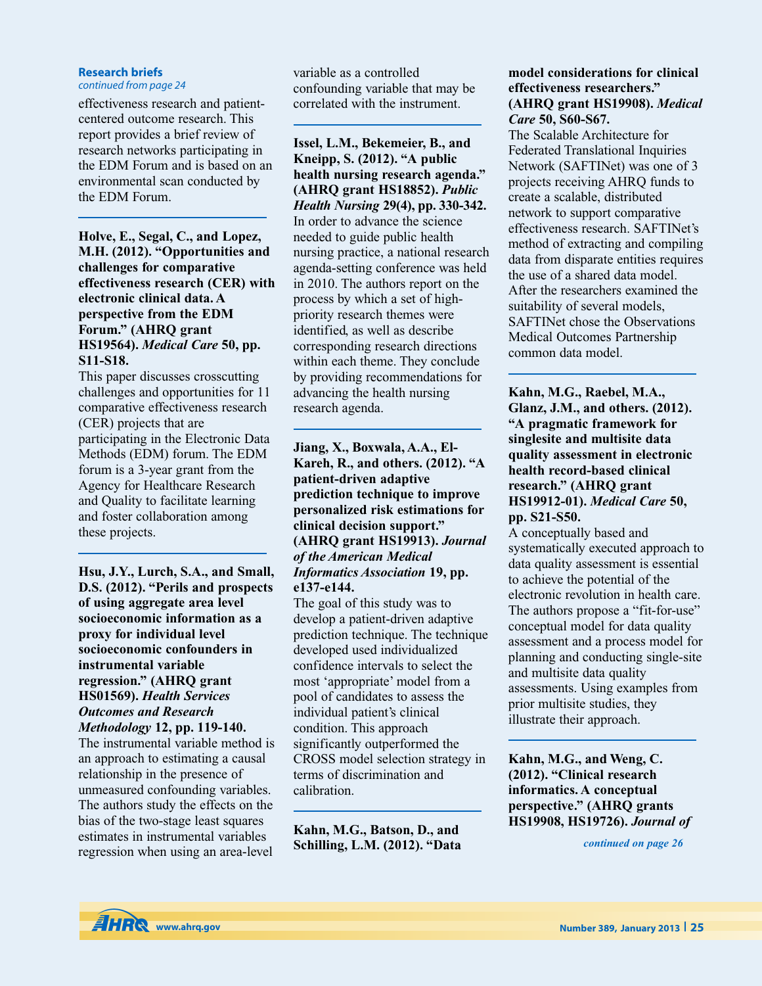#### **Research briefs**

*continued from page 24*

effectiveness research and patientcentered outcome research. This report provides a brief review of research networks participating in the EDM Forum and is based on an environmental scan conducted by the EDM Forum.

**Holve, E., Segal, C., and Lopez, M.H. (2012). "Opportunities and challenges for comparative effectiveness research (CER) with electronic clinical data. A perspective from the EDM Forum." (AHRQ grant HS19564).** *Medical Care* **50, pp. S11-S18.**

This paper discusses crosscutting challenges and opportunities for 11 comparative effectiveness research (CER) projects that are participating in the Electronic Data Methods (EDM) forum. The EDM forum is a 3-year grant from the Agency for Healthcare Research and Quality to facilitate learning and foster collaboration among these projects.

**Hsu, J.Y., Lurch, S.A., and Small, D.S. (2012). "Perils and prospects of using aggregate area level socioeconomic information as a proxy for individual level socioeconomic confounders in instrumental variable regression." (AHRQ grant HS01569).** *Health Services Outcomes and Research Methodology* **12, pp. 119-140.**

The instrumental variable method is an approach to estimating a causal relationship in the presence of unmeasured confounding variables. The authors study the effects on the bias of the two-stage least squares estimates in instrumental variables regression when using an area-level

variable as a controlled confounding variable that may be correlated with the instrument.

**Issel, L.M., Bekemeier, B., and Kneipp, S. (2012). "A public health nursing research agenda." (AHRQ grant HS18852).** *Public Health Nursing* **29(4), pp. 330-342.** In order to advance the science needed to guide public health nursing practice, a national research agenda-setting conference was held in 2010. The authors report on the process by which a set of highpriority research themes were identified, as well as describe corresponding research directions within each theme. They conclude by providing recommendations for advancing the health nursing research agenda.

**Jiang, X., Boxwala, A.A., El-Kareh, R., and others. (2012). "A patient-driven adaptive prediction technique to improve personalized risk estimations for clinical decision support." (AHRQ grant HS19913).** *Journal of the American Medical Informatics Association* **19, pp. e137-e144.**

The goal of this study was to develop a patient-driven adaptive prediction technique. The technique developed used individualized confidence intervals to select the most 'appropriate' model from a pool of candidates to assess the individual patient's clinical condition. This approach significantly outperformed the CROSS model selection strategy in terms of discrimination and calibration.

**Kahn, M.G., Batson, D., and Schilling, L.M. (2012). "Data**

### **model considerations for clinical effectiveness researchers." (AHRQ grant HS19908).** *Medical Care* **50, S60-S67.**

The Scalable Architecture for Federated Translational Inquiries Network (SAFTINet) was one of 3 projects receiving AHRQ funds to create a scalable, distributed network to support comparative effectiveness research. SAFTINet's method of extracting and compiling data from disparate entities requires the use of a shared data model. After the researchers examined the suitability of several models, SAFTINet chose the Observations Medical Outcomes Partnership common data model.

**Kahn, M.G., Raebel, M.A., Glanz, J.M., and others. (2012). "A pragmatic framework for singlesite and multisite data quality assessment in electronic health record-based clinical research." (AHRQ grant HS19912-01).** *Medical Care* **50, pp. S21-S50.**

A conceptually based and systematically executed approach to data quality assessment is essential to achieve the potential of the electronic revolution in health care. The authors propose a "fit-for-use" conceptual model for data quality assessment and a process model for planning and conducting single-site and multisite data quality assessments. Using examples from prior multisite studies, they illustrate their approach.

**Kahn, M.G., and Weng, C. (2012). "Clinical research informatics. A conceptual perspective." (AHRQ grants HS19908, HS19726).** *Journal of*

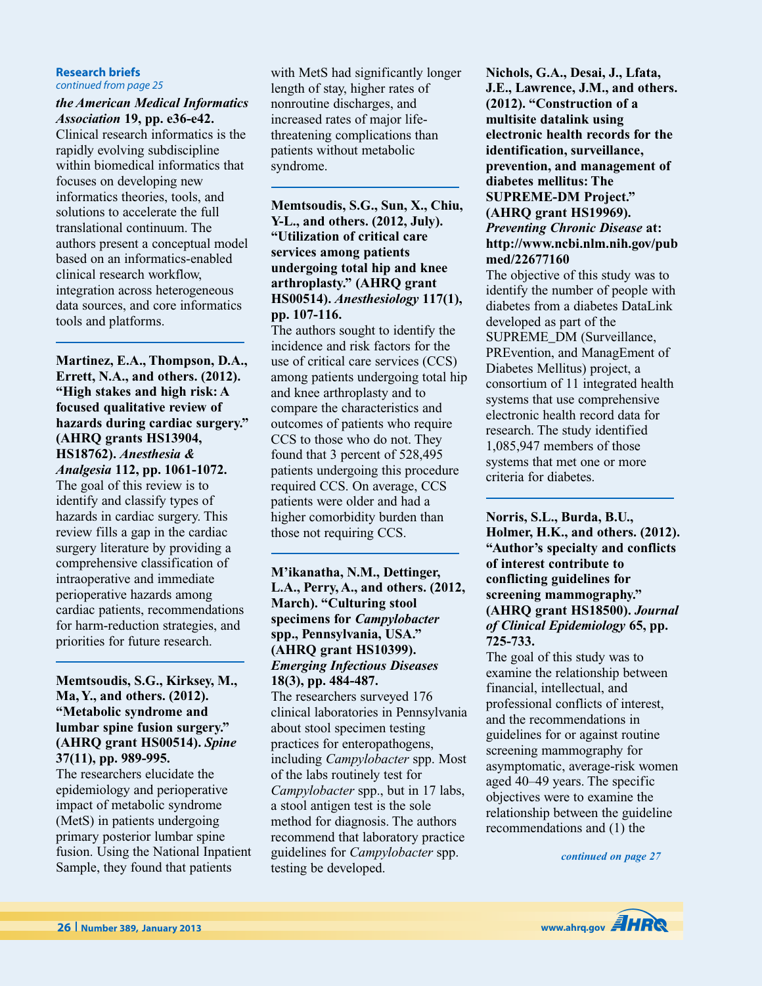#### **Research briefs** *continued from page 25*

### *the American Medical Informatics Association* **19, pp. e36-e42.**

Clinical research informatics is the rapidly evolving subdiscipline within biomedical informatics that focuses on developing new informatics theories, tools, and solutions to accelerate the full translational continuum. The authors present a conceptual model based on an informatics-enabled clinical research workflow, integration across heterogeneous data sources, and core informatics tools and platforms.

**Martinez, E.A., Thompson, D.A., Errett, N.A., and others. (2012). "High stakes and high risk: A focused qualitative review of hazards during cardiac surgery." (AHRQ grants HS13904, HS18762).** *Anesthesia & Analgesia* **112, pp. 1061-1072.** The goal of this review is to identify and classify types of hazards in cardiac surgery. This review fills a gap in the cardiac surgery literature by providing a

comprehensive classification of intraoperative and immediate perioperative hazards among cardiac patients, recommendations for harm-reduction strategies, and priorities for future research.

### **Memtsoudis, S.G., Kirksey, M., Ma, Y., and others. (2012). "Metabolic syndrome and lumbar spine fusion surgery." (AHRQ grant HS00514).** *Spine* **37(11), pp. 989-995.**

The researchers elucidate the epidemiology and perioperative impact of metabolic syndrome (MetS) in patients undergoing primary posterior lumbar spine fusion. Using the National Inpatient Sample, they found that patients

with MetS had significantly longer length of stay, higher rates of nonroutine discharges, and increased rates of major lifethreatening complications than patients without metabolic syndrome.

**Memtsoudis, S.G., Sun, X., Chiu, Y-L., and others. (2012, July). "Utilization of critical care services among patients undergoing total hip and knee arthroplasty." (AHRQ grant HS00514).** *Anesthesiology* **117(1), pp. 107-116.**

The authors sought to identify the incidence and risk factors for the use of critical care services (CCS) among patients undergoing total hip and knee arthroplasty and to compare the characteristics and outcomes of patients who require CCS to those who do not. They found that 3 percent of 528,495 patients undergoing this procedure required CCS. On average, CCS patients were older and had a higher comorbidity burden than those not requiring CCS.

### **M'ikanatha, N.M., Dettinger, L.A., Perry, A., and others. (2012, March). "Culturing stool specimens for** *Campylobacter* **spp., Pennsylvania, USA." (AHRQ grant HS10399).** *Emerging Infectious Diseases* **18(3), pp. 484-487.**

The researchers surveyed 176 clinical laboratories in Pennsylvania about stool specimen testing practices for enteropathogens, including *Campylobacter* spp. Most of the labs routinely test for *Campylobacter* spp., but in 17 labs, a stool antigen test is the sole method for diagnosis. The authors recommend that laboratory practice guidelines for *Campylobacter* spp. testing be developed.

**Nichols, G.A., Desai, J., Lfata, J.E., Lawrence, J.M., and others. (2012). "Construction of a multisite datalink using electronic health records for the identification, surveillance, prevention, and management of diabetes mellitus: The SUPREME-DM Project." (AHRQ grant HS19969).** *Preventing Chronic Disease* **at: http://www.ncbi.nlm.nih.gov/pub med/22677160**

The objective of this study was to identify the number of people with diabetes from a diabetes DataLink developed as part of the SUPREME\_DM (Surveillance, PREvention, and ManagEment of Diabetes Mellitus) project, a consortium of 11 integrated health systems that use comprehensive electronic health record data for research. The study identified 1,085,947 members of those systems that met one or more criteria for diabetes.

**Norris, S.L., Burda, B.U., Holmer, H.K., and others. (2012). "Author's specialty and conflicts of interest contribute to conflicting guidelines for screening mammography." (AHRQ grant HS18500).** *Journal of Clinical Epidemiology* **65, pp. 725-733.**

The goal of this study was to examine the relationship between financial, intellectual, and professional conflicts of interest, and the recommendations in guidelines for or against routine screening mammography for asymptomatic, average-risk women aged 40–49 years. The specific objectives were to examine the relationship between the guideline recommendations and (1) the

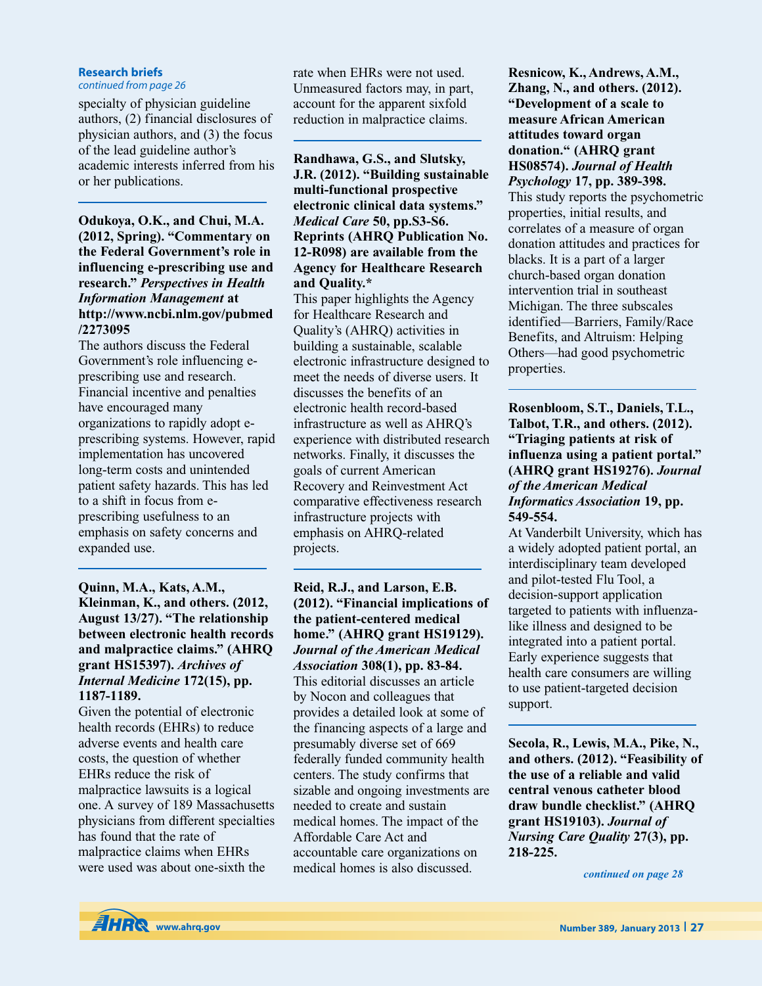#### **Research briefs**

*continued from page 26*

specialty of physician guideline authors, (2) financial disclosures of physician authors, and (3) the focus of the lead guideline author's academic interests inferred from his or her publications.

**Odukoya, O.K., and Chui, M.A. (2012, Spring). "Commentary on the Federal Government's role in influencing e-prescribing use and research."** *Perspectives in Health Information Management* **at http://www.ncbi.nlm.gov/pubmed /2273095**

The authors discuss the Federal Government's role influencing eprescribing use and research. Financial incentive and penalties have encouraged many organizations to rapidly adopt eprescribing systems. However, rapid implementation has uncovered long-term costs and unintended patient safety hazards. This has led to a shift in focus from eprescribing usefulness to an emphasis on safety concerns and expanded use.

### **Quinn, M.A., Kats, A.M., Kleinman, K., and others. (2012, August 13/27). "The relationship between electronic health records and malpractice claims." (AHRQ grant HS15397).** *Archives of Internal Medicine* **172(15), pp. 1187-1189.**

Given the potential of electronic health records (EHRs) to reduce adverse events and health care costs, the question of whether EHRs reduce the risk of malpractice lawsuits is a logical one. A survey of 189 Massachusetts physicians from different specialties has found that the rate of malpractice claims when EHRs were used was about one-sixth the

rate when EHRs were not used. Unmeasured factors may, in part, account for the apparent sixfold reduction in malpractice claims.

**Randhawa, G.S., and Slutsky, J.R. (2012). "Building sustainable multi-functional prospective electronic clinical data systems."** *Medical Care* **50, pp.S3-S6. Reprints (AHRQ Publication No. 12-R098) are available from the Agency for Healthcare Research and Quality.\***

This paper highlights the Agency for Healthcare Research and Quality's (AHRQ) activities in building a sustainable, scalable electronic infrastructure designed to meet the needs of diverse users. It discusses the benefits of an electronic health record-based infrastructure as well as AHRQ's experience with distributed research networks. Finally, it discusses the goals of current American Recovery and Reinvestment Act comparative effectiveness research infrastructure projects with emphasis on AHRQ-related projects.

### **Reid, R.J., and Larson, E.B. (2012). "Financial implications of the patient-centered medical home." (AHRQ grant HS19129).** *Journal of the American Medical Association* **308(1), pp. 83-84.** This editorial discusses an article by Nocon and colleagues that provides a detailed look at some of the financing aspects of a large and presumably diverse set of 669 federally funded community health centers. The study confirms that sizable and ongoing investments are needed to create and sustain medical homes. The impact of the Affordable Care Act and accountable care organizations on medical homes is also discussed.

**Resnicow, K., Andrews, A.M., Zhang, N., and others. (2012). "Development of a scale to measure African American attitudes toward organ donation." (AHRQ grant HS08574).** *Journal of Health Psychology* **17, pp. 389-398.**

This study reports the psychometric properties, initial results, and correlates of a measure of organ donation attitudes and practices for blacks. It is a part of a larger church-based organ donation intervention trial in southeast Michigan. The three subscales identified—Barriers, Family/Race Benefits, and Altruism: Helping Others—had good psychometric properties.

**Rosenbloom, S.T., Daniels, T.L., Talbot, T.R., and others. (2012). "Triaging patients at risk of influenza using a patient portal." (AHRQ grant HS19276).** *Journal of the American Medical Informatics Association* **19, pp. 549-554.**

At Vanderbilt University, which has a widely adopted patient portal, an interdisciplinary team developed and pilot-tested Flu Tool, a decision-support application targeted to patients with influenzalike illness and designed to be integrated into a patient portal. Early experience suggests that health care consumers are willing to use patient-targeted decision support.

**Secola, R., Lewis, M.A., Pike, N., and others. (2012). "Feasibility of the use of a reliable and valid central venous catheter blood draw bundle checklist." (AHRQ grant HS19103).** *Journal of Nursing Care Quality* **27(3), pp. 218-225.**

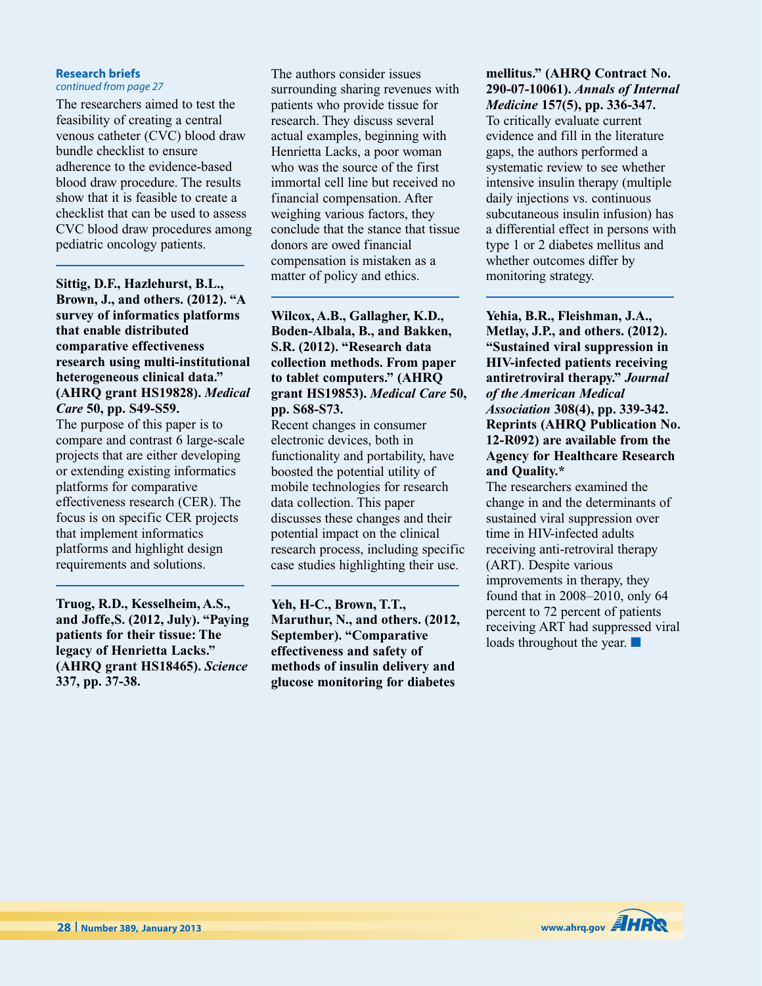#### **Research briefs** *continued from page 27*

The researchers aimed to test the feasibility of creating a central venous catheter (CVC) blood draw bundle checklist to ensure adherence to the evidence-based blood draw procedure. The results show that it is feasible to create a checklist that can be used to assess CVC blood draw procedures among pediatric oncology patients.

**Sittig, D.F., Hazlehurst, B.L., Brown, J., and others. (2012). "A survey of informatics platforms that enable distributed comparative effectiveness research using multi-institutional heterogeneous clinical data." (AHRQ grant HS19828).** *Medical Care* **50, pp. S49-S59.**

The purpose of this paper is to compare and contrast 6 large-scale projects that are either developing or extending existing informatics platforms for comparative effectiveness research (CER). The focus is on specific CER projects that implement informatics platforms and highlight design requirements and solutions.

**Truog, R.D., Kesselheim, A.S., and Joffe,S. (2012, July). "Paying patients for their tissue: The legacy of Henrietta Lacks." (AHRQ grant HS18465).** *Science* **337, pp. 37-38.**

The authors consider issues surrounding sharing revenues with patients who provide tissue for research. They discuss several actual examples, beginning with Henrietta Lacks, a poor woman who was the source of the first immortal cell line but received no financial compensation. After weighing various factors, they conclude that the stance that tissue donors are owed financial compensation is mistaken as a matter of policy and ethics.

**Wilcox, A.B., Gallagher, K.D., Boden-Albala, B., and Bakken, S.R. (2012). "Research data collection methods. From paper to tablet computers." (AHRQ grant HS19853).** *Medical Care* **50, pp. S68-S73.**

Recent changes in consumer electronic devices, both in functionality and portability, have boosted the potential utility of mobile technologies for research data collection. This paper discusses these changes and their potential impact on the clinical research process, including specific case studies highlighting their use.

**Yeh, H-C., Brown, T.T., Maruthur, N., and others. (2012, September). "Comparative effectiveness and safety of methods of insulin delivery and glucose monitoring for diabetes**

### **mellitus." (AHRQ Contract No. 290-07-10061).** *Annals of Internal Medicine* **157(5), pp. 336-347.**

To critically evaluate current evidence and fill in the literature gaps, the authors performed a systematic review to see whether intensive insulin therapy (multiple daily injections vs. continuous subcutaneous insulin infusion) has a differential effect in persons with type 1 or 2 diabetes mellitus and whether outcomes differ by monitoring strategy.

**Yehia, B.R., Fleishman, J.A., Metlay, J.P., and others. (2012). "Sustained viral suppression in HIV-infected patients receiving antiretroviral therapy."** *Journal of the American Medical Association* **308(4), pp. 339-342. Reprints (AHRQ Publication No. 12-R092) are available from the Agency for Healthcare Research and Quality.\***

The researchers examined the change in and the determinants of sustained viral suppression over time in HIV-infected adults receiving anti-retroviral therapy (ART). Despite various improvements in therapy, they found that in 2008–2010, only 64 percent to 72 percent of patients receiving ART had suppressed viral loads throughout the year. **■**

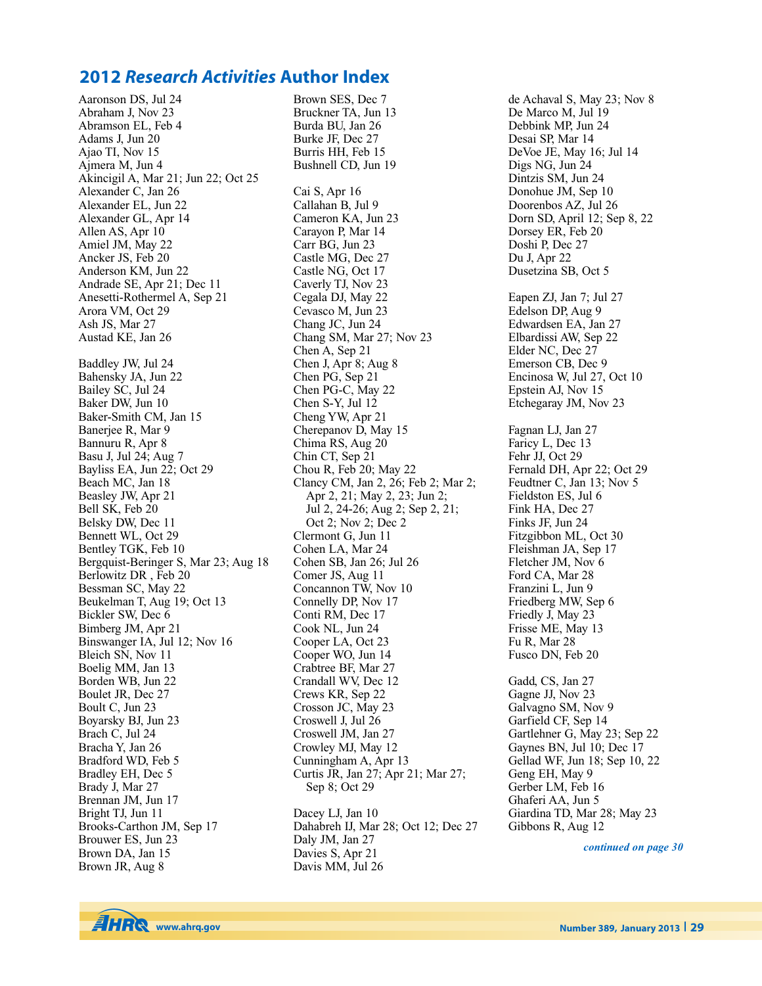## **2012** *Research Activities* **Author Index**

Aaronson DS, Jul 24 Abraham J, Nov 23 Abramson EL, Feb 4 Adams J, Jun 20 Ajao TI, Nov 15 Ajmera M, Jun 4 Akincigil A, Mar 21; Jun 22; Oct 25 Alexander C, Jan 26 Alexander EL, Jun 22 Alexander GL, Apr 14 Allen AS, Apr 10 Amiel JM, May 22 Ancker JS, Feb 20 Anderson KM, Jun 22 Andrade SE, Apr 21; Dec 11 Anesetti-Rothermel A, Sep 21 Arora VM, Oct 29 Ash JS, Mar 27 Austad KE, Jan 26 Baddley JW, Jul 24 Bahensky JA, Jun 22 Bailey SC, Jul 24 Baker DW, Jun 10 Baker-Smith CM, Jan 15 Banerjee R, Mar 9 Bannuru R, Apr 8 Basu J, Jul 24; Aug 7 Bayliss EA, Jun 22; Oct 29 Beach MC, Jan 18 Beasley JW, Apr 21 Bell SK, Feb 20 Belsky DW, Dec 11 Bennett WL, Oct 29 Bentley TGK, Feb 10 Bergquist-Beringer S, Mar 23; Aug 18 Berlowitz DR , Feb 20 Bessman SC, May 22 Beukelman T, Aug 19; Oct 13 Bickler SW, Dec 6 Bimberg JM, Apr 21 Binswanger IA, Jul 12; Nov 16 Bleich SN, Nov 11 Boelig MM, Jan 13 Borden WB, Jun 22 Boulet JR, Dec 27 Boult C, Jun 23 Boyarsky BJ, Jun 23 Brach C, Jul 24 Bracha Y, Jan 26 Bradford WD, Feb 5 Bradley EH, Dec 5 Brady J, Mar 27 Brennan JM, Jun 17 Bright TJ, Jun 11 Brooks-Carthon JM, Sep 17 Brouwer ES, Jun 23 Brown DA, Jan 15 Brown JR, Aug 8

Brown SES, Dec 7 Bruckner TA, Jun 13 Burda BU, Jan 26 Burke JF, Dec 27 Burris HH, Feb 15 Bushnell CD, Jun 19 Cai S, Apr 16 Callahan B, Jul 9 Cameron KA, Jun 23 Carayon P, Mar 14 Carr BG, Jun 23 Castle MG, Dec 27 Castle NG, Oct 17 Caverly TJ, Nov 23 Cegala DJ, May 22 Cevasco M, Jun 23 Chang JC, Jun 24 Chang SM, Mar 27; Nov 23 Chen A, Sep 21 Chen J, Apr 8; Aug 8 Chen PG, Sep 21 Chen PG-C, May 22 Chen S-Y, Jul 12 Cheng YW, Apr 21 Cherepanov D, May 15 Chima RS, Aug 20 Chin CT, Sep 21 Chou R, Feb 20; May 22 Clancy CM, Jan 2, 26; Feb 2; Mar 2; Apr 2, 21; May 2, 23; Jun 2; Jul 2, 24-26; Aug 2; Sep 2, 21; Oct 2; Nov 2; Dec 2 Clermont G, Jun 11 Cohen LA, Mar 24 Cohen SB, Jan 26; Jul 26 Comer JS, Aug 11 Concannon TW, Nov 10 Connelly DP, Nov 17 Conti RM, Dec 17 Cook NL, Jun 24 Cooper LA, Oct 23 Cooper WO, Jun 14 Crabtree BF, Mar 27 Crandall WV, Dec 12 Crews KR, Sep 22 Crosson JC, May 23 Croswell J, Jul 26 Croswell JM, Jan 27 Crowley MJ, May 12 Cunningham A, Apr 13 Curtis JR, Jan 27; Apr 21; Mar 27; Sep 8; Oct 29 Dacey LJ, Jan 10

Dahabreh IJ, Mar 28; Oct 12; Dec 27 Daly JM, Jan 27 Davies S, Apr 21 Davis MM, Jul 26

de Achaval S, May 23; Nov 8 De Marco M, Jul 19 Debbink MP, Jun 24 Desai SP, Mar 14 DeVoe JE, May 16; Jul 14 Digs NG, Jun 24 Dintzis SM, Jun 24 Donohue JM, Sep 10 Doorenbos AZ, Jul 26 Dorn SD, April 12; Sep 8, 22 Dorsey ER, Feb 20 Doshi P, Dec 27 Du J, Apr 22 Dusetzina SB, Oct 5 Eapen ZJ, Jan 7; Jul 27 Edelson DP, Aug 9 Edwardsen EA, Jan 27 Elbardissi AW, Sep 22 Elder NC, Dec 27 Emerson CB, Dec 9 Encinosa W, Jul 27, Oct 10 Epstein AJ, Nov 15 Etchegaray JM, Nov 23 Fagnan LJ, Jan 27 Faricy L, Dec 13 Fehr JJ, Oct 29 Fernald DH, Apr 22; Oct 29 Feudtner C, Jan 13; Nov 5 Fieldston ES, Jul 6 Fink HA, Dec 27 Finks JF, Jun 24 Fitzgibbon ML, Oct 30 Fleishman JA, Sep 17 Fletcher JM, Nov 6 Ford CA, Mar 28 Franzini L, Jun 9 Friedberg MW, Sep 6 Friedly J, May 23 Frisse ME, May 13 Fu R, Mar 28 Fusco DN, Feb 20 Gadd, CS, Jan 27 Gagne JJ, Nov 23 Galvagno SM, Nov 9 Garfield CF, Sep 14 Gartlehner G, May 23; Sep 22 Gaynes BN, Jul 10; Dec 17 Gellad WF, Jun 18; Sep 10, 22 Geng EH, May 9 Gerber LM, Feb 16 Ghaferi AA, Jun 5 Giardina TD, Mar 28; May 23

*continued on page 30*

Gibbons R, Aug 12

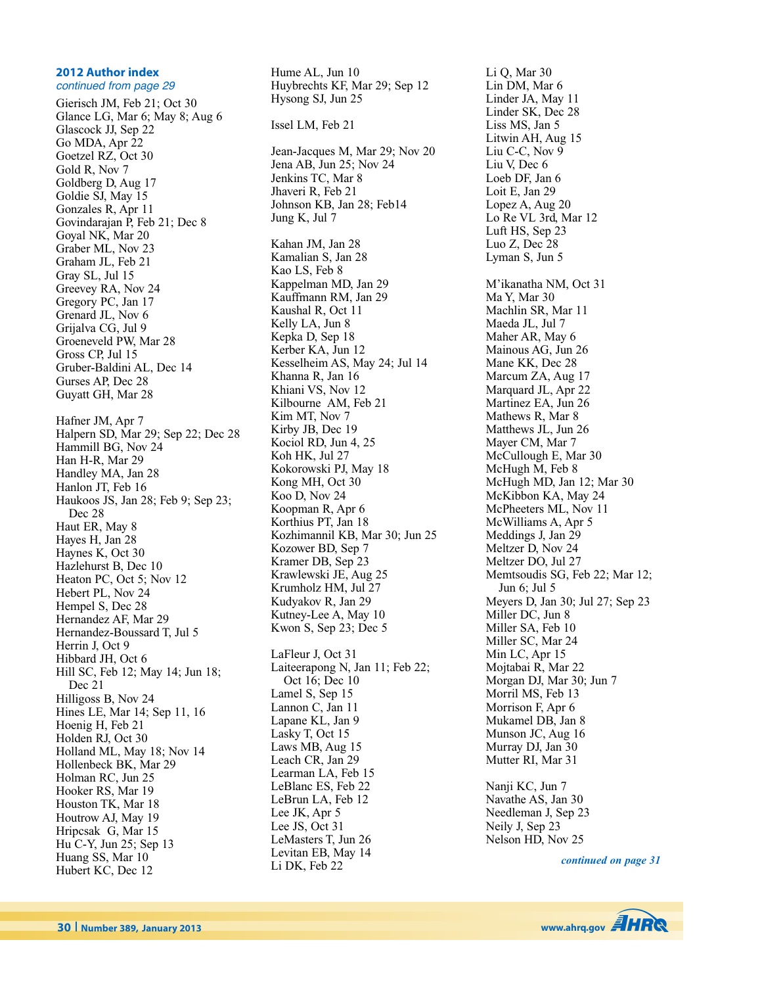#### **2012 Author index** continued from page 29

Gierisch JM, Feb 21; Oct 30 Glance LG, Mar 6; May 8; Aug 6 Glascock JJ, Sep 22 Go MDA, Apr 22 Goetzel RZ, Oct 30 Gold R, Nov 7 Goldberg D, Aug 17 Goldie SJ, May 15 Gonzales R, Apr 11 Govindarajan P, Feb 21; Dec 8 Goyal NK, Mar 20 Graber ML, Nov 23 Graham JL, Feb 21 Gray SL, Jul 15 Greevey RA, Nov 24 Gregory PC, Jan 17 Grenard JL, Nov 6 Grijalva CG, Jul 9 Groeneveld PW, Mar 28 Gross CP, Jul 15 Gruber-Baldini AL, Dec 14 Gurses AP, Dec 28 Guyatt GH, Mar 28 Hafner JM, Apr 7 Halpern SD, Mar 29; Sep 22; Dec 28 Hammill BG, Nov 24 Han H-R, Mar 29 Handley MA, Jan 28 Hanlon JT, Feb 16 Haukoos JS, Jan 28; Feb 9; Sep 23; Dec 28 Haut ER, May 8 Hayes H, Jan 28 Haynes K, Oct 30 Hazlehurst B, Dec 10 Heaton PC, Oct 5; Nov 12 Hebert PL, Nov 24 Hempel S, Dec 28 Hernandez AF, Mar 29 Hernandez-Boussard T, Jul 5 Herrin J, Oct 9 Hibbard JH, Oct 6 Hill SC, Feb 12; May 14; Jun 18; Dec 21 Hilligoss B, Nov 24 Hines LE, Mar 14; Sep 11, 16 Hoenig H, Feb 21 Holden RJ, Oct 30 Holland ML, May 18; Nov 14 Hollenbeck BK, Mar 29 Holman RC, Jun 25 Hooker RS, Mar 19 Houston TK, Mar 18 Houtrow AJ, May 19 Hripcsak G, Mar 15 Hu C-Y, Jun 25; Sep 13 Huang SS, Mar 10 Hubert KC, Dec 12

Hume AL, Jun 10 Huybrechts KF, Mar 29; Sep 12 Hysong SJ, Jun 25 Issel LM, Feb 21 Jean-Jacques M, Mar 29; Nov 20 Jena AB, Jun 25; Nov 24 Jenkins TC, Mar 8 Jhaveri R, Feb 21 Johnson KB, Jan 28; Feb14 Jung K, Jul 7 Kahan JM, Jan 28 Kamalian S, Jan 28 Kao LS, Feb 8 Kappelman MD, Jan 29 Kauffmann RM, Jan 29 Kaushal R, Oct 11 Kelly LA, Jun 8 Kepka D, Sep 18 Kerber KA, Jun 12 Kesselheim AS, May 24; Jul 14 Khanna R, Jan 16 Khiani VS, Nov 12 Kilbourne AM, Feb 21 Kim MT, Nov 7 Kirby JB, Dec 19 Kociol RD, Jun 4, 25 Koh HK, Jul 27 Kokorowski PJ, May 18 Kong MH, Oct 30 Koo D, Nov 24 Koopman R, Apr 6 Korthius PT, Jan 18 Kozhimannil KB, Mar 30; Jun 25 Kozower BD, Sep 7 Kramer DB, Sep 23 Krawlewski JE, Aug 25 Krumholz HM, Jul 27 Kudyakov R, Jan 29 Kutney-Lee A, May 10 Kwon S, Sep 23; Dec 5 LaFleur J, Oct 31 Laiteerapong N, Jan 11; Feb 22; Oct 16; Dec 10 Lamel S, Sep 15 Lannon C, Jan 11 Lapane KL, Jan 9 Lasky T, Oct 15 Laws MB, Aug 15 Leach CR, Jan 29 Learman LA, Feb 15 LeBlanc ES, Feb 22 LeBrun LA, Feb 12 Lee JK, Apr 5 Lee JS, Oct 31 LeMasters T, Jun 26 Levitan EB, May 14 Li DK, Feb 22

Li Q, Mar 30 Lin DM, Mar 6 Linder JA, May 11 Linder SK, Dec 28 Liss MS, Jan 5 Litwin AH, Aug 15 Liu C-C, Nov 9 Liu V, Dec 6 Loeb DF, Jan 6 Loit E, Jan 29 Lopez A, Aug 20 Lo Re VL 3rd, Mar 12 Luft HS, Sep 23 Luo Z, Dec 28 Lyman S, Jun 5 M'ikanatha NM, Oct 31 Ma Y, Mar 30 Machlin SR, Mar 11 Maeda JL, Jul 7 Maher AR, May 6 Mainous AG, Jun 26 Mane KK, Dec 28 Marcum ZA, Aug 17 Marquard JL, Apr 22 Martinez EA, Jun 26 Mathews R, Mar 8 Matthews JL, Jun 26 Mayer CM, Mar 7 McCullough E, Mar 30 McHugh M, Feb 8 McHugh MD, Jan 12; Mar 30 McKibbon KA, May 24 McPheeters ML, Nov 11 McWilliams A, Apr 5 Meddings J, Jan 29 Meltzer D, Nov 24 Meltzer DO, Jul 27 Memtsoudis SG, Feb 22; Mar 12; Jun 6; Jul 5 Meyers D, Jan 30; Jul 27; Sep 23 Miller DC, Jun 8 Miller SA, Feb 10 Miller SC, Mar 24 Min LC, Apr 15 Mojtabai R, Mar 22 Morgan DJ, Mar 30; Jun 7 Morril MS, Feb 13 Morrison F, Apr 6 Mukamel DB, Jan 8 Munson JC, Aug 16 Murray DJ, Jan 30 Mutter RI, Mar 31 Nanji KC, Jun 7 Navathe AS, Jan 30

Needleman J, Sep 23 Neily J, Sep 23 Nelson HD, Nov 25

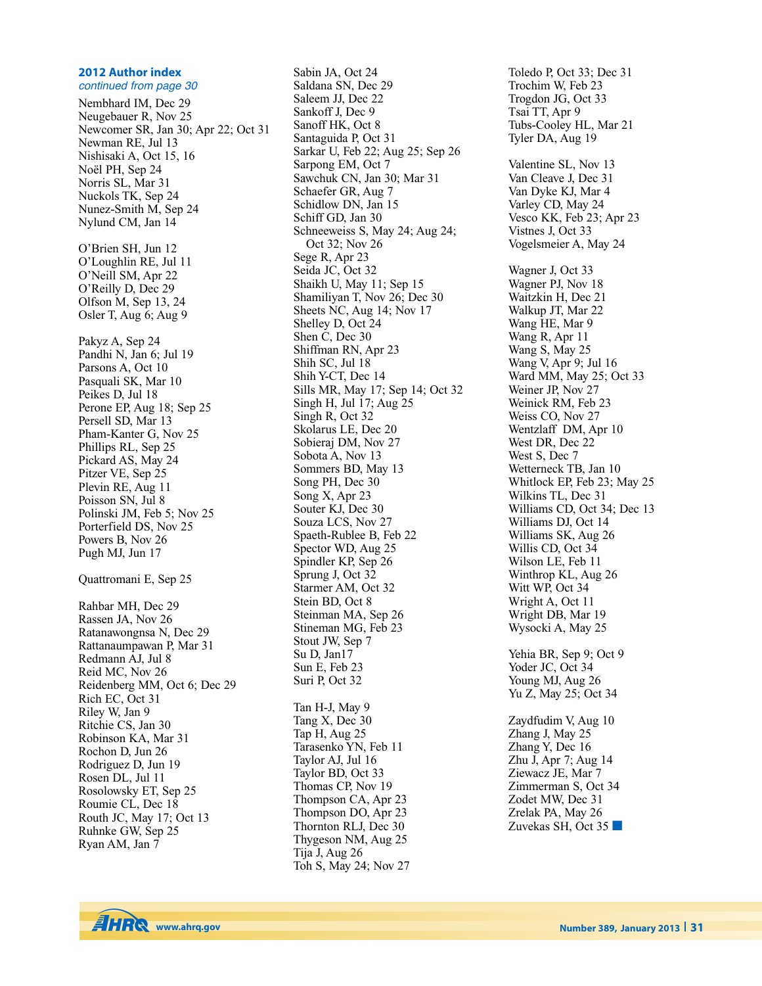### **2012 Author index**

continued from page 30 Nembhard IM, Dec 29 Neugebauer R, Nov 25 Newcomer SR, Jan 30; Apr 22; Oct 31 Newman RE, Jul 13 Nishisaki A, Oct 15, 16 Noël PH, Sep 24 Norris SL, Mar 31 Nuckols TK, Sep 24 Nunez-Smith M, Sep 24 Nylund CM, Jan 14 O'Brien SH, Jun 12 O'Loughlin RE, Jul 11 O'Neill SM, Apr 22 O'Reilly D, Dec 29 Olfson M, Sep 13, 24 Osler T, Aug 6; Aug 9 Pakyz A, Sep 24 Pandhi N, Jan 6; Jul 19 Parsons A, Oct 10 Pasquali SK, Mar 10 Peikes D, Jul 18 Perone EP, Aug 18; Sep 25 Persell SD, Mar 13 Pham-Kanter G, Nov 25 Phillips RL, Sep 25 Pickard AS, May 24 Pitzer VE, Sep 25 Plevin RE, Aug 11 Poisson SN, Jul 8 Polinski JM, Feb 5; Nov 25 Porterfield DS, Nov 25 Powers B, Nov 26 Pugh MJ, Jun 17 Quattromani E, Sep 25 Rahbar MH, Dec 29 Rassen JA, Nov 26 Ratanawongnsa N, Dec 29 Rattanaumpawan P, Mar 31 Redmann AJ, Jul 8 Reid MC, Nov 26 Reidenberg MM, Oct 6; Dec 29 Rich EC, Oct 31 Riley W, Jan 9 Ritchie CS, Jan 30 Robinson KA, Mar 31 Rochon D, Jun 26 Rodriguez D, Jun 19 Rosen DL, Jul 11 Rosolowsky ET, Sep 25 Roumie CL, Dec 18 Routh JC, May 17; Oct 13 Ruhnke GW, Sep 25 Ryan AM, Jan 7

Sabin JA, Oct 24 Saldana SN, Dec 29 Saleem JJ, Dec 22 Sankoff J, Dec 9 Sanoff HK, Oct 8 Santaguida P, Oct 31 Sarkar U, Feb 22; Aug 25; Sep 26 Sarpong EM, Oct 7 Sawchuk CN, Jan 30; Mar 31 Schaefer GR, Aug 7 Schidlow DN, Jan 15 Schiff GD, Jan 30 Schneeweiss S, May 24; Aug 24; Oct 32; Nov 26 Sege R, Apr 23 Seida JC, Oct 32 Shaikh U, May 11; Sep 15 Shamiliyan T, Nov 26; Dec 30 Sheets NC, Aug 14; Nov 17 Shelley D, Oct 24 Shen C, Dec 30 Shiffman RN, Apr 23 Shih SC, Jul 18 Shih Y-CT, Dec 14 Sills MR, May 17; Sep 14; Oct 32 Singh H, Jul 17; Aug 25 Singh R, Oct 32 Skolarus LE, Dec 20 Sobieraj DM, Nov 27 Sobota A, Nov 13 Sommers BD, May 13 Song PH, Dec 30 Song X, Apr 23 Souter KJ, Dec 30 Souza LCS, Nov 27 Spaeth-Rublee B, Feb 22 Spector WD, Aug 25 Spindler KP, Sep 26 Sprung J, Oct 32 Starmer AM, Oct 32 Stein BD, Oct 8 Steinman MA, Sep 26 Stineman MG, Feb 23 Stout JW, Sep 7 Su D, Jan17 Sun E, Feb 23 Suri P, Oct 32 Tan H-J, May 9 Tang X, Dec 30 Tap H, Aug 25 Tarasenko YN, Feb 11 Taylor AJ, Jul 16 Taylor BD, Oct 33 Thomas CP, Nov 19 Thompson CA, Apr 23 Thompson DO, Apr 23 Thornton RLJ, Dec 30 Thygeson NM, Aug 25 Tija J, Aug 26 Toh S, May 24; Nov 27

Toledo P, Oct 33; Dec 31 Trochim W, Feb 23 Trogdon JG, Oct 33 Tsai TT, Apr 9 Tubs-Cooley HL, Mar 21 Tyler DA, Aug 19 Valentine SL, Nov 13 Van Cleave J, Dec 31 Van Dyke KJ, Mar 4 Varley CD, May 24 Vesco KK, Feb 23; Apr 23 Vistnes J, Oct 33 Vogelsmeier A, May 24 Wagner J, Oct 33 Wagner PJ, Nov 18 Waitzkin H, Dec 21 Walkup JT, Mar 22 Wang HE, Mar 9 Wang R, Apr 11 Wang S, May 25 Wang V, Apr 9; Jul 16 Ward MM, May 25; Oct 33 Weiner JP, Nov 27 Weinick RM, Feb 23 Weiss CO, Nov 27 Wentzlaff DM, Apr 10 West DR, Dec 22 West S, Dec 7 Wetterneck TB, Jan 10 Whitlock EP, Feb 23; May 25 Wilkins TL, Dec 31 Williams CD, Oct 34; Dec 13 Williams DJ, Oct 14 Williams SK, Aug 26 Willis CD, Oct 34 Wilson LE, Feb 11 Winthrop KL, Aug 26 Witt WP, Oct 34 Wright A, Oct 11 Wright DB, Mar 19 Wysocki A, May 25 Yehia BR, Sep 9; Oct 9 Yoder JC, Oct 34 Young MJ, Aug 26 Yu Z, May 25; Oct 34 Zaydfudim V, Aug 10 Zhang J, May 25 Zhang Y, Dec 16 Zhu J, Apr 7; Aug 14 Ziewacz JE, Mar 7 Zimmerman S, Oct 34 Zodet MW, Dec 31 Zrelak PA, May 26 Zuvekas SH, Oct 35 **■**

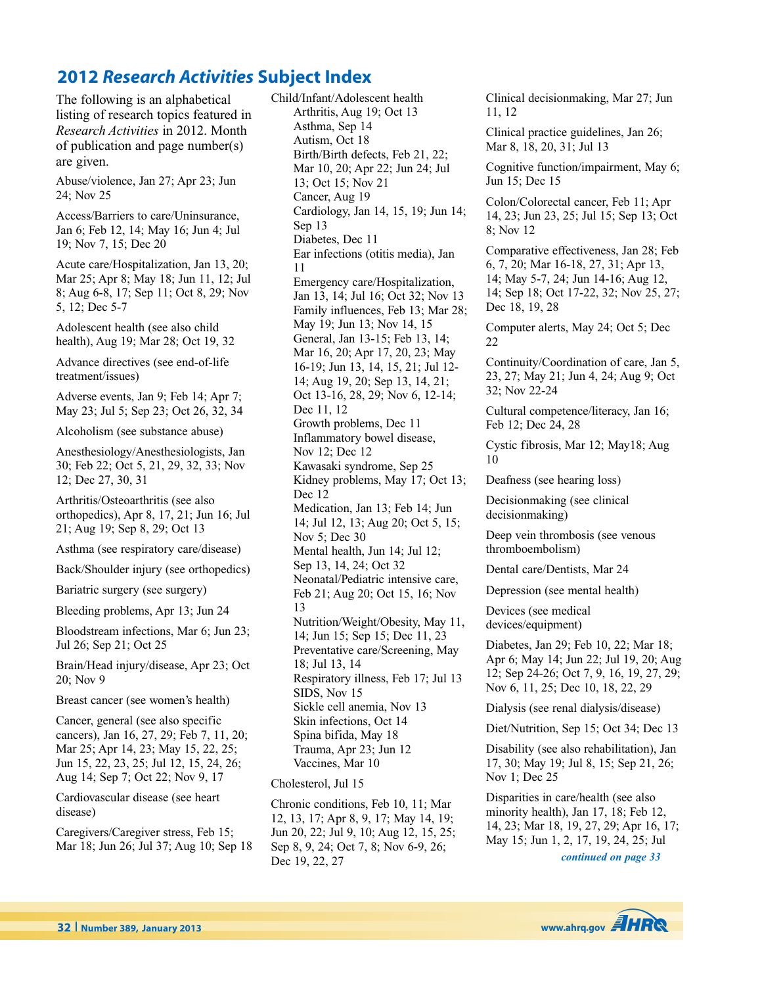# **2012** *Research Activities* **Subject Index**

The following is an alphabetical listing of research topics featured in *Research Activities* in 2012. Month of publication and page number(s) are given.

Abuse/violence, Jan 27; Apr 23; Jun 24; Nov 25

Access/Barriers to care/Uninsurance, Jan 6; Feb 12, 14; May 16; Jun 4; Jul 19; Nov 7, 15; Dec 20

Acute care/Hospitalization, Jan 13, 20; Mar 25; Apr 8; May 18; Jun 11, 12; Jul 8; Aug 6-8, 17; Sep 11; Oct 8, 29; Nov 5, 12; Dec 5-7

Adolescent health (see also child health), Aug 19; Mar 28; Oct 19, 32

Advance directives (see end-of-life treatment/issues)

Adverse events, Jan 9; Feb 14; Apr 7; May 23; Jul 5; Sep 23; Oct 26, 32, 34

Alcoholism (see substance abuse)

Anesthesiology/Anesthesiologists, Jan 30; Feb 22; Oct 5, 21, 29, 32, 33; Nov 12; Dec 27, 30, 31

Arthritis/Osteoarthritis (see also orthopedics), Apr 8, 17, 21; Jun 16; Jul 21; Aug 19; Sep 8, 29; Oct 13

Asthma (see respiratory care/disease)

Back/Shoulder injury (see orthopedics)

Bariatric surgery (see surgery)

Bleeding problems, Apr 13; Jun 24

Bloodstream infections, Mar 6; Jun 23; Jul 26; Sep 21; Oct 25

Brain/Head injury/disease, Apr 23; Oct 20; Nov 9

Breast cancer (see women's health)

Cancer, general (see also specific cancers), Jan 16, 27, 29; Feb 7, 11, 20; Mar 25; Apr 14, 23; May 15, 22, 25; Jun 15, 22, 23, 25; Jul 12, 15, 24, 26; Aug 14; Sep 7; Oct 22; Nov 9, 17

Cardiovascular disease (see heart disease)

Caregivers/Caregiver stress, Feb 15; Mar 18; Jun 26; Jul 37; Aug 10; Sep 18 Child/Infant/Adolescent health Arthritis, Aug 19; Oct 13 Asthma, Sep 14 Autism, Oct 18 Birth/Birth defects, Feb 21, 22; Mar 10, 20; Apr 22; Jun 24; Jul 13; Oct 15; Nov 21 Cancer, Aug 19 Cardiology, Jan 14, 15, 19; Jun 14; Sep 13 Diabetes, Dec 11 Ear infections (otitis media), Jan 11 Emergency care/Hospitalization, Jan 13, 14; Jul 16; Oct 32; Nov 13 Family influences, Feb 13; Mar 28; May 19; Jun 13; Nov 14, 15 General, Jan 13-15; Feb 13, 14; Mar 16, 20; Apr 17, 20, 23; May 16-19; Jun 13, 14, 15, 21; Jul 12- 14; Aug 19, 20; Sep 13, 14, 21; Oct 13-16, 28, 29; Nov 6, 12-14; Dec 11, 12 Growth problems, Dec 11 Inflammatory bowel disease, Nov 12; Dec 12 Kawasaki syndrome, Sep 25 Kidney problems, May 17; Oct 13; Dec 12 Medication, Jan 13; Feb 14; Jun 14; Jul 12, 13; Aug 20; Oct 5, 15; Nov 5; Dec 30 Mental health, Jun 14; Jul 12; Sep 13, 14, 24; Oct 32 Neonatal/Pediatric intensive care, Feb 21; Aug 20; Oct 15, 16; Nov 13 Nutrition/Weight/Obesity, May 11, 14; Jun 15; Sep 15; Dec 11, 23 Preventative care/Screening, May 18; Jul 13, 14 Respiratory illness, Feb 17; Jul 13 SIDS, Nov 15 Sickle cell anemia, Nov 13 Skin infections, Oct 14 Spina bifida, May 18 Trauma, Apr 23; Jun 12 Vaccines, Mar 10

#### Cholesterol, Jul 15

Chronic conditions, Feb 10, 11; Mar 12, 13, 17; Apr 8, 9, 17; May 14, 19; Jun 20, 22; Jul 9, 10; Aug 12, 15, 25; Sep 8, 9, 24; Oct 7, 8; Nov 6-9, 26; Dec 19, 22, 27

Clinical decisionmaking, Mar 27; Jun 11, 12 Clinical practice guidelines, Jan 26; Mar 8, 18, 20, 31; Jul 13 Cognitive function/impairment, May 6; Jun 15; Dec 15 Colon/Colorectal cancer, Feb 11; Apr 14, 23; Jun 23, 25; Jul 15; Sep 13; Oct 8; Nov 12 Comparative effectiveness, Jan 28; Feb 6, 7, 20; Mar 16-18, 27, 31; Apr 13, 14; May 5-7, 24; Jun 14-16; Aug 12, 14; Sep 18; Oct 17-22, 32; Nov 25, 27; Dec 18, 19, 28 Computer alerts, May 24; Oct 5; Dec 22 Continuity/Coordination of care, Jan 5, 23, 27; May 21; Jun 4, 24; Aug 9; Oct 32; Nov 22-24 Cultural competence/literacy, Jan 16; Feb 12; Dec 24, 28 Cystic fibrosis, Mar 12; May18; Aug 10 Deafness (see hearing loss) Decisionmaking (see clinical decisionmaking) Deep vein thrombosis (see venous thromboembolism) Dental care/Dentists, Mar 24 Depression (see mental health) Devices (see medical devices/equipment) Diabetes, Jan 29; Feb 10, 22; Mar 18; Apr 6; May 14; Jun 22; Jul 19, 20; Aug 12; Sep 24-26; Oct 7, 9, 16, 19, 27, 29; Nov 6, 11, 25; Dec 10, 18, 22, 29 Dialysis (see renal dialysis/disease) Diet/Nutrition, Sep 15; Oct 34; Dec 13

Disability (see also rehabilitation), Jan 17, 30; May 19; Jul 8, 15; Sep 21, 26; Nov 1; Dec 25

Disparities in care/health (see also minority health), Jan 17, 18; Feb 12, 14, 23; Mar 18, 19, 27, 29; Apr 16, 17; May 15; Jun 1, 2, 17, 19, 24, 25; Jul

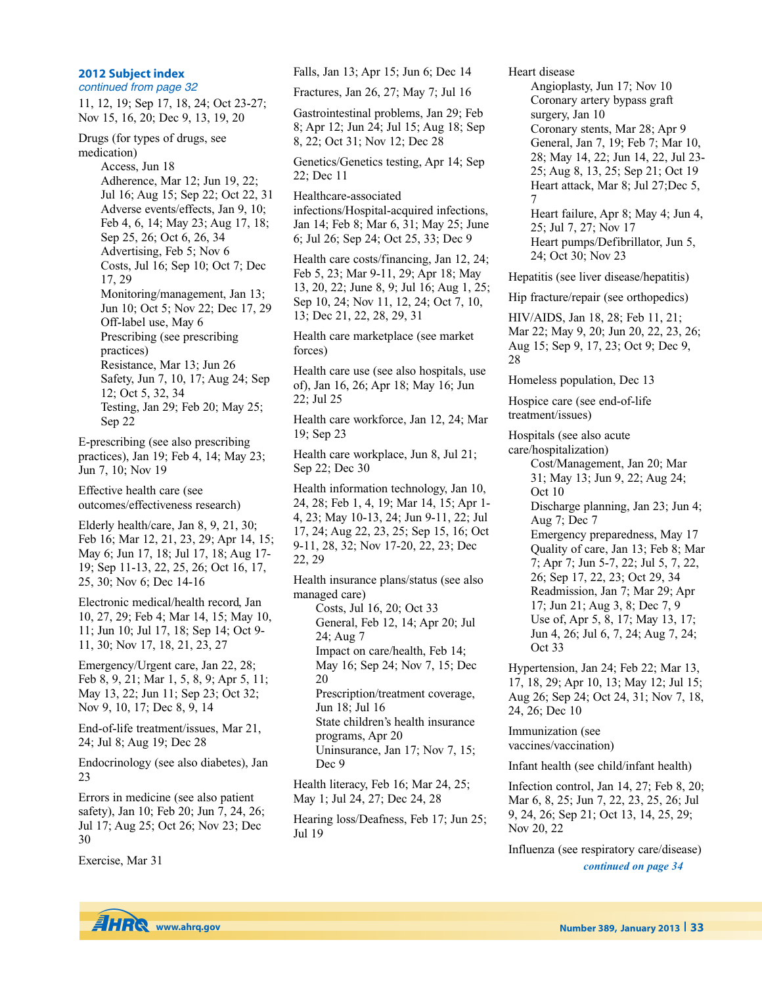#### **2012 Subject index**

continued from page 32

11, 12, 19; Sep 17, 18, 24; Oct 23-27; Nov 15, 16, 20; Dec 9, 13, 19, 20

Drugs (for types of drugs, see medication)

> Access, Jun 18 Adherence, Mar 12; Jun 19, 22; Jul 16; Aug 15; Sep 22; Oct 22, 31 Adverse events/effects, Jan 9, 10; Feb 4, 6, 14; May 23; Aug 17, 18; Sep 25, 26; Oct 6, 26, 34 Advertising, Feb 5; Nov 6 Costs, Jul 16; Sep 10; Oct 7; Dec 17, 29 Monitoring/management, Jan 13; Jun 10; Oct 5; Nov 22; Dec 17, 29 Off-label use, May 6 Prescribing (see prescribing practices) Resistance, Mar 13; Jun 26 Safety, Jun 7, 10, 17; Aug 24; Sep 12; Oct 5, 32, 34 Testing, Jan 29; Feb 20; May 25; Sep 22

E-prescribing (see also prescribing practices), Jan 19; Feb 4, 14; May 23; Jun 7, 10; Nov 19

Effective health care (see outcomes/effectiveness research)

Elderly health/care, Jan 8, 9, 21, 30; Feb 16; Mar 12, 21, 23, 29; Apr 14, 15; May 6; Jun 17, 18; Jul 17, 18; Aug 17- 19; Sep 11-13, 22, 25, 26; Oct 16, 17, 25, 30; Nov 6; Dec 14-16

Electronic medical/health record, Jan 10, 27, 29; Feb 4; Mar 14, 15; May 10, 11; Jun 10; Jul 17, 18; Sep 14; Oct 9- 11, 30; Nov 17, 18, 21, 23, 27

Emergency/Urgent care, Jan 22, 28; Feb 8, 9, 21; Mar 1, 5, 8, 9; Apr 5, 11; May 13, 22; Jun 11; Sep 23; Oct 32; Nov 9, 10, 17; Dec 8, 9, 14

End-of-life treatment/issues, Mar 21, 24; Jul 8; Aug 19; Dec 28

Endocrinology (see also diabetes), Jan 23

Errors in medicine (see also patient safety), Jan 10; Feb 20; Jun 7, 24, 26; Jul 17; Aug 25; Oct 26; Nov 23; Dec 30

Exercise, Mar 31

Falls, Jan 13; Apr 15; Jun 6; Dec 14

Fractures, Jan 26, 27; May 7; Jul 16

Gastrointestinal problems, Jan 29; Feb 8; Apr 12; Jun 24; Jul 15; Aug 18; Sep 8, 22; Oct 31; Nov 12; Dec 28

Genetics/Genetics testing, Apr 14; Sep 22; Dec 11

Healthcare-associated infections/Hospital-acquired infections, Jan 14; Feb 8; Mar 6, 31; May 25; June 6; Jul 26; Sep 24; Oct 25, 33; Dec 9

Health care costs/financing, Jan 12, 24; Feb 5, 23; Mar 9-11, 29; Apr 18; May 13, 20, 22; June 8, 9; Jul 16; Aug 1, 25; Sep 10, 24; Nov 11, 12, 24; Oct 7, 10, 13; Dec 21, 22, 28, 29, 31

Health care marketplace (see market forces)

Health care use (see also hospitals, use of), Jan 16, 26; Apr 18; May 16; Jun 22; Jul 25

Health care workforce, Jan 12, 24; Mar 19; Sep 23

Health care workplace, Jun 8, Jul 21; Sep 22; Dec 30

Health information technology, Jan 10, 24, 28; Feb 1, 4, 19; Mar 14, 15; Apr 1- 4, 23; May 10-13, 24; Jun 9-11, 22; Jul 17, 24; Aug 22, 23, 25; Sep 15, 16; Oct 9-11, 28, 32; Nov 17-20, 22, 23; Dec 22, 29

Health insurance plans/status (see also managed care)

Costs, Jul 16, 20; Oct 33 General, Feb 12, 14; Apr 20; Jul 24; Aug 7 Impact on care/health, Feb 14; May 16; Sep 24; Nov 7, 15; Dec 20 Prescription/treatment coverage, Jun 18; Jul 16 State children's health insurance programs, Apr 20 Uninsurance, Jan 17; Nov 7, 15; Dec 9

Health literacy, Feb 16; Mar 24, 25; May 1; Jul 24, 27; Dec 24, 28

Hearing loss/Deafness, Feb 17; Jun 25; Jul 19

Heart disease

Angioplasty, Jun 17; Nov 10 Coronary artery bypass graft surgery, Jan 10 Coronary stents, Mar 28; Apr 9 General, Jan 7, 19; Feb 7; Mar 10, 28; May 14, 22; Jun 14, 22, Jul 23- 25; Aug 8, 13, 25; Sep 21; Oct 19 Heart attack, Mar 8; Jul 27;Dec 5, 7 Heart failure, Apr 8; May 4; Jun 4, 25; Jul 7, 27; Nov 17 Heart pumps/Defibrillator, Jun 5, 24; Oct 30; Nov 23

Hepatitis (see liver disease/hepatitis)

Hip fracture/repair (see orthopedics)

HIV/AIDS, Jan 18, 28; Feb 11, 21; Mar 22; May 9, 20; Jun 20, 22, 23, 26; Aug 15; Sep 9, 17, 23; Oct 9; Dec 9, 28

Homeless population, Dec 13

Hospice care (see end-of-life treatment/issues)

Hospitals (see also acute care/hospitalization) Cost/Management, Jan 20; Mar 31; May 13; Jun 9, 22; Aug 24; Oct 10 Discharge planning, Jan 23; Jun 4; Aug 7; Dec 7 Emergency preparedness, May 17 Quality of care, Jan 13; Feb 8; Mar 7; Apr 7; Jun 5-7, 22; Jul 5, 7, 22, 26; Sep 17, 22, 23; Oct 29, 34 Readmission, Jan 7; Mar 29; Apr 17; Jun 21; Aug 3, 8; Dec 7, 9 Use of, Apr 5, 8, 17; May 13, 17; Jun 4, 26; Jul 6, 7, 24; Aug 7, 24; Oct 33

Hypertension, Jan 24; Feb 22; Mar 13, 17, 18, 29; Apr 10, 13; May 12; Jul 15; Aug 26; Sep 24; Oct 24, 31; Nov 7, 18, 24, 26; Dec 10

Immunization (see vaccines/vaccination)

Infant health (see child/infant health)

Infection control, Jan 14, 27; Feb 8, 20; Mar 6, 8, 25; Jun 7, 22, 23, 25, 26; Jul 9, 24, 26; Sep 21; Oct 13, 14, 25, 29; Nov 20, 22

Influenza (see respiratory care/disease) *continued on page 34*

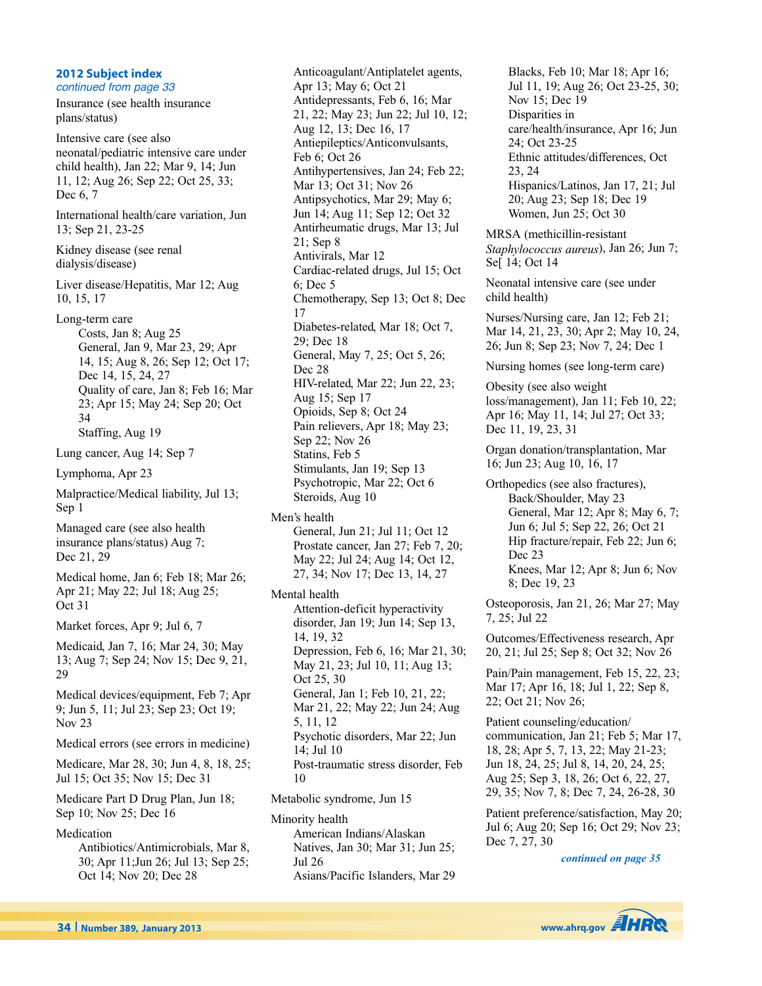#### **2012 Subject index**

continued from page 33 Insurance (see health insurance plans/status) Intensive care (see also

neonatal/pediatric intensive care under child health), Jan 22; Mar 9, 14; Jun 11, 12; Aug 26; Sep 22; Oct 25, 33; Dec 6, 7

International health/care variation, Jun 13; Sep 21, 23-25

Kidney disease (see renal dialysis/disease)

Liver disease/Hepatitis, Mar 12; Aug 10, 15, 17

Long-term care

Costs, Jan 8; Aug 25 General, Jan 9, Mar 23, 29; Apr 14, 15; Aug 8, 26; Sep 12; Oct 17; Dec 14, 15, 24, 27 Quality of care, Jan 8; Feb 16; Mar 23; Apr 15; May 24; Sep 20; Oct 34 Staffing, Aug 19

Lung cancer, Aug 14; Sep 7

Lymphoma, Apr 23

Malpractice/Medical liability, Jul 13; Sep 1

Managed care (see also health insurance plans/status) Aug 7; Dec 21, 29

Medical home, Jan 6; Feb 18; Mar 26; Apr 21; May 22; Jul 18; Aug 25; Oct 31

Market forces, Apr 9; Jul 6, 7

Medicaid, Jan 7, 16; Mar 24, 30; May 13; Aug 7; Sep 24; Nov 15; Dec 9, 21, 29

Medical devices/equipment, Feb 7; Apr 9; Jun 5, 11; Jul 23; Sep 23; Oct 19; Nov 23

Medical errors (see errors in medicine)

Medicare, Mar 28, 30; Jun 4, 8, 18, 25; Jul 15; Oct 35; Nov 15; Dec 31

Medicare Part D Drug Plan, Jun 18; Sep 10; Nov 25; Dec 16

Medication

Antibiotics/Antimicrobials, Mar 8, 30; Apr 11;Jun 26; Jul 13; Sep 25; Oct 14; Nov 20; Dec 28

Anticoagulant/Antiplatelet agents, Apr 13; May 6; Oct 21 Antidepressants, Feb 6, 16; Mar 21, 22; May 23; Jun 22; Jul 10, 12; Aug 12, 13; Dec 16, 17 Antiepileptics/Anticonvulsants, Feb 6; Oct 26 Antihypertensives, Jan 24; Feb 22; Mar 13; Oct 31; Nov 26 Antipsychotics, Mar 29; May 6; Jun 14; Aug 11; Sep 12; Oct 32 Antirheumatic drugs, Mar 13; Jul 21; Sep 8 Antivirals, Mar 12 Cardiac-related drugs, Jul 15; Oct 6; Dec 5 Chemotherapy, Sep 13; Oct 8; Dec 17 Diabetes-related, Mar 18; Oct 7, 29; Dec 18 General, May 7, 25; Oct 5, 26; Dec 28 HIV-related, Mar 22; Jun 22, 23; Aug 15; Sep 17 Opioids, Sep 8; Oct 24 Pain relievers, Apr 18; May 23; Sep 22; Nov 26 Statins, Feb 5 Stimulants, Jan 19; Sep 13 Psychotropic, Mar 22; Oct 6 Steroids, Aug 10

Men's health

General, Jun 21; Jul 11; Oct 12 Prostate cancer, Jan 27; Feb 7, 20; May 22; Jul 24; Aug 14; Oct 12, 27, 34; Nov 17; Dec 13, 14, 27

Mental health

Attention-deficit hyperactivity disorder, Jan 19; Jun 14; Sep 13, 14, 19, 32 Depression, Feb 6, 16; Mar 21, 30; May 21, 23; Jul 10, 11; Aug 13; Oct 25, 30 General, Jan 1; Feb 10, 21, 22; Mar 21, 22; May 22; Jun 24; Aug 5, 11, 12 Psychotic disorders, Mar 22; Jun 14; Jul 10 Post-traumatic stress disorder, Feb 10

Metabolic syndrome, Jun 15

Minority health American Indians/Alaskan Natives, Jan 30; Mar 31; Jun 25; Jul 26 Asians/Pacific Islanders, Mar 29 Blacks, Feb 10; Mar 18; Apr 16; Jul 11, 19; Aug 26; Oct 23-25, 30; Nov 15; Dec 19 Disparities in care/health/insurance, Apr 16; Jun 24; Oct 23-25 Ethnic attitudes/differences, Oct 23, 24 Hispanics/Latinos, Jan 17, 21; Jul 20; Aug 23; Sep 18; Dec 19 Women, Jun 25; Oct 30

MRSA (methicillin-resistant *Staphylococcus aureus*), Jan 26; Jun 7; Se[ 14; Oct 14

Neonatal intensive care (see under child health)

Nurses/Nursing care, Jan 12; Feb 21; Mar 14, 21, 23, 30; Apr 2; May 10, 24, 26; Jun 8; Sep 23; Nov 7, 24; Dec 1

Nursing homes (see long-term care)

Obesity (see also weight loss/management), Jan 11; Feb 10, 22; Apr 16; May 11, 14; Jul 27; Oct 33; Dec 11, 19, 23, 31

Organ donation/transplantation, Mar 16; Jun 23; Aug 10, 16, 17

Orthopedics (see also fractures), Back/Shoulder, May 23 General, Mar 12; Apr 8; May 6, 7; Jun 6; Jul 5; Sep 22, 26; Oct 21 Hip fracture/repair, Feb 22; Jun 6; Dec 23 Knees, Mar 12; Apr 8; Jun 6; Nov 8; Dec 19, 23

Osteoporosis, Jan 21, 26; Mar 27; May 7, 25; Jul 22

Outcomes/Effectiveness research, Apr 20, 21; Jul 25; Sep 8; Oct 32; Nov 26

Pain/Pain management, Feb 15, 22, 23; Mar 17; Apr 16, 18; Jul 1, 22; Sep 8, 22; Oct 21; Nov 26;

Patient counseling/education/ communication, Jan 21; Feb 5; Mar 17, 18, 28; Apr 5, 7, 13, 22; May 21-23; Jun 18, 24, 25; Jul 8, 14, 20, 24, 25; Aug 25; Sep 3, 18, 26; Oct 6, 22, 27, 29, 35; Nov 7, 8; Dec 7, 24, 26-28, 30

Patient preference/satisfaction, May 20; Jul 6; Aug 20; Sep 16; Oct 29; Nov 23; Dec 7, 27, 30

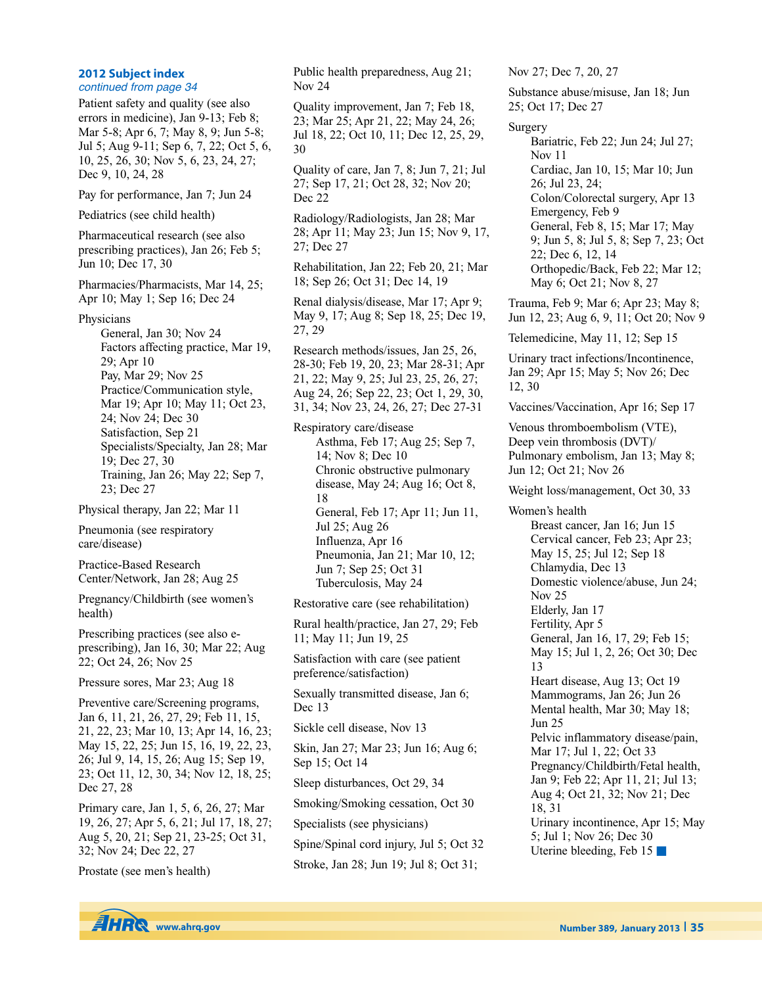## **2012 Subject index**

continued from page 34

Patient safety and quality (see also errors in medicine), Jan 9-13; Feb 8; Mar 5-8; Apr 6, 7; May 8, 9; Jun 5-8; Jul 5; Aug 9-11; Sep 6, 7, 22; Oct 5, 6, 10, 25, 26, 30; Nov 5, 6, 23, 24, 27; Dec 9, 10, 24, 28

Pay for performance, Jan 7; Jun 24

Pediatrics (see child health)

Pharmaceutical research (see also prescribing practices), Jan 26; Feb 5; Jun 10; Dec 17, 30

Pharmacies/Pharmacists, Mar 14, 25; Apr 10; May 1; Sep 16; Dec 24

Physicians

General, Jan 30; Nov 24 Factors affecting practice, Mar 19, 29; Apr 10 Pay, Mar 29; Nov 25 Practice/Communication style, Mar 19; Apr 10; May 11; Oct 23, 24; Nov 24; Dec 30 Satisfaction, Sep 21 Specialists/Specialty, Jan 28; Mar 19; Dec 27, 30 Training, Jan 26; May 22; Sep 7, 23; Dec 27

Physical therapy, Jan 22; Mar 11

Pneumonia (see respiratory care/disease)

Practice-Based Research Center/Network, Jan 28; Aug 25

Pregnancy/Childbirth (see women's health)

Prescribing practices (see also eprescribing), Jan 16, 30; Mar 22; Aug 22; Oct 24, 26; Nov 25

Pressure sores, Mar 23; Aug 18

Preventive care/Screening programs, Jan 6, 11, 21, 26, 27, 29; Feb 11, 15, 21, 22, 23; Mar 10, 13; Apr 14, 16, 23; May 15, 22, 25; Jun 15, 16, 19, 22, 23, 26; Jul 9, 14, 15, 26; Aug 15; Sep 19, 23; Oct 11, 12, 30, 34; Nov 12, 18, 25; Dec 27, 28

Primary care, Jan 1, 5, 6, 26, 27; Mar 19, 26, 27; Apr 5, 6, 21; Jul 17, 18, 27; Aug 5, 20, 21; Sep 21, 23-25; Oct 31, 32; Nov 24; Dec 22, 27

Prostate (see men's health)

Public health preparedness, Aug 21; Nov 24

Quality improvement, Jan 7; Feb 18, 23; Mar 25; Apr 21, 22; May 24, 26; Jul 18, 22; Oct 10, 11; Dec 12, 25, 29, 30

Quality of care, Jan 7, 8; Jun 7, 21; Jul 27; Sep 17, 21; Oct 28, 32; Nov 20; Dec 22

Radiology/Radiologists, Jan 28; Mar 28; Apr 11; May 23; Jun 15; Nov 9, 17, 27; Dec 27

Rehabilitation, Jan 22; Feb 20, 21; Mar 18; Sep 26; Oct 31; Dec 14, 19

Renal dialysis/disease, Mar 17; Apr 9; May 9, 17; Aug 8; Sep 18, 25; Dec 19, 27, 29

Research methods/issues, Jan 25, 26, 28-30; Feb 19, 20, 23; Mar 28-31; Apr 21, 22; May 9, 25; Jul 23, 25, 26, 27; Aug 24, 26; Sep 22, 23; Oct 1, 29, 30, 31, 34; Nov 23, 24, 26, 27; Dec 27-31

Respiratory care/disease Asthma, Feb 17; Aug 25; Sep 7, 14; Nov 8; Dec 10 Chronic obstructive pulmonary disease, May 24; Aug 16; Oct 8, 18 General, Feb 17; Apr 11; Jun 11, Jul 25; Aug 26 Influenza, Apr 16 Pneumonia, Jan 21; Mar 10, 12; Jun 7; Sep 25; Oct 31 Tuberculosis, May 24

Restorative care (see rehabilitation)

Rural health/practice, Jan 27, 29; Feb 11; May 11; Jun 19, 25

Satisfaction with care (see patient preference/satisfaction)

Sexually transmitted disease, Jan 6; Dec 13

Sickle cell disease, Nov 13

Skin, Jan 27; Mar 23; Jun 16; Aug 6; Sep 15; Oct 14

Sleep disturbances, Oct 29, 34

Smoking/Smoking cessation, Oct 30

Specialists (see physicians)

Spine/Spinal cord injury, Jul 5; Oct 32

Stroke, Jan 28; Jun 19; Jul 8; Oct 31;

Nov 27; Dec 7, 20, 27

Substance abuse/misuse, Jan 18; Jun 25; Oct 17; Dec 27

Surgery

Bariatric, Feb 22; Jun 24; Jul 27; Nov 11 Cardiac, Jan 10, 15; Mar 10; Jun 26; Jul 23, 24; Colon/Colorectal surgery, Apr 13 Emergency, Feb 9 General, Feb 8, 15; Mar 17; May 9; Jun 5, 8; Jul 5, 8; Sep 7, 23; Oct 22; Dec 6, 12, 14 Orthopedic/Back, Feb 22; Mar 12; May 6; Oct 21; Nov 8, 27

Trauma, Feb 9; Mar 6; Apr 23; May 8; Jun 12, 23; Aug 6, 9, 11; Oct 20; Nov 9

Telemedicine, May 11, 12; Sep 15

Urinary tract infections/Incontinence, Jan 29; Apr 15; May 5; Nov 26; Dec 12, 30

Vaccines/Vaccination, Apr 16; Sep 17

Venous thromboembolism (VTE), Deep vein thrombosis (DVT)/ Pulmonary embolism, Jan 13; May 8; Jun 12; Oct 21; Nov 26

Weight loss/management, Oct 30, 33

Women's health

Breast cancer, Jan 16; Jun 15 Cervical cancer, Feb 23; Apr 23; May 15, 25; Jul 12; Sep 18 Chlamydia, Dec 13 Domestic violence/abuse, Jun 24; Nov 25 Elderly, Jan 17 Fertility, Apr 5 General, Jan 16, 17, 29; Feb 15; May 15; Jul 1, 2, 26; Oct 30; Dec 13 Heart disease, Aug 13; Oct 19 Mammograms, Jan 26; Jun 26 Mental health, Mar 30; May 18; Jun 25 Pelvic inflammatory disease/pain, Mar 17; Jul 1, 22; Oct 33 Pregnancy/Childbirth/Fetal health, Jan 9; Feb 22; Apr 11, 21; Jul 13; Aug 4; Oct 21, 32; Nov 21; Dec 18, 31 Urinary incontinence, Apr 15; May 5; Jul 1; Nov 26; Dec 30 Uterine bleeding, Feb 15 **■**